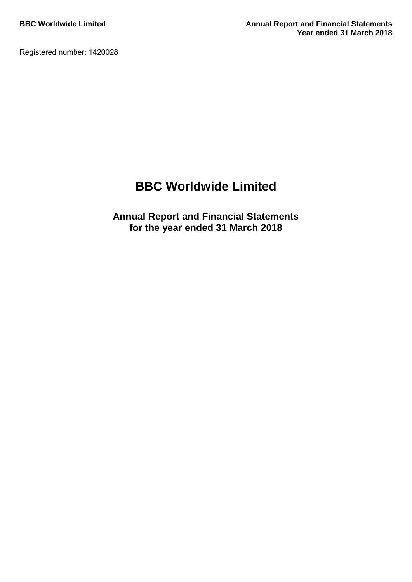Registered number: 1420028

# **BBC Worldwide Limited**

**Annual Report and Financial Statements for the year ended 31 March 2018**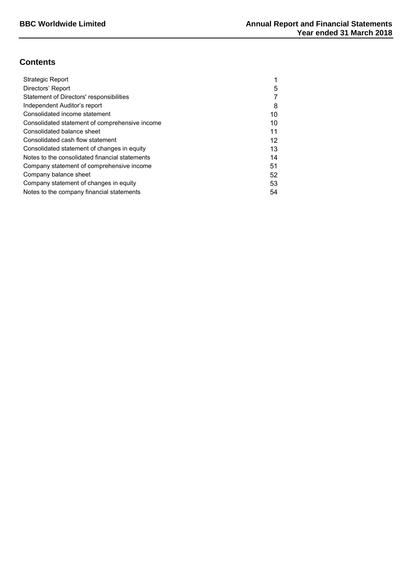## **Contents**

| <b>Strategic Report</b>                        |    |
|------------------------------------------------|----|
| Directors' Report                              | 5  |
| Statement of Directors' responsibilities       |    |
| Independent Auditor's report                   | 8  |
| Consolidated income statement                  | 10 |
| Consolidated statement of comprehensive income | 10 |
| Consolidated balance sheet                     | 11 |
| Consolidated cash flow statement               | 12 |
| Consolidated statement of changes in equity    | 13 |
| Notes to the consolidated financial statements | 14 |
| Company statement of comprehensive income      | 51 |
| Company balance sheet                          | 52 |
| Company statement of changes in equity         | 53 |
| Notes to the company financial statements      | 54 |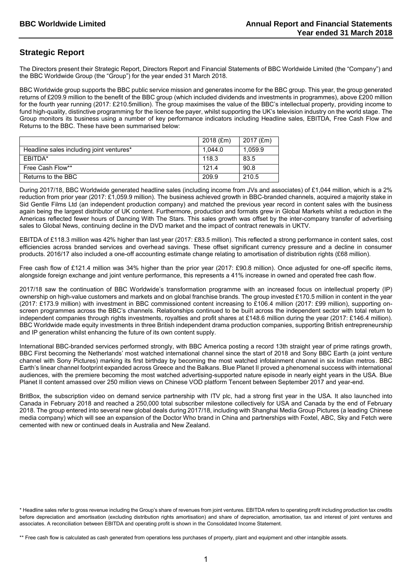## **Strategic Report**

The Directors present their Strategic Report, Directors Report and Financial Statements of BBC Worldwide Limited (the "Company") and the BBC Worldwide Group (the "Group") for the year ended 31 March 2018.

BBC Worldwide group supports the BBC public service mission and generates income for the BBC group. This year, the group generated returns of £209.9 million to the benefit of the BBC group (which included dividends and investments in programmes), above £200 million for the fourth year running (2017: £210.5million). The group maximises the value of the BBC's intellectual property, providing income to fund high-quality, distinctive programming for the licence fee payer, whilst supporting the UK's television industry on the world stage. The Group monitors its business using a number of key performance indicators including Headline sales, EBITDA, Free Cash Flow and Returns to the BBC. These have been summarised below:

|                                          | $2018$ (£m) | 2017 (£m) |
|------------------------------------------|-------------|-----------|
| Headline sales including joint ventures* | 1.044.0     | 1.059.9   |
| FBITDA*                                  | 118.3       | 83.5      |
| Free Cash Flow**                         | 121.4       | 90.8      |
| Returns to the BBC                       | 209.9       | 210.5     |

During 2017/18, BBC Worldwide generated headline sales (including income from JVs and associates) of £1,044 million, which is a 2% reduction from prior year (2017: £1,059.9 million). The business achieved growth in BBC-branded channels, acquired a majority stake in Sid Gentle Films Ltd (an independent production company) and matched the previous year record in content sales with the business again being the largest distributor of UK content. Furthermore, production and formats grew in Global Markets whilst a reduction in the Americas reflected fewer hours of Dancing With The Stars. This sales growth was offset by the inter-company transfer of advertising sales to Global News, continuing decline in the DVD market and the impact of contract renewals in UKTV.

EBITDA of £118.3 million was 42% higher than last year (2017: £83.5 million). This reflected a strong performance in content sales, cost efficiencies across branded services and overhead savings. These offset significant currency pressure and a decline in consumer products. 2016/17 also included a one-off accounting estimate change relating to amortisation of distribution rights (£68 million).

Free cash flow of £121.4 million was 34% higher than the prior year (2017: £90.8 million). Once adjusted for one-off specific items, alongside foreign exchange and joint venture performance, this represents a 41% increase in owned and operated free cash flow.

2017/18 saw the continuation of BBC Worldwide's transformation programme with an increased focus on intellectual property (IP) ownership on high-value customers and markets and on global franchise brands. The group invested £170.5 million in content in the year (2017: £173.9 million) with investment in BBC commissioned content increasing to £106.4 million (2017: £99 million), supporting onscreen programmes across the BBC's channels. Relationships continued to be built across the independent sector with total return to independent companies through rights investments, royalties and profit shares at £148.6 million during the year (2017: £146.4 million). BBC Worldwide made equity investments in three British independent drama production companies, supporting British entrepreneurship and IP generation whilst enhancing the future of its own content supply.

International BBC-branded services performed strongly, with BBC America posting a record 13th straight year of prime ratings growth, BBC First becoming the Netherlands' most watched international channel since the start of 2018 and Sony BBC Earth (a joint venture channel with Sony Pictures) marking its first birthday by becoming the most watched infotainment channel in six Indian metros. BBC Earth's linear channel footprint expanded across Greece and the Balkans. Blue Planet II proved a phenomenal success with international audiences, with the premiere becoming the most watched advertising-supported nature episode in nearly eight years in the USA. Blue Planet II content amassed over 250 million views on Chinese VOD platform Tencent between September 2017 and year-end.

BritBox, the subscription video on demand service partnership with ITV plc, had a strong first year in the USA. It also launched into Canada in February 2018 and reached a 250,000 total subscriber milestone collectively for USA and Canada by the end of February 2018. The group entered into several new global deals during 2017/18, including with Shanghai Media Group Pictures (a leading Chinese media company) which will see an expansion of the Doctor Who brand in China and partnerships with Foxtel, ABC, Sky and Fetch were cemented with new or continued deals in Australia and New Zealand.

<sup>\*</sup> Headline sales refer to gross revenue including the Group's share of revenues from joint ventures. EBITDA refers to operating profit including production tax credits before depreciation and amortisation (excluding distribution rights amortisation) and share of depreciation, amortisation, tax and interest of joint ventures and associates. A reconciliation between EBITDA and operating profit is shown in the Consolidated Income Statement.

<sup>\*\*</sup> Free cash flow is calculated as cash generated from operations less purchases of property, plant and equipment and other intangible assets.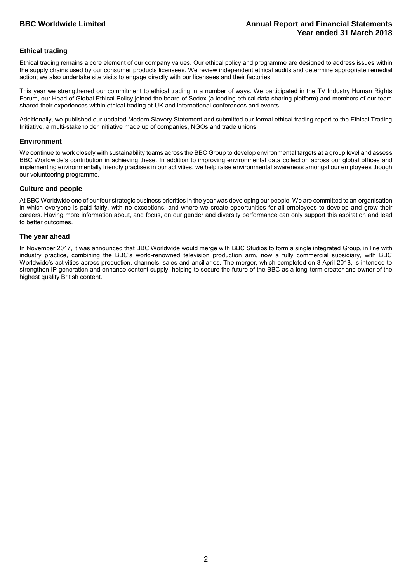## **Ethical trading**

Ethical trading remains a core element of our company values. Our ethical policy and programme are designed to address issues within the supply chains used by our consumer products licensees. We review independent ethical audits and determine appropriate remedial action; we also undertake site visits to engage directly with our licensees and their factories.

This year we strengthened our commitment to ethical trading in a number of ways. We participated in the TV Industry Human Rights Forum, our Head of Global Ethical Policy joined the board of Sedex (a leading ethical data sharing platform) and members of our team shared their experiences within ethical trading at UK and international conferences and events.

Additionally, we published our updated Modern Slavery Statement and submitted our formal ethical trading report to the Ethical Trading Initiative, a multi-stakeholder initiative made up of companies, NGOs and trade unions.

### **Environment**

We continue to work closely with sustainability teams across the BBC Group to develop environmental targets at a group level and assess BBC Worldwide's contribution in achieving these. In addition to improving environmental data collection across our global offices and implementing environmentally friendly practises in our activities, we help raise environmental awareness amongst our employees though our volunteering programme.

## **Culture and people**

At BBC Worldwide one of our four strategic business priorities in the year was developing our people. We are committed to an organisation in which everyone is paid fairly, with no exceptions, and where we create opportunities for all employees to develop and grow their careers. Having more information about, and focus, on our gender and diversity performance can only support this aspiration and lead to better outcomes.

### **The year ahead**

In November 2017, it was announced that BBC Worldwide would merge with BBC Studios to form a single integrated Group, in line with industry practice, combining the BBC's world-renowned television production arm, now a fully commercial subsidiary, with BBC Worldwide's activities across production, channels, sales and ancillaries. The merger, which completed on 3 April 2018, is intended to strengthen IP generation and enhance content supply, helping to secure the future of the BBC as a long-term creator and owner of the highest quality British content.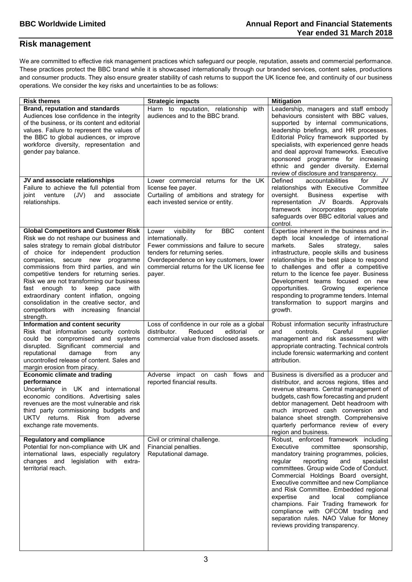## **Risk management**

We are committed to effective risk management practices which safeguard our people, reputation, assets and commercial performance. These practices protect the BBC brand while it is showcased internationally through our branded services, content sales, productions and consumer products. They also ensure greater stability of cash returns to support the UK licence fee, and continuity of our business operations. We consider the key risks and uncertainties to be as follows:

| <b>Risk themes</b>                                                                                                                                                                                                                                                                                                                                                                                                                                                                                                                    | <b>Strategic impacts</b>                                                                                                                                                                                                                             | <b>Mitigation</b>                                                                                                                                                                                                                                                                                                                                                                                                                                                                                                                                  |
|---------------------------------------------------------------------------------------------------------------------------------------------------------------------------------------------------------------------------------------------------------------------------------------------------------------------------------------------------------------------------------------------------------------------------------------------------------------------------------------------------------------------------------------|------------------------------------------------------------------------------------------------------------------------------------------------------------------------------------------------------------------------------------------------------|----------------------------------------------------------------------------------------------------------------------------------------------------------------------------------------------------------------------------------------------------------------------------------------------------------------------------------------------------------------------------------------------------------------------------------------------------------------------------------------------------------------------------------------------------|
| <b>Brand, reputation and standards</b><br>Audiences lose confidence in the integrity<br>of the business, or its content and editorial<br>values. Failure to represent the values of<br>the BBC to global audiences, or improve<br>workforce diversity, representation and<br>gender pay balance.                                                                                                                                                                                                                                      | Harm to reputation, relationship<br>with<br>audiences and to the BBC brand.                                                                                                                                                                          | Leadership, managers and staff embody<br>behaviours consistent with BBC values,<br>supported by internal communications,<br>leadership briefings, and HR processes.<br>Editorial Policy framework supported by<br>specialists, with experienced genre heads<br>and deal approval frameworks. Executive<br>sponsored programme for increasing<br>ethnic and gender diversity. External<br>review of disclosure and transparency.                                                                                                                    |
| JV and associate relationships<br>Failure to achieve the full potential from<br>venture<br>(JV)<br>and<br>associate<br>joint<br>relationships.                                                                                                                                                                                                                                                                                                                                                                                        | Lower commercial returns for the UK<br>license fee payer.<br>Curtailing of ambitions and strategy for<br>each invested service or entity.                                                                                                            | Defined<br>accountabilities<br><b>JV</b><br>for<br>relationships with Executive Committee<br>oversight.<br><b>Business</b><br>expertise<br>with<br>representation JV Boards. Approvals<br>framework<br>incorporates<br>appropriate<br>safeguards over BBC editorial values and<br>control.                                                                                                                                                                                                                                                         |
| <b>Global Competitors and Customer Risk</b><br>Risk we do not reshape our business and<br>sales strategy to remain global distributor<br>of choice for independent production<br>companies, secure new programme<br>commissions from third parties, and win<br>competitive tenders for returning series.<br>Risk we are not transforming our business<br>fast enough to keep pace with<br>extraordinary content inflation, ongoing<br>consolidation in the creative sector, and<br>competitors with increasing financial<br>strength. | <b>BBC</b><br>visibility<br>for<br>Lower<br>content<br>internationally.<br>Fewer commissions and failure to secure<br>tenders for returning series.<br>Overdependence on key customers, lower<br>commercial returns for the UK license fee<br>payer. | Expertise inherent in the business and in-<br>depth local knowledge of international<br>markets.<br>Sales<br>strategy,<br>sales<br>infrastructure, people skills and business<br>relationships in the best place to respond<br>to challenges and offer a competitive<br>return to the licence fee payer. Business<br>Development teams focused on new<br>opportunities.<br>Growing<br>experience<br>responding to programme tenders. Internal<br>transformation to support margins and<br>growth.                                                  |
| Information and content security<br>Risk that information security controls<br>could be compromised and systems<br>disrupted. Significant commercial and<br>damage<br>reputational<br>from<br>any<br>uncontrolled release of content. Sales and<br>margin erosion from piracy.                                                                                                                                                                                                                                                        | Loss of confidence in our role as a global<br>distributor.<br>Reduced<br>editorial<br>or<br>commercial value from disclosed assets.                                                                                                                  | Robust information security infrastructure<br>controls.<br>Careful<br>supplier<br>and<br>management and risk assessment with<br>appropriate contracting. Technical controls<br>include forensic watermarking and content<br>attribution.                                                                                                                                                                                                                                                                                                           |
| <b>Economic climate and trading</b><br>performance<br>Uncertainty in UK and international<br>economic conditions. Advertising sales<br>revenues are the most vulnerable and risk<br>third party commissioning budgets and<br>UKTV returns. Risk from adverse<br>exchange rate movements.                                                                                                                                                                                                                                              | Adverse impact on cash flows and<br>reported financial results.                                                                                                                                                                                      | Business is diversified as a producer and<br>distributor, and across regions, titles and<br>revenue streams. Central management of<br>budgets, cash flow forecasting and prudent<br>debtor management. Debt headroom with<br>much improved cash conversion and<br>balance sheet strength. Comprehensive<br>quarterly performance review of every<br>region and business.                                                                                                                                                                           |
| <b>Regulatory and compliance</b><br>Potential for non-compliance with UK and<br>international laws, especially regulatory<br>changes and legislation with extra-<br>territorial reach.                                                                                                                                                                                                                                                                                                                                                | Civil or criminal challenge.<br>Financial penalties.<br>Reputational damage.                                                                                                                                                                         | Robust, enforced framework including<br>Executive<br>committee<br>sponsorship,<br>mandatory training programmes, policies,<br>regular<br>reporting<br>and<br>specialist<br>committees. Group wide Code of Conduct.<br>Commercial Holdings Board oversight,<br>Executive committee and new Compliance<br>and Risk Committee. Embedded regional<br>and<br>local<br>expertise<br>compliance<br>champions. Fair Trading framework for<br>compliance with OFCOM trading and<br>separation rules. NAO Value for Money<br>reviews providing transparency. |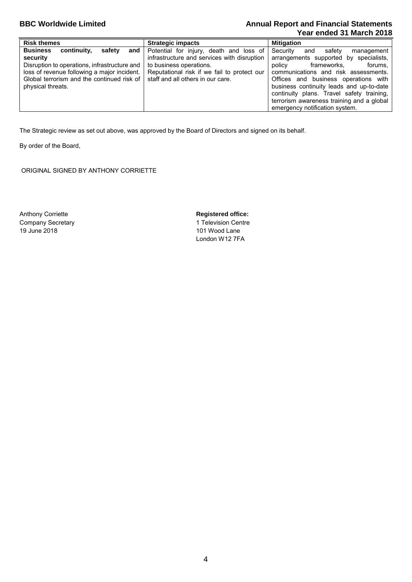## **BBC Worldwide Limited Constrained Annual Report and Financial Statements Year ended 31 March 2018**

| <b>Risk themes</b>                                | <b>Strategic impacts</b>                    | <b>Mitigation</b>                         |
|---------------------------------------------------|---------------------------------------------|-------------------------------------------|
| <b>Business</b><br>continuity.<br>safety<br>and I | Potential for injury, death and loss of     | Security<br>safety<br>and<br>management   |
| security                                          | infrastructure and services with disruption | arrangements supported by specialists,    |
| Disruption to operations, infrastructure and      | to business operations.                     | frameworks,<br>forums.<br>policy          |
| loss of revenue following a major incident.       | Reputational risk if we fail to protect our | communications and risk assessments.      |
| Global terrorism and the continued risk of        | staff and all others in our care.           | Offices and business operations with      |
| physical threats.                                 |                                             | business continuity leads and up-to-date  |
|                                                   |                                             | continuity plans. Travel safety training, |
|                                                   |                                             | terrorism awareness training and a global |
|                                                   |                                             | emergency notification system.            |

The Strategic review as set out above, was approved by the Board of Directors and signed on its behalf.

By order of the Board,

ORIGINAL SIGNED BY ANTHONY CORRIETTE

Company Secretary **1** Television Centre 19 June 2018 101 Wood Lane

Anthony Corriette **Registered office:** London W12 7FA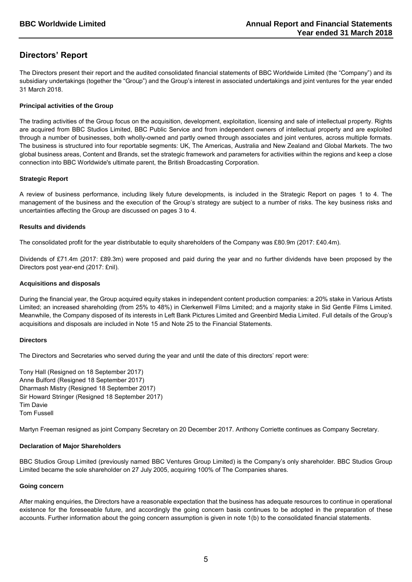## **Directors' Report**

The Directors present their report and the audited consolidated financial statements of BBC Worldwide Limited (the "Company") and its subsidiary undertakings (together the "Group") and the Group's interest in associated undertakings and joint ventures for the year ended 31 March 2018.

### **Principal activities of the Group**

The trading activities of the Group focus on the acquisition, development, exploitation, licensing and sale of intellectual property. Rights are acquired from BBC Studios Limited, BBC Public Service and from independent owners of intellectual property and are exploited through a number of businesses, both wholly-owned and partly owned through associates and joint ventures, across multiple formats. The business is structured into four reportable segments: UK, The Americas, Australia and New Zealand and Global Markets. The two global business areas, Content and Brands, set the strategic framework and parameters for activities within the regions and keep a close connection into BBC Worldwide's ultimate parent, the British Broadcasting Corporation.

### **Strategic Report**

A review of business performance, including likely future developments, is included in the Strategic Report on pages 1 to 4. The management of the business and the execution of the Group's strategy are subject to a number of risks. The key business risks and uncertainties affecting the Group are discussed on pages 3 to 4.

### **Results and dividends**

The consolidated profit for the year distributable to equity shareholders of the Company was £80.9m (2017: £40.4m).

Dividends of £71.4m (2017: £89.3m) were proposed and paid during the year and no further dividends have been proposed by the Directors post year-end (2017: £nil).

### **Acquisitions and disposals**

During the financial year, the Group acquired equity stakes in independent content production companies: a 20% stake in Various Artists Limited; an increased shareholding (from 25% to 48%) in Clerkenwell Films Limited; and a majority stake in Sid Gentle Films Limited. Meanwhile, the Company disposed of its interests in Left Bank Pictures Limited and Greenbird Media Limited. Full details of the Group's acquisitions and disposals are included in Note 15 and Note 25 to the Financial Statements.

#### **Directors**

The Directors and Secretaries who served during the year and until the date of this directors' report were:

Tony Hall (Resigned on 18 September 2017) Anne Bulford (Resigned 18 September 2017) Dharmash Mistry (Resigned 18 September 2017) Sir Howard Stringer (Resigned 18 September 2017) Tim Davie Tom Fussell

Martyn Freeman resigned as joint Company Secretary on 20 December 2017. Anthony Corriette continues as Company Secretary.

#### **Declaration of Major Shareholders**

BBC Studios Group Limited (previously named BBC Ventures Group Limited) is the Company's only shareholder. BBC Studios Group Limited became the sole shareholder on 27 July 2005, acquiring 100% of The Companies shares.

#### **Going concern**

After making enquiries, the Directors have a reasonable expectation that the business has adequate resources to continue in operational existence for the foreseeable future, and accordingly the going concern basis continues to be adopted in the preparation of these accounts. Further information about the going concern assumption is given in note 1(b) to the consolidated financial statements.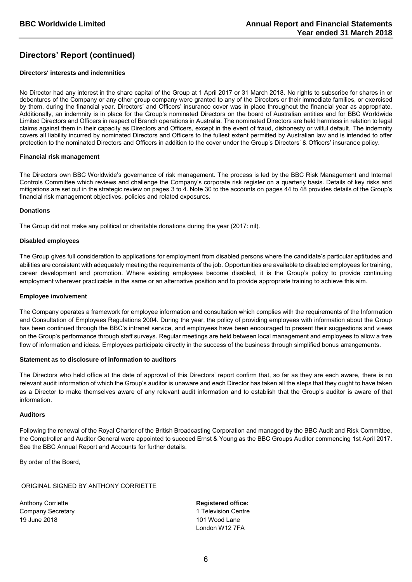## **Directors' Report (continued)**

### **Directors' interests and indemnities**

No Director had any interest in the share capital of the Group at 1 April 2017 or 31 March 2018. No rights to subscribe for shares in or debentures of the Company or any other group company were granted to any of the Directors or their immediate families, or exercised by them, during the financial year. Directors' and Officers' insurance cover was in place throughout the financial year as appropriate. Additionally, an indemnity is in place for the Group's nominated Directors on the board of Australian entities and for BBC Worldwide Limited Directors and Officers in respect of Branch operations in Australia. The nominated Directors are held harmless in relation to legal claims against them in their capacity as Directors and Officers, except in the event of fraud, dishonesty or wilful default. The indemnity covers all liability incurred by nominated Directors and Officers to the fullest extent permitted by Australian law and is intended to offer protection to the nominated Directors and Officers in addition to the cover under the Group's Directors' & Officers' insurance policy.

#### **Financial risk management**

The Directors own BBC Worldwide's governance of risk management. The process is led by the BBC Risk Management and Internal Controls Committee which reviews and challenge the Company's corporate risk register on a quarterly basis. Details of key risks and mitigations are set out in the strategic review on pages 3 to 4. Note 30 to the accounts on pages 44 to 48 provides details of the Group's financial risk management objectives, policies and related exposures.

### **Donations**

The Group did not make any political or charitable donations during the year (2017: nil).

### **Disabled employees**

The Group gives full consideration to applications for employment from disabled persons where the candidate's particular aptitudes and abilities are consistent with adequately meeting the requirements of the job. Opportunities are available to disabled employees for training, career development and promotion. Where existing employees become disabled, it is the Group's policy to provide continuing employment wherever practicable in the same or an alternative position and to provide appropriate training to achieve this aim.

#### **Employee involvement**

The Company operates a framework for employee information and consultation which complies with the requirements of the Information and Consultation of Employees Regulations 2004. During the year, the policy of providing employees with information about the Group has been continued through the BBC's intranet service, and employees have been encouraged to present their suggestions and views on the Group's performance through staff surveys. Regular meetings are held between local management and employees to allow a free flow of information and ideas. Employees participate directly in the success of the business through simplified bonus arrangements.

### **Statement as to disclosure of information to auditors**

The Directors who held office at the date of approval of this Directors' report confirm that, so far as they are each aware, there is no relevant audit information of which the Group's auditor is unaware and each Director has taken all the steps that they ought to have taken as a Director to make themselves aware of any relevant audit information and to establish that the Group's auditor is aware of that information.

#### **Auditors**

Following the renewal of the Royal Charter of the British Broadcasting Corporation and managed by the BBC Audit and Risk Committee, the Comptroller and Auditor General were appointed to succeed Ernst & Young as the BBC Groups Auditor commencing 1st April 2017. See the BBC Annual Report and Accounts for further details.

By order of the Board,

ORIGINAL SIGNED BY ANTHONY CORRIETTE

Anthony Corriette **Registered office:** 19 June 2018 **101 Wood Lane** 

**Company Secretary 1 Television Centre** London W12 7FA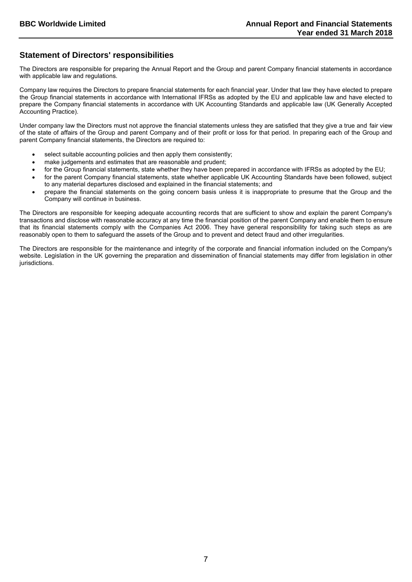## **Statement of Directors' responsibilities**

The Directors are responsible for preparing the Annual Report and the Group and parent Company financial statements in accordance with applicable law and regulations.

Company law requires the Directors to prepare financial statements for each financial year. Under that law they have elected to prepare the Group financial statements in accordance with International IFRSs as adopted by the EU and applicable law and have elected to prepare the Company financial statements in accordance with UK Accounting Standards and applicable law (UK Generally Accepted Accounting Practice).

Under company law the Directors must not approve the financial statements unless they are satisfied that they give a true and fair view of the state of affairs of the Group and parent Company and of their profit or loss for that period. In preparing each of the Group and parent Company financial statements, the Directors are required to:

- select suitable accounting policies and then apply them consistently;
- make judgements and estimates that are reasonable and prudent;
- for the Group financial statements, state whether they have been prepared in accordance with IFRSs as adopted by the EU;
- for the parent Company financial statements, state whether applicable UK Accounting Standards have been followed, subject to any material departures disclosed and explained in the financial statements; and
- prepare the financial statements on the going concern basis unless it is inappropriate to presume that the Group and the Company will continue in business.

The Directors are responsible for keeping adequate accounting records that are sufficient to show and explain the parent Company's transactions and disclose with reasonable accuracy at any time the financial position of the parent Company and enable them to ensure that its financial statements comply with the Companies Act 2006. They have general responsibility for taking such steps as are reasonably open to them to safeguard the assets of the Group and to prevent and detect fraud and other irregularities.

The Directors are responsible for the maintenance and integrity of the corporate and financial information included on the Company's website. Legislation in the UK governing the preparation and dissemination of financial statements may differ from legislation in other jurisdictions.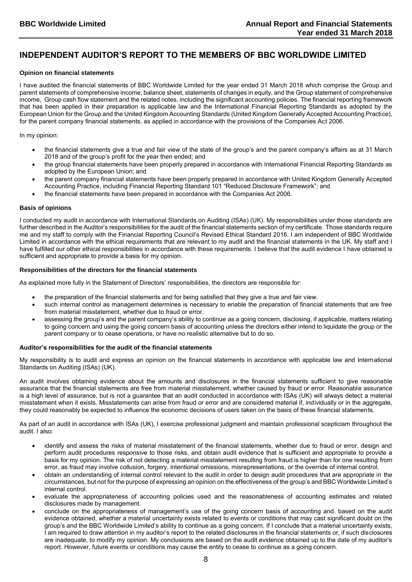## **INDEPENDENT AUDITOR'S REPORT TO THE MEMBERS OF BBC WORLDWIDE LIMITED**

#### **Opinion on financial statements**

I have audited the financial statements of BBC Worldwide Limited for the year ended 31 March 2018 which comprise the Group and parent statements of comprehensive income, balance sheet, statements of changes in equity, and the Group statement of comprehensive income, Group cash flow statement and the related notes, including the significant accounting policies. The financial reporting framework that has been applied in their preparation is applicable law and the International Financial Reporting Standards as adopted by the European Union for the Group and the United Kingdom Accounting Standards (United Kingdom Generally Accepted Accounting Practice), for the parent company financial statements, as applied in accordance with the provisions of the Companies Act 2006.

In my opinion:

- the financial statements give a true and fair view of the state of the group's and the parent company's affairs as at 31 March 2018 and of the group's profit for the year then ended; and
- the group financial statements have been properly prepared in accordance with International Financial Reporting Standards as adopted by the European Union; and
- the parent company financial statements have been properly prepared in accordance with United Kingdom Generally Accepted Accounting Practice, including Financial Reporting Standard 101 "Reduced Disclosure Framework"; and
- the financial statements have been prepared in accordance with the Companies Act 2006.

### **Basis of opinions**

I conducted my audit in accordance with International Standards on Auditing (ISAs) (UK). My responsibilities under those standards are further described in the Auditor's responsibilities for the audit of the financial statements section of my certificate. Those standards require me and my staff to comply with the Financial Reporting Council's Revised Ethical Standard 2016. I am independent of BBC Worldwide Limited in accordance with the ethical requirements that are relevant to my audit and the financial statements in the UK. My staff and I have fulfilled our other ethical responsibilities in accordance with these requirements. I believe that the audit evidence I have obtained is sufficient and appropriate to provide a basis for my opinion.

### **Responsibilities of the directors for the financial statements**

As explained more fully in the Statement of Directors' responsibilities, the directors are responsible for:

- the preparation of the financial statements and for being satisfied that they give a true and fair view.
- such internal control as management determines is necessary to enable the preparation of financial statements that are free from material misstatement, whether due to fraud or error.
- assessing the group's and the parent company's ability to continue as a going concern, disclosing, if applicable, matters relating to going concern and using the going concern basis of accounting unless the directors either intend to liquidate the group or the parent company or to cease operations, or have no realistic alternative but to do so.

### **Auditor's responsibilities for the audit of the financial statements**

My responsibility is to audit and express an opinion on the financial statements in accordance with applicable law and International Standards on Auditing (ISAs) (UK).

An audit involves obtaining evidence about the amounts and disclosures in the financial statements sufficient to give reasonable assurance that the financial statements are free from material misstatement, whether caused by fraud or error. Reasonable assurance is a high level of assurance, but is not a guarantee that an audit conducted in accordance with ISAs (UK) will always detect a material misstatement when it exists. Misstatements can arise from fraud or error and are considered material if, individually or in the aggregate, they could reasonably be expected to influence the economic decisions of users taken on the basis of these financial statements.

As part of an audit in accordance with ISAs (UK), I exercise professional judgment and maintain professional scepticism throughout the audit. I also:

- identify and assess the risks of material misstatement of the financial statements, whether due to fraud or error, design and perform audit procedures responsive to those risks, and obtain audit evidence that is sufficient and appropriate to provide a basis for my opinion. The risk of not detecting a material misstatement resulting from fraud is higher than for one resulting from error, as fraud may involve collusion, forgery, intentional omissions, misrepresentations, or the override of internal control.
- obtain an understanding of internal control relevant to the audit in order to design audit procedures that are appropriate in the circumstances, but not for the purpose of expressing an opinion on the effectiveness of the group's and BBC Worldwide Limited's internal control.
- evaluate the appropriateness of accounting policies used and the reasonableness of accounting estimates and related disclosures made by management.
- conclude on the appropriateness of management's use of the going concern basis of accounting and, based on the audit evidence obtained, whether a material uncertainty exists related to events or conditions that may cast significant doubt on the group's and the BBC Worldwide Limited's ability to continue as a going concern. If I conclude that a material uncertainty exists, I am required to draw attention in my auditor's report to the related disclosures in the financial statements or, if such disclosures are inadequate, to modify my opinion. My conclusions are based on the audit evidence obtained up to the date of my auditor's report. However, future events or conditions may cause the entity to cease to continue as a going concern.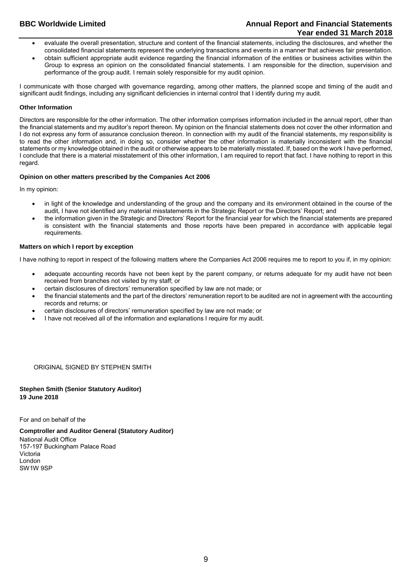## **BBC Worldwide Limited Annual Report and Financial Statements Year ended 31 March 2018**

- evaluate the overall presentation, structure and content of the financial statements, including the disclosures, and whether the consolidated financial statements represent the underlying transactions and events in a manner that achieves fair presentation.
- obtain sufficient appropriate audit evidence regarding the financial information of the entities or business activities within the Group to express an opinion on the consolidated financial statements. I am responsible for the direction, supervision and performance of the group audit. I remain solely responsible for my audit opinion.

I communicate with those charged with governance regarding, among other matters, the planned scope and timing of the audit and significant audit findings, including any significant deficiencies in internal control that I identify during my audit.

### **Other Information**

Directors are responsible for the other information. The other information comprises information included in the annual report, other than the financial statements and my auditor's report thereon. My opinion on the financial statements does not cover the other information and I do not express any form of assurance conclusion thereon. In connection with my audit of the financial statements, my responsibility is to read the other information and, in doing so, consider whether the other information is materially inconsistent with the financial statements or my knowledge obtained in the audit or otherwise appears to be materially misstated. If, based on the work I have performed, I conclude that there is a material misstatement of this other information, I am required to report that fact. I have nothing to report in this regard.

### **Opinion on other matters prescribed by the Companies Act 2006**

In my opinion:

- in light of the knowledge and understanding of the group and the company and its environment obtained in the course of the audit, I have not identified any material misstatements in the Strategic Report or the Directors' Report; and
- the information given in the Strategic and Directors' Report for the financial year for which the financial statements are prepared is consistent with the financial statements and those reports have been prepared in accordance with applicable legal requirements.

### **Matters on which I report by exception**

I have nothing to report in respect of the following matters where the Companies Act 2006 requires me to report to you if, in my opinion:

- adequate accounting records have not been kept by the parent company, or returns adequate for my audit have not been received from branches not visited by my staff; or
- certain disclosures of directors' remuneration specified by law are not made; or
- the financial statements and the part of the directors' remuneration report to be audited are not in agreement with the accounting records and returns; or
- certain disclosures of directors' remuneration specified by law are not made; or
- I have not received all of the information and explanations I require for my audit.

ORIGINAL SIGNED BY STEPHEN SMITH

### **Stephen Smith (Senior Statutory Auditor) 19 June 2018**

For and on behalf of the

**Comptroller and Auditor General (Statutory Auditor)** National Audit Office 157-197 Buckingham Palace Road

Victoria London SW1W 9SP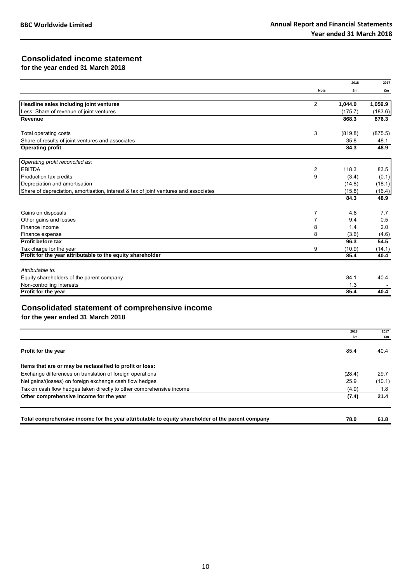## **Consolidated income statement**

**for the year ended 31 March 2018**

|                                                                                      |                | 2018    | 2017    |
|--------------------------------------------------------------------------------------|----------------|---------|---------|
|                                                                                      | Note           | £m      | £m      |
| Headline sales including joint ventures                                              | 2              | 1,044.0 | 1,059.9 |
| Less: Share of revenue of joint ventures                                             |                | (175.7) | (183.6) |
| Revenue                                                                              |                | 868.3   | 876.3   |
| Total operating costs                                                                | 3              | (819.8) | (875.5) |
| Share of results of joint ventures and associates                                    |                | 35.8    | 48.1    |
| <b>Operating profit</b>                                                              |                | 84.3    | 48.9    |
| Operating profit reconciled as:                                                      |                |         |         |
| <b>EBITDA</b>                                                                        | 2              | 118.3   | 83.5    |
| <b>Production tax credits</b>                                                        | 9              | (3.4)   | (0.1)   |
| Depreciation and amortisation                                                        |                | (14.8)  | (18.1)  |
| Share of depreciation, amortisation, interest & tax of joint ventures and associates |                | (15.8)  | (16.4)  |
|                                                                                      |                | 84.3    | 48.9    |
| Gains on disposals                                                                   | $\overline{7}$ | 4.8     | 7.7     |
| Other gains and losses                                                               | 7              | 9.4     | 0.5     |
| Finance income                                                                       | 8              | 1.4     | 2.0     |
| Finance expense                                                                      | 8              | (3.6)   | (4.6)   |
| Profit before tax                                                                    |                | 96.3    | 54.5    |
| Tax charge for the year                                                              | 9              | (10.9)  | (14.1)  |
| Profit for the year attributable to the equity shareholder                           |                | 85.4    | 40.4    |
| Attributable to:                                                                     |                |         |         |
| Equity shareholders of the parent company                                            |                | 84.1    | 40.4    |
| Non-controlling interests                                                            |                | 1.3     |         |
| <b>Profit for the year</b>                                                           |                | 85.4    | 40.4    |

|                                                                                                  | 2018   | 2017   |
|--------------------------------------------------------------------------------------------------|--------|--------|
|                                                                                                  | £m     | £m     |
| Profit for the year                                                                              | 85.4   | 40.4   |
|                                                                                                  |        |        |
| Items that are or may be reclassified to profit or loss:                                         |        |        |
| Exchange differences on translation of foreign operations                                        | (28.4) | 29.7   |
| Net gains/(losses) on foreign exchange cash flow hedges                                          | 25.9   | (10.1) |
| Tax on cash flow hedges taken directly to other comprehensive income                             | (4.9)  | 1.8    |
| Other comprehensive income for the year                                                          | (7.4)  | 21.4   |
|                                                                                                  |        |        |
| Total comprehensive income for the year attributable to equity shareholder of the parent company | 78.0   | 61.8   |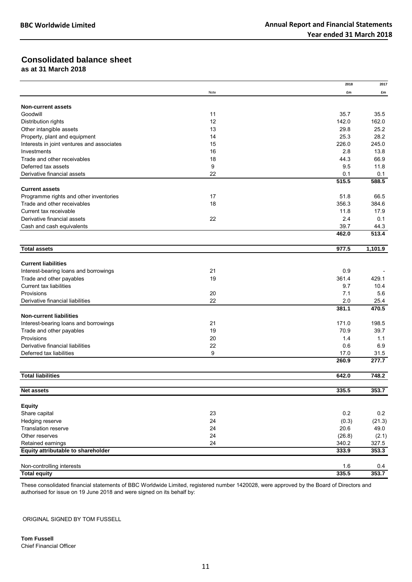## **Consolidated balance sheet**

**as at 31 March 2018**

|                                            |      | 2018   | 2017    |
|--------------------------------------------|------|--------|---------|
|                                            | Note | £m     | £m      |
| <b>Non-current assets</b>                  |      |        |         |
| Goodwill                                   | 11   | 35.7   | 35.5    |
| Distribution rights                        | 12   | 142.0  | 162.0   |
| Other intangible assets                    | 13   | 29.8   | 25.2    |
| Property, plant and equipment              | 14   | 25.3   | 28.2    |
| Interests in joint ventures and associates | 15   | 226.0  | 245.0   |
| Investments                                | 16   | 2.8    | 13.8    |
| Trade and other receivables                | 18   | 44.3   | 66.9    |
| Deferred tax assets                        | 9    | 9.5    | 11.8    |
| Derivative financial assets                | 22   | 0.1    | 0.1     |
|                                            |      | 515.5  | 588.5   |
| <b>Current assets</b>                      |      |        |         |
| Programme rights and other inventories     | 17   | 51.8   | 66.5    |
| Trade and other receivables                | 18   | 356.3  | 384.6   |
| Current tax receivable                     |      | 11.8   | 17.9    |
| Derivative financial assets                | 22   | 2.4    | 0.1     |
| Cash and cash equivalents                  |      | 39.7   | 44.3    |
|                                            |      | 462.0  | 513.4   |
| <b>Total assets</b>                        |      | 977.5  | 1,101.9 |
|                                            |      |        |         |
| <b>Current liabilities</b>                 |      |        |         |
| Interest-bearing loans and borrowings      | 21   | 0.9    |         |
| Trade and other payables                   | 19   | 361.4  | 429.1   |
| Current tax liabilities                    |      | 9.7    | 10.4    |
| Provisions                                 | 20   | 7.1    | 5.6     |
| Derivative financial liabilities           | 22   | 2.0    | 25.4    |
|                                            |      | 381.1  | 470.5   |
| <b>Non-current liabilities</b>             |      |        |         |
| Interest-bearing loans and borrowings      | 21   | 171.0  | 198.5   |
| Trade and other payables                   | 19   | 70.9   | 39.7    |
| Provisions                                 | 20   | 1.4    | 1.1     |
| Derivative financial liabilities           | 22   | 0.6    | 6.9     |
| Deferred tax liabilities                   | 9    | 17.0   | 31.5    |
|                                            |      | 260.9  | 277.7   |
| <b>Total liabilities</b>                   |      | 642.0  | 748.2   |
|                                            |      |        |         |
| <b>Net assets</b>                          |      | 335.5  | 353.7   |
| Equity                                     |      |        |         |
| Share capital                              | 23   | 0.2    | $0.2\,$ |
| Hedging reserve                            | 24   | (0.3)  | (21.3)  |
| Translation reserve                        | 24   | 20.6   | 49.0    |
| Other reserves                             | 24   | (26.8) | (2.1)   |
| Retained earnings                          | 24   | 340.2  | 327.5   |
| Equity attributable to shareholder         |      | 333.9  | 353.3   |
|                                            |      |        |         |
| Non-controlling interests                  |      | 1.6    | 0.4     |
| <b>Total equity</b>                        |      | 335.5  | 353.7   |

These consolidated financial statements of BBC Worldwide Limited, registered number 1420028, were approved by the Board of Directors and authorised for issue on 19 June 2018 and were signed on its behalf by:

ORIGINAL SIGNED BY TOM FUSSELL

**Tom Fussell** Chief Financial Officer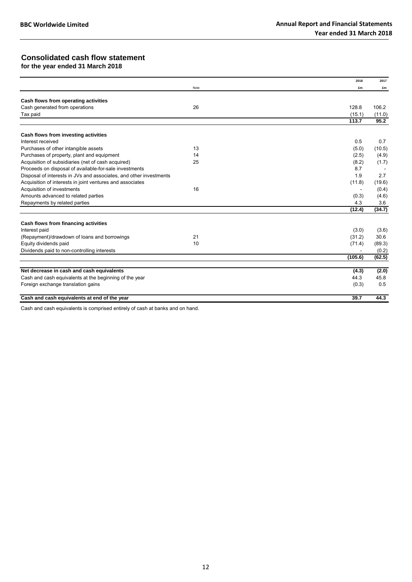## **Consolidated cash flow statement**

**for the year ended 31 March 2018**

|                                                                    |      | 2018                     | 2017   |
|--------------------------------------------------------------------|------|--------------------------|--------|
|                                                                    | Note | £m                       | £m     |
| Cash flows from operating activities                               |      |                          |        |
| Cash generated from operations                                     | 26   | 128.8                    | 106.2  |
| Tax paid                                                           |      | (15.1)                   | (11.0) |
|                                                                    |      | 113.7                    | 95.2   |
| Cash flows from investing activities                               |      |                          |        |
| Interest received                                                  |      | 0.5                      | 0.7    |
| Purchases of other intangible assets                               | 13   | (5.0)                    | (10.5) |
| Purchases of property, plant and equipment                         | 14   | (2.5)                    | (4.9)  |
| Acquisition of subsidiaries (net of cash acquired)                 | 25   | (8.2)                    | (1.7)  |
| Proceeds on disposal of available-for-sale investments             |      | 8.7                      |        |
| Disposal of interests in JVs and associates, and other investments |      | 1.9                      | 2.7    |
| Acquisition of interests in joint ventures and associates          |      | (11.8)                   | (19.6) |
| Acquisition of investments                                         | 16   | $\overline{\phantom{a}}$ | (0.4)  |
| Amounts advanced to related parties                                |      | (0.3)                    | (4.6)  |
| Repayments by related parties                                      |      | 4.3                      | 3.6    |
|                                                                    |      | (12.4)                   | (34.7) |
| Cash flows from financing activities                               |      |                          |        |
| Interest paid                                                      |      | (3.0)                    | (3.6)  |
| (Repayment)/drawdown of loans and borrowings                       | 21   | (31.2)                   | 30.6   |
| Equity dividends paid                                              | 10   | (71.4)                   | (89.3) |
| Dividends paid to non-controlling interests                        |      |                          | (0.2)  |
|                                                                    |      | (105.6)                  | (62.5) |
| Net decrease in cash and cash equivalents                          |      | (4.3)                    | (2.0)  |
| Cash and cash equivalents at the beginning of the year             |      | 44.3                     | 45.8   |
| Foreign exchange translation gains                                 |      | (0.3)                    | 0.5    |
| Cash and cash equivalents at end of the year                       |      | 39.7                     | 44.3   |

Cash and cash equivalents is comprised entirely of cash at banks and on hand.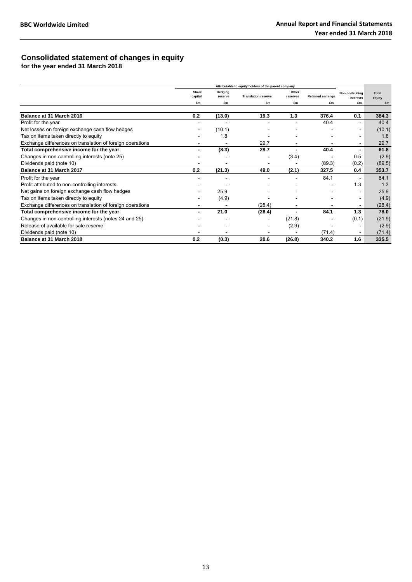# **Consolidated statement of changes in equity**

**for the year ended 31 March 2018**

|                                                           | Attributable to equity holders of the parent company |                    |                            |                   |                          |                              |                        |
|-----------------------------------------------------------|------------------------------------------------------|--------------------|----------------------------|-------------------|--------------------------|------------------------------|------------------------|
|                                                           | Share<br>capital                                     | Hedging<br>reserve | <b>Translation reserve</b> | Other<br>reserves | <b>Retained earnings</b> | Non-controlling<br>interests | <b>Total</b><br>equity |
|                                                           | £m                                                   | £m                 | £m                         | £m                | £m                       | £m                           | £m                     |
|                                                           |                                                      |                    |                            |                   |                          |                              |                        |
| Balance at 31 March 2016                                  | 0.2                                                  | (13.0)             | 19.3                       | 1.3               | 376.4                    | 0.1                          | 384.3                  |
| Profit for the year                                       |                                                      |                    |                            |                   | 40.4                     | $\overline{\phantom{0}}$     | 40.4                   |
| Net losses on foreign exchange cash flow hedges           |                                                      | (10.1)             |                            |                   |                          |                              | (10.1)                 |
| Tax on items taken directly to equity                     |                                                      | 1.8                |                            |                   |                          | $\overline{\phantom{a}}$     | 1.8                    |
| Exchange differences on translation of foreign operations |                                                      |                    | 29.7                       |                   |                          | $\overline{\phantom{a}}$     | 29.7                   |
| Total comprehensive income for the year                   |                                                      | (8.3)              | 29.7                       |                   | 40.4                     | $\blacksquare$               | 61.8                   |
| Changes in non-controlling interests (note 25)            |                                                      |                    |                            | (3.4)             |                          | 0.5                          | (2.9)                  |
| Dividends paid (note 10)                                  |                                                      |                    |                            |                   | (89.3)                   | (0.2)                        | (89.5)                 |
| Balance at 31 March 2017                                  | 0.2                                                  | (21.3)             | 49.0                       | (2.1)             | 327.5                    | 0.4                          | 353.7                  |
| Profit for the year                                       |                                                      |                    |                            |                   | 84.1                     | $\overline{\phantom{a}}$     | 84.1                   |
| Profit attributed to non-controlling interests            |                                                      |                    |                            |                   |                          | 1.3                          | 1.3                    |
| Net gains on foreign exchange cash flow hedges            |                                                      | 25.9               |                            |                   |                          | $\overline{\phantom{a}}$     | 25.9                   |
| Tax on items taken directly to equity                     |                                                      | (4.9)              |                            |                   |                          | $\overline{\phantom{a}}$     | (4.9)                  |
| Exchange differences on translation of foreign operations |                                                      |                    | (28.4)                     |                   |                          | $\overline{\phantom{a}}$     | (28.4)                 |
| Total comprehensive income for the year                   |                                                      | 21.0               | (28.4)                     |                   | 84.1                     | 1.3                          | 78.0                   |
| Changes in non-controlling interests (notes 24 and 25)    |                                                      |                    |                            | (21.8)            |                          | (0.1)                        | (21.9)                 |
| Release of available for sale reserve                     |                                                      |                    |                            | (2.9)             |                          | $\overline{\phantom{a}}$     | (2.9)                  |
| Dividends paid (note 10)                                  |                                                      |                    |                            |                   | (71.4)                   | $\overline{\phantom{a}}$     | (71.4)                 |
| Balance at 31 March 2018                                  | 0.2                                                  | (0.3)              | 20.6                       | (26.8)            | 340.2                    | 1.6                          | 335.5                  |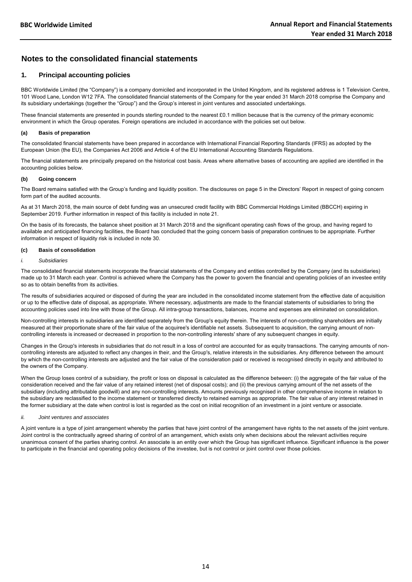## **Notes to the consolidated financial statements**

### **1. Principal accounting policies**

BBC Worldwide Limited (the "Company") is a company domiciled and incorporated in the United Kingdom, and its registered address is 1 Television Centre, 101 Wood Lane, London W12 7FA. The consolidated financial statements of the Company for the year ended 31 March 2018 comprise the Company and its subsidiary undertakings (together the "Group") and the Group's interest in joint ventures and associated undertakings.

These financial statements are presented in pounds sterling rounded to the nearest £0.1 million because that is the currency of the primary economic environment in which the Group operates. Foreign operations are included in accordance with the policies set out below.

#### **(a) Basis of preparation**

The consolidated financial statements have been prepared in accordance with International Financial Reporting Standards (IFRS) as adopted by the European Union (the EU), the Companies Act 2006 and Article 4 of the EU International Accounting Standards Regulations.

The financial statements are principally prepared on the historical cost basis. Areas where alternative bases of accounting are applied are identified in the accounting policies below.

#### **(b) Going concern**

The Board remains satisfied with the Group's funding and liquidity position. The disclosures on page 5 in the Directors' Report in respect of going concern form part of the audited accounts.

As at 31 March 2018, the main source of debt funding was an unsecured credit facility with BBC Commercial Holdings Limited (BBCCH) expiring in September 2019. Further information in respect of this facility is included in note 21.

On the basis of its forecasts, the balance sheet position at 31 March 2018 and the significant operating cash flows of the group, and having regard to available and anticipated financing facilities, the Board has concluded that the going concern basis of preparation continues to be appropriate. Further information in respect of liquidity risk is included in note 30.

#### **(c) Basis of consolidation**

#### *i. Subsidiaries*

The consolidated financial statements incorporate the financial statements of the Company and entities controlled by the Company (and its subsidiaries) made up to 31 March each year. Control is achieved where the Company has the power to govern the financial and operating policies of an investee entity so as to obtain benefits from its activities.

The results of subsidiaries acquired or disposed of during the year are included in the consolidated income statement from the effective date of acquisition or up to the effective date of disposal, as appropriate. Where necessary, adjustments are made to the financial statements of subsidiaries to bring the accounting policies used into line with those of the Group. All intra-group transactions, balances, income and expenses are eliminated on consolidation.

Non-controlling interests in subsidiaries are identified separately from the Group's equity therein. The interests of non-controlling shareholders are initially measured at their proportionate share of the fair value of the acquiree's identifiable net assets. Subsequent to acquisition, the carrying amount of noncontrolling interests is increased or decreased in proportion to the non-controlling interests' share of any subsequent changes in equity.

Changes in the Group's interests in subsidiaries that do not result in a loss of control are accounted for as equity transactions. The carrying amounts of noncontrolling interests are adjusted to reflect any changes in their, and the Group's, relative interests in the subsidiaries. Any difference between the amount by which the non-controlling interests are adjusted and the fair value of the consideration paid or received is recognised directly in equity and attributed to the owners of the Company.

When the Group loses control of a subsidiary, the profit or loss on disposal is calculated as the difference between: (i) the aggregate of the fair value of the consideration received and the fair value of any retained interest (net of disposal costs); and (ii) the previous carrying amount of the net assets of the subsidiary (including attributable goodwill) and any non-controlling interests. Amounts previously recognised in other comprehensive income in relation to the subsidiary are reclassified to the income statement or transferred directly to retained earnings as appropriate. The fair value of any interest retained in the former subsidiary at the date when control is lost is regarded as the cost on initial recognition of an investment in a joint venture or associate.

#### *ii. Joint ventures and associates*

A joint venture is a type of joint arrangement whereby the parties that have joint control of the arrangement have rights to the net assets of the joint venture. Joint control is the contractually agreed sharing of control of an arrangement, which exists only when decisions about the relevant activities require unanimous consent of the parties sharing control. An associate is an entity over which the Group has significant influence. Significant influence is the power to participate in the financial and operating policy decisions of the investee, but is not control or joint control over those policies.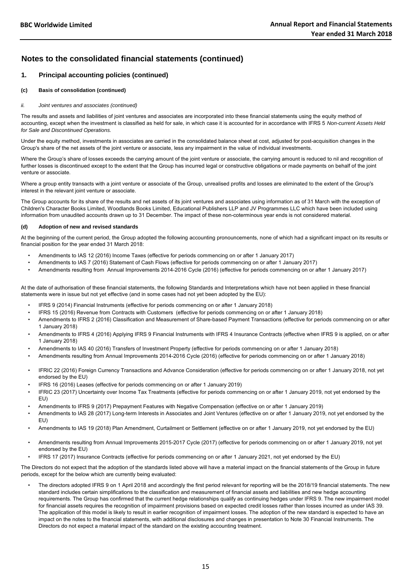## **1. Principal accounting policies (continued)**

### **(c) Basis of consolidation (continued)**

#### *ii. Joint ventures and associates (continued)*

The results and assets and liabilities of joint ventures and associates are incorporated into these financial statements using the equity method of accounting, except when the investment is classified as held for sale, in which case it is accounted for in accordance with IFRS 5 *Non-current Assets Held for Sale and Discontinued Operations.*

Under the equity method, investments in associates are carried in the consolidated balance sheet at cost, adjusted for post-acquisition changes in the Group's share of the net assets of the joint venture or associate, less any impairment in the value of individual investments.

Where the Group's share of losses exceeds the carrying amount of the joint venture or associate, the carrying amount is reduced to nil and recognition of further losses is discontinued except to the extent that the Group has incurred legal or constructive obligations or made payments on behalf of the joint venture or associate.

Where a group entity transacts with a joint venture or associate of the Group, unrealised profits and losses are eliminated to the extent of the Group's interest in the relevant joint venture or associate.

The Group accounts for its share of the results and net assets of its joint ventures and associates using information as of 31 March with the exception of Children's Character Books Limited, Woodlands Books Limited, Educational Publishers LLP and JV Programmes LLC which have been included using information from unaudited accounts drawn up to 31 December. The impact of these non-coterminous year ends is not considered material.

#### **(d) Adoption of new and revised standards**

At the beginning of the current period, the Group adopted the following accounting pronouncements, none of which had a significant impact on its results or financial position for the year ended 31 March 2018:

- Amendments to IAS 12 (2016) Income Taxes (effective for periods commencing on or after 1 January 2017)
- Amendments to IAS 7 (2016) Statement of Cash Flows (effective for periods commencing on or after 1 January 2017)
- Amendments resulting from Annual Improvements 2014-2016 Cycle (2016) (effective for periods commencing on or after 1 January 2017)

At the date of authorisation of these financial statements, the following Standards and Interpretations which have not been applied in these financial statements were in issue but not yet effective (and in some cases had not yet been adopted by the EU):

- IFRS 9 (2014) Financial Instruments (effective for periods commencing on or after 1 January 2018)
- IFRS 15 (2016) Revenue from Contracts with Customers (effective for periods commencing on or after 1 January 2018)
- Amendments to IFRS 2 (2016) Classification and Measurement of Share-based Payment Transactions (effective for periods commencing on or after 1 January 2018)
- Amendments to IFRS 4 (2016) Applying IFRS 9 Financial Instruments with IFRS 4 Insurance Contracts (effective when IFRS 9 is applied, on or after 1 January 2018)
- Amendments to IAS 40 (2016) Transfers of Investment Property (effective for periods commencing on or after 1 January 2018)
- Amendments resulting from Annual Improvements 2014-2016 Cycle (2016) (effective for periods commencing on or after 1 January 2018)
- IFRIC 22 (2016) Foreign Currency Transactions and Advance Consideration (effective for periods commencing on or after 1 January 2018, not yet endorsed by the EU)
- IFRS 16 (2016) Leases (effective for periods commencing on or after 1 January 2019)
- IFRIC 23 (2017) Uncertainty over Income Tax Treatments (effective for periods commencing on or after 1 January 2019, not yet endorsed by the EU)
- Amendments to IFRS 9 (2017) Prepayment Features with Negative Compensation (effective on or after 1 January 2019)
- Amendments to IAS 28 (2017) Long-term Interests in Associates and Joint Ventures (effective on or after 1 January 2019, not yet endorsed by the EU)
- Amendments to IAS 19 (2018) Plan Amendment, Curtailment or Settlement (effective on or after 1 January 2019, not yet endorsed by the EU)
- Amendments resulting from Annual Improvements 2015-2017 Cycle (2017) (effective for periods commencing on or after 1 January 2019, not yet endorsed by the EU)
- IFRS 17 (2017) Insurance Contracts (effective for periods commencing on or after 1 January 2021, not yet endorsed by the EU)

The Directors do not expect that the adoption of the standards listed above will have a material impact on the financial statements of the Group in future periods, except for the below which are currently being evaluated:

• The directors adopted IFRS 9 on 1 April 2018 and accordingly the first period relevant for reporting will be the 2018/19 financial statements. The new standard includes certain simplifications to the classification and measurement of financial assets and liabilities and new hedge accounting requirements. The Group has confirmed that the current hedge relationships qualify as continuing hedges under IFRS 9. The new impairment model for financial assets requires the recognition of impairment provisions based on expected credit losses rather than losses incurred as under IAS 39. The application of this model is likely to result in earlier recognition of impairment losses. The adoption of the new standard is expected to have an impact on the notes to the financial statements, with additional disclosures and changes in presentation to Note 30 Financial Instruments. The Directors do not expect a material impact of the standard on the existing accounting treatment.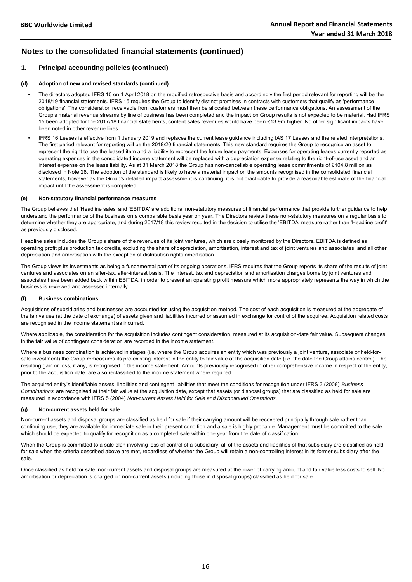## **1. Principal accounting policies (continued)**

#### **(d) Adoption of new and revised standards (continued)**

- The directors adopted IFRS 15 on 1 April 2018 on the modified retrospective basis and accordingly the first period relevant for reporting will be the 2018/19 financial statements. IFRS 15 requires the Group to identify distinct promises in contracts with customers that qualify as 'performance obligations'. The consideration receivable from customers must then be allocated between these performance obligations. An assessment of the Group's material revenue streams by line of business has been completed and the impact on Group results is not expected to be material. Had IFRS 15 been adopted for the 2017/18 financial statements, content sales revenues would have been £13.9m higher. No other significant impacts have been noted in other revenue lines.
- IFRS 16 Leases is effective from 1 January 2019 and replaces the current lease guidance including IAS 17 Leases and the related interpretations. The first period relevant for reporting will be the 2019/20 financial statements. This new standard requires the Group to recognise an asset to represent the right to use the leased item and a liability to represent the future lease payments. Expenses for operating leases currently reported as operating expenses in the consolidated income statement will be replaced with a depreciation expense relating to the right-of-use asset and an interest expense on the lease liability. As at 31 March 2018 the Group has non-cancellable operating lease commitments of £104.8 million as disclosed in Note 28. The adoption of the standard is likely to have a material impact on the amounts recognised in the consolidated financial statements, however as the Group's detailed impact assessment is continuing, it is not practicable to provide a reasonable estimate of the financial impact until the assessment is completed.

#### **(e) Non-statutory financial performance measures**

The Group believes that 'Headline sales' and 'EBITDA' are additional non-statutory measures of financial performance that provide further guidance to help understand the performance of the business on a comparable basis year on year. The Directors review these non-statutory measures on a regular basis to determine whether they are appropriate, and during 2017/18 this review resulted in the decision to utilise the 'EBITDA' measure rather than 'Headline profit' as previously disclosed.

Headline sales includes the Group's share of the revenues of its joint ventures, which are closely monitored by the Directors. EBITDA is defined as operating profit plus production tax credits, excluding the share of depreciation, amortisation, interest and tax of joint ventures and associates, and all other depreciation and amortisation with the exception of distribution rights amortisation.

The Group views its investments as being a fundamental part of its ongoing operations. IFRS requires that the Group reports its share of the results of joint ventures and associates on an after-tax, after-interest basis. The interest, tax and depreciation and amortisation charges borne by joint ventures and associates have been added back within EBITDA, in order to present an operating profit measure which more appropriately represents the way in which the business is reviewed and assessed internally.

#### **(f) Business combinations**

Acquisitions of subsidiaries and businesses are accounted for using the acquisition method. The cost of each acquisition is measured at the aggregate of the fair values (at the date of exchange) of assets given and liabilities incurred or assumed in exchange for control of the acquiree. Acquisition related costs are recognised in the income statement as incurred.

Where applicable, the consideration for the acquisition includes contingent consideration, measured at its acquisition-date fair value. Subsequent changes in the fair value of contingent consideration are recorded in the income statement.

Where a business combination is achieved in stages (i.e. where the Group acquires an entity which was previously a joint venture, associate or held-forsale investment) the Group remeasures its pre-existing interest in the entity to fair value at the acquisition date (i.e. the date the Group attains control). The resulting gain or loss, if any, is recognised in the income statement. Amounts previously recognised in other comprehensive income in respect of the entity, prior to the acquisition date, are also reclassified to the income statement where required.

The acquired entity's identifiable assets, liabilities and contingent liabilities that meet the conditions for recognition under IFRS 3 (2008) *Business Combinations* are recognised at their fair value at the acquisition date, except that assets (or disposal groups) that are classified as held for sale are measured in accordance with IFRS 5 (2004) *Non-current Assets Held for Sale and Discontinued Operations.*

#### **(g) Non-current assets held for sale**

Non-current assets and disposal groups are classified as held for sale if their carrying amount will be recovered principally through sale rather than continuing use, they are available for immediate sale in their present condition and a sale is highly probable. Management must be committed to the sale which should be expected to qualify for recognition as a completed sale within one year from the date of classification.

When the Group is committed to a sale plan involving loss of control of a subsidiary, all of the assets and liabilities of that subsidiary are classified as held for sale when the criteria described above are met, regardless of whether the Group will retain a non-controlling interest in its former subsidiary after the sale.

Once classified as held for sale, non-current assets and disposal groups are measured at the lower of carrying amount and fair value less costs to sell. No amortisation or depreciation is charged on non-current assets (including those in disposal groups) classified as held for sale.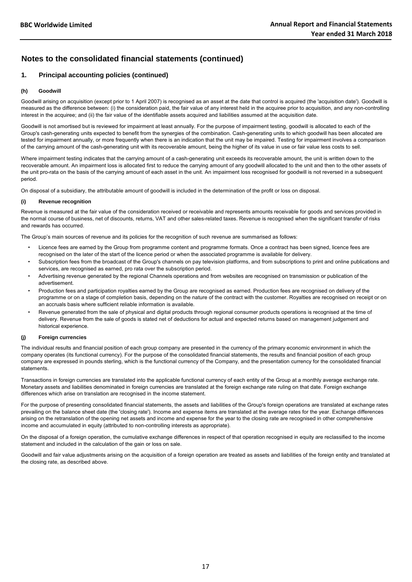## **1. Principal accounting policies (continued)**

#### **(h) Goodwill**

Goodwill arising on acquisition (except prior to 1 April 2007) is recognised as an asset at the date that control is acquired (the 'acquisition date'). Goodwill is measured as the difference between: (i) the consideration paid, the fair value of any interest held in the acquiree prior to acquisition, and any non-controlling interest in the acquiree; and (ii) the fair value of the identifiable assets acquired and liabilities assumed at the acquisition date.

Goodwill is not amortised but is reviewed for impairment at least annually. For the purpose of impairment testing, goodwill is allocated to each of the Group's cash-generating units expected to benefit from the synergies of the combination. Cash-generating units to which goodwill has been allocated are tested for impairment annually, or more frequently when there is an indication that the unit may be impaired. Testing for impairment involves a comparison of the carrying amount of the cash-generating unit with its recoverable amount, being the higher of its value in use or fair value less costs to sell.

Where impairment testing indicates that the carrying amount of a cash-generating unit exceeds its recoverable amount, the unit is written down to the recoverable amount. An impairment loss is allocated first to reduce the carrying amount of any goodwill allocated to the unit and then to the other assets of the unit pro-rata on the basis of the carrying amount of each asset in the unit. An impairment loss recognised for goodwill is not reversed in a subsequent period.

On disposal of a subsidiary, the attributable amount of goodwill is included in the determination of the profit or loss on disposal.

#### **(i) Revenue recognition**

Revenue is measured at the fair value of the consideration received or receivable and represents amounts receivable for goods and services provided in the normal course of business, net of discounts, returns, VAT and other sales-related taxes. Revenue is recognised when the significant transfer of risks and rewards has occurred.

The Group's main sources of revenue and its policies for the recognition of such revenue are summarised as follows:

- Licence fees are earned by the Group from programme content and programme formats. Once a contract has been signed, licence fees are recognised on the later of the start of the licence period or when the associated programme is available for delivery.
- Subscription fees from the broadcast of the Group's channels on pay television platforms, and from subscriptions to print and online publications and services, are recognised as earned, pro rata over the subscription period.
- Advertising revenue generated by the regional Channels operations and from websites are recognised on transmission or publication of the advertisement.
- Production fees and participation royalties earned by the Group are recognised as earned. Production fees are recognised on delivery of the programme or on a stage of completion basis, depending on the nature of the contract with the customer. Royalties are recognised on receipt or on an accruals basis where sufficient reliable information is available.
- Revenue generated from the sale of physical and digital products through regional consumer products operations is recognised at the time of delivery. Revenue from the sale of goods is stated net of deductions for actual and expected returns based on management judgement and historical experience.

#### **(j) Foreign currencies**

The individual results and financial position of each group company are presented in the currency of the primary economic environment in which the company operates (its functional currency). For the purpose of the consolidated financial statements, the results and financial position of each group company are expressed in pounds sterling, which is the functional currency of the Company, and the presentation currency for the consolidated financial statements.

Transactions in foreign currencies are translated into the applicable functional currency of each entity of the Group at a monthly average exchange rate. Monetary assets and liabilities denominated in foreign currencies are translated at the foreign exchange rate ruling on that date. Foreign exchange differences which arise on translation are recognised in the income statement.

For the purpose of presenting consolidated financial statements, the assets and liabilities of the Group's foreign operations are translated at exchange rates prevailing on the balance sheet date (the 'closing rate'). Income and expense items are translated at the average rates for the year. Exchange differences arising on the retranslation of the opening net assets and income and expense for the year to the closing rate are recognised in other comprehensive income and accumulated in equity (attributed to non-controlling interests as appropriate).

On the disposal of a foreign operation, the cumulative exchange differences in respect of that operation recognised in equity are reclassified to the income statement and included in the calculation of the gain or loss on sale.

Goodwill and fair value adjustments arising on the acquisition of a foreign operation are treated as assets and liabilities of the foreign entity and translated at the closing rate, as described above.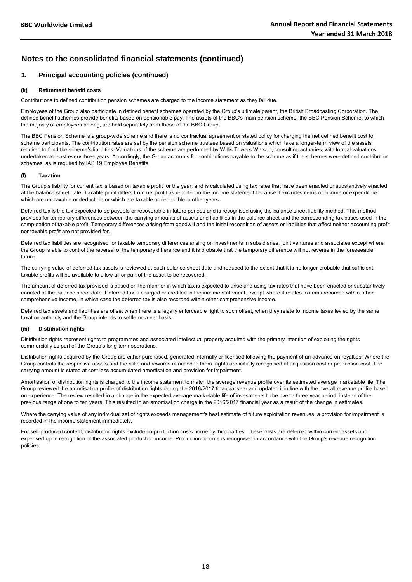## **1. Principal accounting policies (continued)**

#### **(k) Retirement benefit costs**

Contributions to defined contribution pension schemes are charged to the income statement as they fall due.

Employees of the Group also participate in defined benefit schemes operated by the Group's ultimate parent, the British Broadcasting Corporation. The defined benefit schemes provide benefits based on pensionable pay. The assets of the BBC's main pension scheme, the BBC Pension Scheme, to which the majority of employees belong, are held separately from those of the BBC Group.

The BBC Pension Scheme is a group-wide scheme and there is no contractual agreement or stated policy for charging the net defined benefit cost to scheme participants. The contribution rates are set by the pension scheme trustees based on valuations which take a longer-term view of the assets required to fund the scheme's liabilities. Valuations of the scheme are performed by Willis Towers Watson, consulting actuaries, with formal valuations undertaken at least every three years. Accordingly, the Group accounts for contributions payable to the scheme as if the schemes were defined contribution schemes, as is required by IAS 19 Employee Benefits.

#### **(l) Taxation**

The Group's liability for current tax is based on taxable profit for the year, and is calculated using tax rates that have been enacted or substantively enacted at the balance sheet date. Taxable profit differs from net profit as reported in the income statement because it excludes items of income or expenditure which are not taxable or deductible or which are taxable or deductible in other years.

Deferred tax is the tax expected to be payable or recoverable in future periods and is recognised using the balance sheet liability method. This method provides for temporary differences between the carrying amounts of assets and liabilities in the balance sheet and the corresponding tax bases used in the computation of taxable profit. Temporary differences arising from goodwill and the initial recognition of assets or liabilities that affect neither accounting profit nor taxable profit are not provided for.

Deferred tax liabilities are recognised for taxable temporary differences arising on investments in subsidiaries, joint ventures and associates except where the Group is able to control the reversal of the temporary difference and it is probable that the temporary difference will not reverse in the foreseeable future.

The carrying value of deferred tax assets is reviewed at each balance sheet date and reduced to the extent that it is no longer probable that sufficient taxable profits will be available to allow all or part of the asset to be recovered.

The amount of deferred tax provided is based on the manner in which tax is expected to arise and using tax rates that have been enacted or substantively enacted at the balance sheet date. Deferred tax is charged or credited in the income statement, except where it relates to items recorded within other comprehensive income, in which case the deferred tax is also recorded within other comprehensive income.

Deferred tax assets and liabilities are offset when there is a legally enforceable right to such offset, when they relate to income taxes levied by the same taxation authority and the Group intends to settle on a net basis.

#### **(m) Distribution rights**

Distribution rights represent rights to programmes and associated intellectual property acquired with the primary intention of exploiting the rights commercially as part of the Group's long-term operations.

Distribution rights acquired by the Group are either purchased, generated internally or licensed following the payment of an advance on royalties. Where the Group controls the respective assets and the risks and rewards attached to them, rights are initially recognised at acquisition cost or production cost. The carrying amount is stated at cost less accumulated amortisation and provision for impairment.

Amortisation of distribution rights is charged to the income statement to match the average revenue profile over its estimated average marketable life. The Group reviewed the amortisation profile of distribution rights during the 2016/2017 financial year and updated it in line with the overall revenue profile based on experience. The review resulted in a change in the expected average marketable life of investments to be over a three year period, instead of the previous range of one to ten years. This resulted in an amortisation charge in the 2016/2017 financial year as a result of the change in estimates.

Where the carrying value of any individual set of rights exceeds management's best estimate of future exploitation revenues, a provision for impairment is recorded in the income statement immediately.

For self-produced content, distribution rights exclude co-production costs borne by third parties. These costs are deferred within current assets and expensed upon recognition of the associated production income. Production income is recognised in accordance with the Group's revenue recognition policies.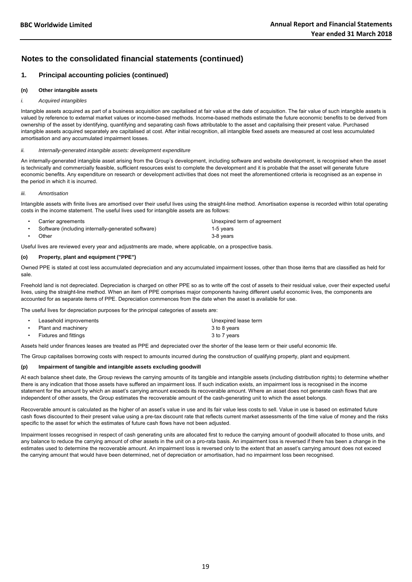### **1. Principal accounting policies (continued)**

#### **(n) Other intangible assets**

#### *i. Acquired intangibles*

Intangible assets acquired as part of a business acquisition are capitalised at fair value at the date of acquisition. The fair value of such intangible assets is valued by reference to external market values or income-based methods. Income-based methods estimate the future economic benefits to be derived from ownership of the asset by identifying, quantifying and separating cash flows attributable to the asset and capitalising their present value. Purchased intangible assets acquired separately are capitalised at cost. After initial recognition, all intangible fixed assets are measured at cost less accumulated amortisation and any accumulated impairment losses.

#### *ii. Internally-generated intangible assets: development expenditure*

An internally-generated intangible asset arising from the Group's development, including software and website development, is recognised when the asset is technically and commercially feasible, sufficient resources exist to complete the development and it is probable that the asset will generate future economic benefits. Any expenditure on research or development activities that does not meet the aforementioned criteria is recognised as an expense in the period in which it is incurred.

#### *iii. Amortisation*

Intangible assets with finite lives are amortised over their useful lives using the straight-line method. Amortisation expense is recorded within total operating costs in the income statement. The useful lives used for intangible assets are as follows:

| Carrier agreements                                 | Unexpired term of agreement |
|----------------------------------------------------|-----------------------------|
| Software (including internally-generated software) | 1-5 vears                   |
| Other                                              | 3-8 vears                   |

Useful lives are reviewed every year and adjustments are made, where applicable, on a prospective basis.

#### **(o) Property, plant and equipment ("PPE")**

Owned PPE is stated at cost less accumulated depreciation and any accumulated impairment losses, other than those items that are classified as held for sale.

Freehold land is not depreciated. Depreciation is charged on other PPE so as to write off the cost of assets to their residual value, over their expected useful lives, using the straight-line method. When an item of PPE comprises major components having different useful economic lives, the components are accounted for as separate items of PPE. Depreciation commences from the date when the asset is available for use.

The useful lives for depreciation purposes for the principal categories of assets are:

| Leasehold improvements | Unexpired lease term |
|------------------------|----------------------|
| Plant and machinery    | 3 to 8 years         |
| Fixtures and fittings  | 3 to 7 years         |

Assets held under finances leases are treated as PPE and depreciated over the shorter of the lease term or their useful economic life.

The Group capitalises borrowing costs with respect to amounts incurred during the construction of qualifying property, plant and equipment.

#### **(p) Impairment of tangible and intangible assets excluding goodwill**

At each balance sheet date, the Group reviews the carrying amounts of its tangible and intangible assets (including distribution rights) to determine whether there is any indication that those assets have suffered an impairment loss. If such indication exists, an impairment loss is recognised in the income statement for the amount by which an asset's carrying amount exceeds its recoverable amount. Where an asset does not generate cash flows that are independent of other assets, the Group estimates the recoverable amount of the cash-generating unit to which the asset belongs.

Recoverable amount is calculated as the higher of an asset's value in use and its fair value less costs to sell. Value in use is based on estimated future cash flows discounted to their present value using a pre-tax discount rate that reflects current market assessments of the time value of money and the risks specific to the asset for which the estimates of future cash flows have not been adjusted.

Impairment losses recognised in respect of cash generating units are allocated first to reduce the carrying amount of goodwill allocated to those units, and any balance to reduce the carrying amount of other assets in the unit on a pro-rata basis. An impairment loss is reversed if there has been a change in the estimates used to determine the recoverable amount. An impairment loss is reversed only to the extent that an asset's carrying amount does not exceed the carrying amount that would have been determined, net of depreciation or amortisation, had no impairment loss been recognised.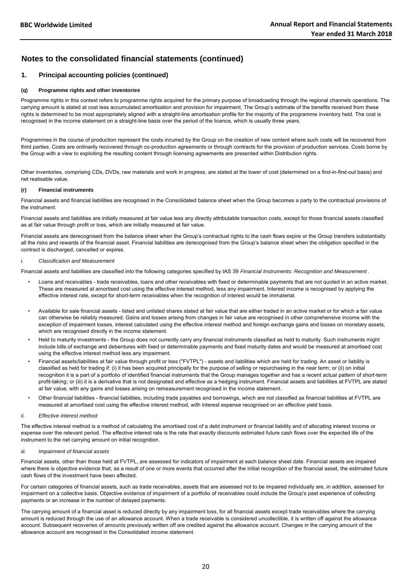## **1. Principal accounting policies (continued)**

#### **(q) Programme rights and other inventories**

Programme rights in this context refers to programme rights acquired for the primary purpose of broadcasting through the regional channels operations. The carrying amount is stated at cost less accumulated amortisation and provision for impairment. The Group's estimate of the benefits received from these rights is determined to be most appropriately aligned with a straight-line amortisation profile for the majority of the programme inventory held. The cost is recognised in the income statement on a straight-line basis over the period of the licence, which is usually three years.

Programmes in the course of production represent the costs incurred by the Group on the creation of new content where such costs will be recovered from third parties. Costs are ordinarily recovered through co-production agreements or through contracts for the provision of production services. Costs borne by the Group with a view to exploiting the resulting content through licensing agreements are presented within Distribution rights.

Other inventories, comprising CDs, DVDs, raw materials and work in progress, are stated at the lower of cost (determined on a first-in-first-out basis) and net realisable value.

#### **(r) Financial instruments**

Financial assets and financial liabilities are recognised in the Consolidated balance sheet when the Group becomes a party to the contractual provisions of the instrument.

Financial assets and liabilities are initially measured at fair value less any directly attributable transaction costs, except for those financial assets classified as at fair value through profit or loss, which are initially measured at fair value.

Financial assets are derecognised from the balance sheet when the Group's contractual rights to the cash flows expire or the Group transfers substantially all the risks and rewards of the financial asset. Financial liabilities are derecognised from the Group's balance sheet when the obligation specified in the contract is discharged, cancelled or expires.

#### *i. Classification and Measurement*

Financial assets and liabilities are classified into the following categories specified by IAS 39 *Financial Instruments: Recognition and Measurement* .

- Loans and receivables - trade receivables, loans and other receivables with fixed or determinable payments that are not quoted in an active market. These are measured at amortised cost using the effective interest method, less any impairment. Interest income is recognised by applying the effective interest rate, except for short-term receivables when the recognition of interest would be immaterial.
- Available for sale financial assets - listed and unlisted shares stated at fair value that are either traded in an active market or for which a fair value can otherwise be reliably measured. Gains and losses arising from changes in fair value are recognised in other comprehensive income with the exception of impairment losses, interest calculated using the effective interest method and foreign exchange gains and losses on monetary assets, which are recognised directly in the income statement.
- Held to maturity investments - the Group does not currently carry any financial instruments classified as held to maturity. Such instruments might include bills of exchange and debentures with fixed or determinable payments and fixed maturity dates and would be measured at amortised cost using the effective interest method less any impairment.
- Financial assets/liabilities at fair value through profit or loss ("FVTPL") - assets and liabilities which are held for trading. An asset or liability is classified as held for trading if: (i) it has been acquired principally for the purpose of selling or repurchasing in the near term; or (ii) on initial recognition it is a part of a portfolio of identified financial instruments that the Group manages together and has a recent actual pattern of short-term profit-taking; or (iii) it is a derivative that is not designated and effective as a hedging instrument. Financial assets and liabilities at FVTPL are stated at fair value, with any gains and losses arising on remeasurement recognised in the income statement.
- Other financial liabilities - financial liabilities, including trade payables and borrowings, which are not classified as financial liabilities at FVTPL are measured at amortised cost using the effective interest method, with interest expense recognised on an effective yield basis.

#### *ii. Effective interest method*

The effective interest method is a method of calculating the amortised cost of a debt instrument or financial liability and of allocating interest income or expense over the relevant period. The effective interest rate is the rate that exactly discounts estimated future cash flows over the expected life of the instrument to the net carrying amount on initial recognition.

#### *iii. Impairment of financial assets*

Financial assets, other than those held at FVTPL, are assessed for indicators of impairment at each balance sheet date. Financial assets are impaired where there is objective evidence that, as a result of one or more events that occurred after the initial recognition of the financial asset, the estimated future cash flows of the investment have been affected.

For certain categories of financial assets, such as trade receivables, assets that are assessed not to be impaired individually are, in addition, assessed for impairment on a collective basis. Objective evidence of impairment of a portfolio of receivables could include the Group's past experience of collecting payments or an increase in the number of delayed payments.

The carrying amount of a financial asset is reduced directly by any impairment loss, for all financial assets except trade receivables where the carrying amount is reduced through the use of an allowance account. When a trade receivable is considered uncollectible, it is written off against the allowance account. Subsequent recoveries of amounts previously written off are credited against the allowance account. Changes in the carrying amount of the allowance account are recognised in the Consolidated income statement.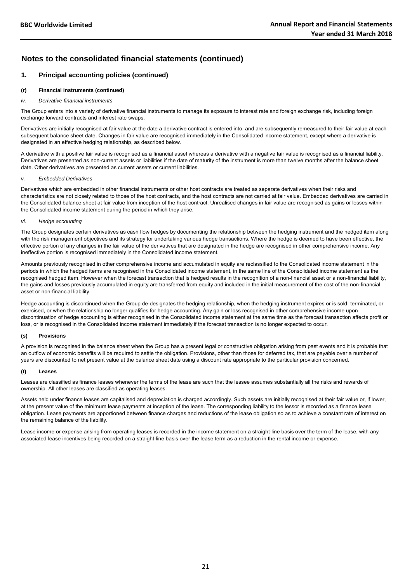### **1. Principal accounting policies (continued)**

### **(r) Financial instruments (continued)**

#### *iv. Derivative financial instruments*

The Group enters into a variety of derivative financial instruments to manage its exposure to interest rate and foreign exchange risk, including foreign exchange forward contracts and interest rate swaps.

Derivatives are initially recognised at fair value at the date a derivative contract is entered into, and are subsequently remeasured to their fair value at each subsequent balance sheet date. Changes in fair value are recognised immediately in the Consolidated income statement, except where a derivative is designated in an effective hedging relationship, as described below.

A derivative with a positive fair value is recognised as a financial asset whereas a derivative with a negative fair value is recognised as a financial liability. Derivatives are presented as non-current assets or liabilities if the date of maturity of the instrument is more than twelve months after the balance sheet date. Other derivatives are presented as current assets or current liabilities.

#### *v. Embedded Derivatives*

Derivatives which are embedded in other financial instruments or other host contracts are treated as separate derivatives when their risks and characteristics are not closely related to those of the host contracts, and the host contracts are not carried at fair value. Embedded derivatives are carried in the Consolidated balance sheet at fair value from inception of the host contract. Unrealised changes in fair value are recognised as gains or losses within the Consolidated income statement during the period in which they arise.

#### *vi. Hedge accounting*

The Group designates certain derivatives as cash flow hedges by documenting the relationship between the hedging instrument and the hedged item along with the risk management objectives and its strategy for undertaking various hedge transactions. Where the hedge is deemed to have been effective, the effective portion of any changes in the fair value of the derivatives that are designated in the hedge are recognised in other comprehensive income. Any ineffective portion is recognised immediately in the Consolidated income statement.

Amounts previously recognised in other comprehensive income and accumulated in equity are reclassified to the Consolidated income statement in the periods in which the hedged items are recognised in the Consolidated income statement, in the same line of the Consolidated income statement as the recognised hedged item. However when the forecast transaction that is hedged results in the recognition of a non-financial asset or a non-financial liability, the gains and losses previously accumulated in equity are transferred from equity and included in the initial measurement of the cost of the non-financial asset or non-financial liability.

Hedge accounting is discontinued when the Group de-designates the hedging relationship, when the hedging instrument expires or is sold, terminated, or exercised, or when the relationship no longer qualifies for hedge accounting. Any gain or loss recognised in other comprehensive income upon discontinuation of hedge accounting is either recognised in the Consolidated income statement at the same time as the forecast transaction affects profit or loss, or is recognised in the Consolidated income statement immediately if the forecast transaction is no longer expected to occur.

#### **(s) Provisions**

A provision is recognised in the balance sheet when the Group has a present legal or constructive obligation arising from past events and it is probable that an outflow of economic benefits will be required to settle the obligation. Provisions, other than those for deferred tax, that are payable over a number of years are discounted to net present value at the balance sheet date using a discount rate appropriate to the particular provision concerned.

#### **(t) Leases**

Leases are classified as finance leases whenever the terms of the lease are such that the lessee assumes substantially all the risks and rewards of ownership. All other leases are classified as operating leases.

Assets held under finance leases are capitalised and depreciation is charged accordingly. Such assets are initially recognised at their fair value or, if lower, at the present value of the minimum lease payments at inception of the lease. The corresponding liability to the lessor is recorded as a finance lease obligation. Lease payments are apportioned between finance charges and reductions of the lease obligation so as to achieve a constant rate of interest on the remaining balance of the liability.

Lease income or expense arising from operating leases is recorded in the income statement on a straight-line basis over the term of the lease, with any associated lease incentives being recorded on a straight-line basis over the lease term as a reduction in the rental income or expense.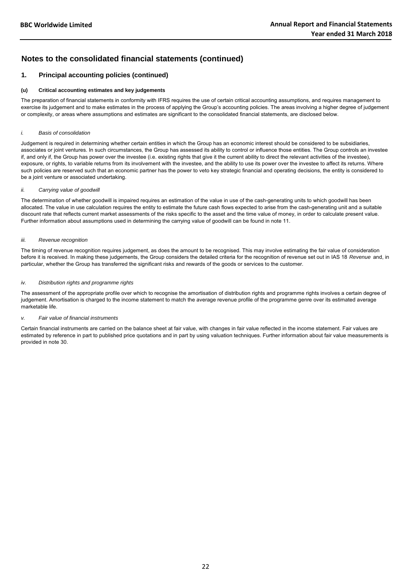## **1. Principal accounting policies (continued)**

#### **(u) Critical accounting estimates and key judgements**

The preparation of financial statements in conformity with IFRS requires the use of certain critical accounting assumptions, and requires management to exercise its judgement and to make estimates in the process of applying the Group's accounting policies. The areas involving a higher degree of judgement or complexity, or areas where assumptions and estimates are significant to the consolidated financial statements, are disclosed below.

#### *i. Basis of consolidation*

Judgement is required in determining whether certain entities in which the Group has an economic interest should be considered to be subsidiaries, associates or joint ventures. In such circumstances, the Group has assessed its ability to control or influence those entities. The Group controls an investee if, and only if, the Group has power over the investee (i.e. existing rights that give it the current ability to direct the relevant activities of the investee), exposure, or rights, to variable returns from its involvement with the investee, and the ability to use its power over the investee to affect its returns. Where such policies are reserved such that an economic partner has the power to veto key strategic financial and operating decisions, the entity is considered to be a joint venture or associated undertaking.

#### *ii. Carrying value of goodwill*

The determination of whether goodwill is impaired requires an estimation of the value in use of the cash-generating units to which goodwill has been allocated. The value in use calculation requires the entity to estimate the future cash flows expected to arise from the cash-generating unit and a suitable discount rate that reflects current market assessments of the risks specific to the asset and the time value of money, in order to calculate present value. Further information about assumptions used in determining the carrying value of goodwill can be found in note 11.

#### *iii. Revenue recognition*

The timing of revenue recognition requires judgement, as does the amount to be recognised. This may involve estimating the fair value of consideration before it is received. In making these judgements, the Group considers the detailed criteria for the recognition of revenue set out in IAS 18 *Revenue* and, in particular, whether the Group has transferred the significant risks and rewards of the goods or services to the customer.

#### *iv. Distribution rights and programme rights*

The assessment of the appropriate profile over which to recognise the amortisation of distribution rights and programme rights involves a certain degree of judgement. Amortisation is charged to the income statement to match the average revenue profile of the programme genre over its estimated average marketable life.

#### *v. Fair value of financial instruments*

Certain financial instruments are carried on the balance sheet at fair value, with changes in fair value reflected in the income statement. Fair values are estimated by reference in part to published price quotations and in part by using valuation techniques. Further information about fair value measurements is provided in note 30.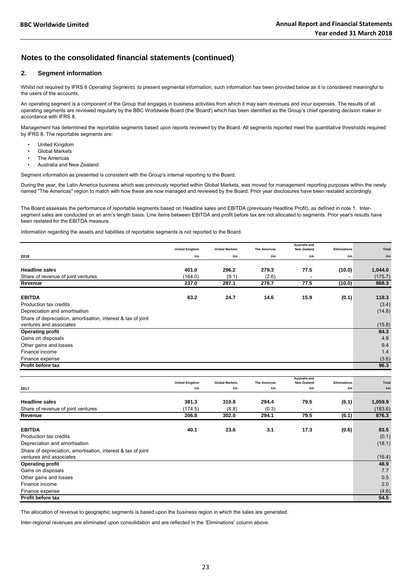### **2. Segment information**

Whilst not required by IFRS 8 *Operating Segments* to present segmental information, such information has been provided below as it is considered meaningful to the users of the accounts.

An operating segment is a component of the Group that engages in business activities from which it may earn revenues and incur expenses. The results of all operating segments are reviewed regularly by the BBC Worldwide Board (the 'Board') which has been identified as the Group's chief operating decision maker in accordance with IFRS 8.

Management has determined the reportable segments based upon reports reviewed by the Board. All segments reported meet the quantitative thresholds required by IFRS 8. The reportable segments are:

- United Kingdom
- Global Markets
- The Americas
- Australia and New Zealand

Segment information as presented is consistent with the Group's internal reporting to the Board.

During the year, the Latin America business which was previously reported within Global Markets, was moved for management reporting purposes within the newly named "The Americas" region to match with how these are now managed and reviewed by the Board. Prior year disclosures have been restated accordingly.

The Board assesses the performance of reportable segments based on Headline sales and EBITDA (previously Headline Profit), as defined in note 1. Intersegment sales are conducted on an arm's length basis. Line items between EBITDA and profit before tax are not allocated to segments. Prior year's results have been restated for the EBITDA measure.

Information regarding the assets and liabilities of reportable segments is not reported to the Board.

|                                                              | <b>United Kingdom</b> | <b>Global Markets</b> | <b>The Americas</b> | Australia and<br><b>New Zealand</b>        | <b>Eliminations</b> | <b>Total</b> |
|--------------------------------------------------------------|-----------------------|-----------------------|---------------------|--------------------------------------------|---------------------|--------------|
| 2018                                                         | £m                    | £m                    | £m                  | £m                                         | £m                  | £m           |
|                                                              |                       |                       |                     |                                            |                     |              |
| <b>Headline sales</b>                                        | 401.0                 | 296.2                 | 279.3               | 77.5                                       | (10.0)              | 1,044.0      |
| Share of revenue of joint ventures                           | (164.0)               | (9.1)                 | (2.6)               |                                            |                     | (175.7)      |
| Revenue                                                      | 237.0                 | 287.1                 | 276.7               | 77.5                                       | (10.0)              | 868.3        |
| <b>EBITDA</b>                                                | 63.2                  | 24.7                  | 14.6                | 15.9                                       |                     | 118.3        |
| Production tax credits                                       |                       |                       |                     |                                            | (0.1)               | (3.4)        |
| Depreciation and amortisation                                |                       |                       |                     |                                            |                     | (14.8)       |
| Share of depreciation, amortisation, interest & tax of joint |                       |                       |                     |                                            |                     |              |
| ventures and associates                                      |                       |                       |                     |                                            |                     | (15.8)       |
| <b>Operating profit</b>                                      |                       |                       |                     |                                            |                     | 84.3         |
| Gains on disposals                                           |                       |                       |                     |                                            |                     | 4.8          |
| Other gains and losses                                       |                       |                       |                     |                                            |                     | 9.4          |
| Finance income                                               |                       |                       |                     |                                            |                     | 1.4          |
| Finance expense                                              |                       |                       |                     |                                            |                     | (3.6)        |
| Profit before tax                                            |                       |                       |                     |                                            |                     | 96.3         |
|                                                              |                       |                       |                     |                                            |                     |              |
|                                                              | <b>United Kingdom</b> | <b>Global Markets</b> | <b>The Americas</b> | <b>Australia and</b><br><b>New Zealand</b> | <b>Eliminations</b> | <b>Total</b> |
| 2017                                                         | £m                    | £m                    | £m                  | £m                                         | £m                  | £m           |
|                                                              |                       |                       |                     |                                            |                     |              |
| <b>Headline sales</b>                                        | 381.3                 | 310.8                 | 294.4               | 79.5                                       | (6.1)               | 1,059.9      |
| Share of revenue of joint ventures                           | (174.5)               | (8.8)                 | (0.3)               |                                            |                     | (183.6)      |
| Revenue                                                      | 206.8                 | 302.0                 | 294.1               | 79.5                                       | (6.1)               | 876.3        |
| <b>EBITDA</b>                                                | 40.1                  | 23.6                  | 3.1                 | 17.3                                       | (0.6)               | 83.5         |
| Production tax credits                                       |                       |                       |                     |                                            |                     | (0.1)        |
| Depreciation and amortisation                                |                       |                       |                     |                                            |                     | (18.1)       |
| Share of depreciation, amortisation, interest & tax of joint |                       |                       |                     |                                            |                     |              |
| ventures and associates                                      |                       |                       |                     |                                            |                     | (16.4)       |
| <b>Operating profit</b>                                      |                       |                       |                     |                                            |                     | 48.9         |
| Gains on disposals                                           |                       |                       |                     |                                            |                     | 7.7          |
| Other gains and losses                                       |                       |                       |                     |                                            |                     | 0.5          |
| Finance income                                               |                       |                       |                     |                                            |                     | 2.0          |
| Finance expense                                              |                       |                       |                     |                                            |                     | (4.6)        |

**Profit before tax 54.5**

The allocation of revenue to geographic segments is based upon the business region in which the sales are generated.

Inter-regional revenues are eliminated upon consolidation and are reflected in the 'Eliminations' column above.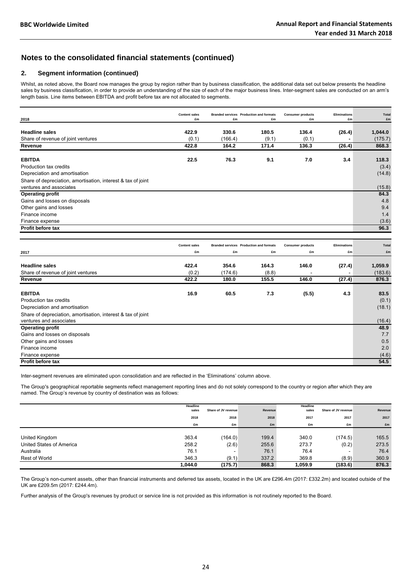## **2. Segment information (continued)**

Whilst, as noted above, the Board now manages the group by region rather than by business classification, the additional data set out below presents the headline sales by business classification, in order to provide an understanding of the size of each of the major business lines. Inter-segment sales are conducted on an arm's length basis. Line items between EBITDA and profit before tax are not allocated to segments.

|                                                              | <b>Content sales</b> | <b>Branded services Production and formats</b> |       | <b>Consumer products</b> | <b>Eliminations</b> | <b>Total</b> |
|--------------------------------------------------------------|----------------------|------------------------------------------------|-------|--------------------------|---------------------|--------------|
| 2018                                                         | £m                   | £m                                             | £m    | £m                       | £m                  | £m           |
| <b>Headline sales</b>                                        | 422.9                | 330.6                                          | 180.5 | 136.4                    | (26.4)              | 1,044.0      |
| Share of revenue of joint ventures                           | (0.1)                | (166.4)                                        | (9.1) | (0.1)                    |                     | (175.7)      |
| Revenue                                                      | 422.8                | 164.2                                          | 171.4 | 136.3                    | (26.4)              | 868.3        |
| <b>EBITDA</b>                                                | 22.5                 | 76.3                                           | 9.1   | 7.0                      | 3.4                 | 118.3        |
| Production tax credits                                       |                      |                                                |       |                          |                     | (3.4)        |
| Depreciation and amortisation                                |                      |                                                |       |                          |                     | (14.8)       |
| Share of depreciation, amortisation, interest & tax of joint |                      |                                                |       |                          |                     |              |
| ventures and associates                                      |                      |                                                |       |                          |                     | (15.8)       |
| <b>Operating profit</b>                                      |                      |                                                |       |                          |                     | 84.3         |
| Gains and losses on disposals                                |                      |                                                |       |                          |                     | 4.8          |
| Other gains and losses                                       |                      |                                                |       |                          |                     | 9.4          |
| Finance income                                               |                      |                                                |       |                          |                     | 1.4          |
| Finance expense                                              |                      |                                                |       |                          |                     | (3.6)        |
| Profit before tax                                            |                      |                                                |       |                          |                     | 96.3         |
|                                                              | <b>Content sales</b> | Branded services Production and formats        |       | <b>Consumer products</b> | <b>Eliminations</b> | Total        |

|                                                              | <b>Content sales</b> |         | <b>Branded services Production and formats</b> | <b>Consumer products</b> | <b>Eliminations</b> | Total   |
|--------------------------------------------------------------|----------------------|---------|------------------------------------------------|--------------------------|---------------------|---------|
| 2017                                                         | £m                   | £m      | £m                                             | £m                       | £m                  | £m      |
| <b>Headline sales</b>                                        | 422.4                | 354.6   | 164.3                                          | 146.0                    | (27.4)              | 1,059.9 |
| Share of revenue of joint ventures                           | (0.2)                | (174.6) | (8.8)                                          |                          |                     | (183.6) |
| Revenue                                                      | 422.2                | 180.0   | 155.5                                          | 146.0                    | (27.4)              | 876.3   |
| <b>EBITDA</b>                                                | 16.9                 | 60.5    | 7.3                                            | (5.5)                    | 4.3                 | 83.5    |
| Production tax credits                                       |                      |         |                                                |                          |                     | (0.1)   |
| Depreciation and amortisation                                |                      |         |                                                |                          |                     | (18.1)  |
| Share of depreciation, amortisation, interest & tax of joint |                      |         |                                                |                          |                     |         |
| ventures and associates                                      |                      |         |                                                |                          |                     | (16.4)  |
| <b>Operating profit</b>                                      |                      |         |                                                |                          |                     | 48.9    |
| Gains and losses on disposals                                |                      |         |                                                |                          |                     | 7.7     |
| Other gains and losses                                       |                      |         |                                                |                          |                     | 0.5     |
| Finance income                                               |                      |         |                                                |                          |                     | 2.0     |
| Finance expense                                              |                      |         |                                                |                          |                     | (4.6)   |
| <b>Profit before tax</b>                                     |                      |         |                                                |                          |                     | 54.5    |

Inter-segment revenues are eliminated upon consolidation and are reflected in the 'Eliminations' column above.

The Group's geographical reportable segments reflect management reporting lines and do not solely correspond to the country or region after which they are named. The Group's revenue by country of destination was as follows:

|                          | Headline |                          |         | Headline |                          |         |
|--------------------------|----------|--------------------------|---------|----------|--------------------------|---------|
|                          | sales    | Share of JV revenue      | Revenue | sales    | Share of JV revenue      | Revenue |
|                          | 2018     | 2018                     | 2018    | 2017     | 2017                     | 2017    |
|                          | £m       | £m                       | £m      | £m       | £m                       | £m      |
|                          |          |                          |         |          |                          |         |
| United Kingdom           | 363.4    | (164.0)                  | 199.4   | 340.0    | (174.5)                  | 165.5   |
| United States of America | 258.2    | (2.6)                    | 255.6   | 273.7    | (0.2)                    | 273.5   |
| Australia                | 76.1     | $\overline{\phantom{0}}$ | 76.1    | 76.4     | $\overline{\phantom{a}}$ | 76.4    |
| <b>Rest of World</b>     | 346.3    | (9.1)                    | 337.2   | 369.8    | (8.9)                    | 360.9   |
|                          | 1,044.0  | (175.7)                  | 868.3   | 1,059.9  | (183.6)                  | 876.3   |

The Group's non-current assets, other than financial instruments and deferred tax assets, located in the UK are £296.4m (2017: £332.2m) and located outside of the UK are £209.5m (2017: £244.4m).

Further analysis of the Group's revenues by product or service line is not provided as this information is not routinely reported to the Board.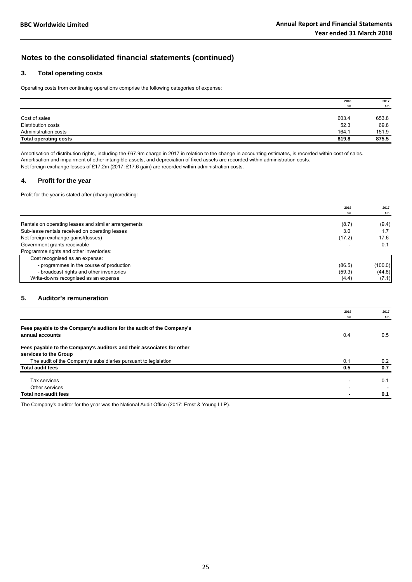## **3. Total operating costs**

Operating costs from continuing operations comprise the following categories of expense:

|                              | 2018  | 2017  |
|------------------------------|-------|-------|
|                              | £m    | £m    |
|                              |       |       |
| Cost of sales                | 603.4 | 653.8 |
| Distribution costs           | 52.3  | 69.8  |
| Administration costs         | 164.1 | 151.9 |
| <b>Total operating costs</b> | 819.8 | 875.5 |

Net foreign exchange losses of £17.2m (2017: £17.6 gain) are recorded within administration costs. Amortisation of distribution rights, including the £67.9m charge in 2017 in relation to the change in accounting estimates, is recorded within cost of sales. Amortisation and impairment of other intangible assets, and depreciation of fixed assets are recorded within administration costs.

## **4. Profit for the year**

Profit for the year is stated after (charging)/crediting:

|                                                      | 2018   | 2017    |
|------------------------------------------------------|--------|---------|
|                                                      | £m     | £m      |
| Rentals on operating leases and similar arrangements | (8.7)  | (9.4)   |
| Sub-lease rentals received on operating leases       | 3.0    | 1.7     |
| Net foreign exchange gains/(losses)                  | (17.2) | 17.6    |
| Government grants receivable                         |        | 0.1     |
| Programme rights and other inventories:              |        |         |
| Cost recognised as an expense:                       |        |         |
| - programmes in the course of production             | (86.5) | (100.0) |
| - broadcast rights and other inventories             | (59.3) | (44.8)  |
| Write-downs recognised as an expense                 | (4.4)  | (7.1)   |

## **5. Auditor's remuneration**

|                                                                                          | 2018                     | 2017 |
|------------------------------------------------------------------------------------------|--------------------------|------|
|                                                                                          | £m                       | £m   |
| Fees payable to the Company's auditors for the audit of the Company's<br>annual accounts | 0.4                      | 0.5  |
| Fees payable to the Company's auditors and their associates for other                    |                          |      |
| services to the Group                                                                    |                          |      |
| The audit of the Company's subsidiaries pursuant to legislation                          | 0.1                      | 0.2  |
| <b>Total audit fees</b>                                                                  | 0.5                      | 0.7  |
| Tax services                                                                             | $\overline{\phantom{a}}$ | 0.1  |
| Other services                                                                           | $\overline{\phantom{a}}$ |      |
| <b>Total non-audit fees</b>                                                              |                          | 0.1  |
|                                                                                          |                          |      |

The Company's auditor for the year was the National Audit Office (2017: Ernst & Young LLP).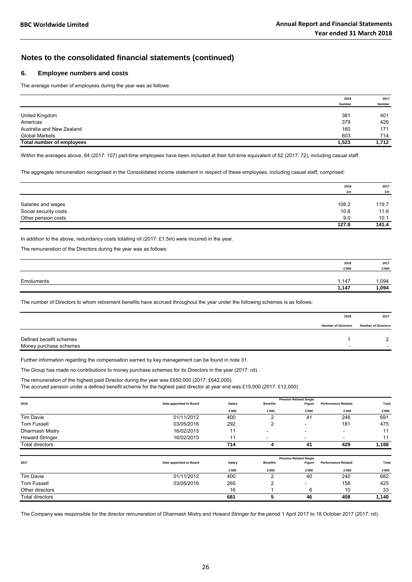#### **6. Employee numbers and costs**

The average number of employees during the year was as follows:

|                           | 2018          | 2017   |
|---------------------------|---------------|--------|
|                           | <b>Number</b> | Number |
|                           |               |        |
| United Kingdom            | 381           | 401    |
| Americas                  | 379           | 426    |
| Australia and New Zealand | 160           | 171    |
| <b>Global Markets</b>     | 603           | 714    |
| Total number of employees | 1,523         | 1,712  |

Within the averages above, 84 (2017: 107) part-time employees have been included at their full-time equivalent of 62 (2017: 72), including casual staff.

The aggregate remuneration recognised in the Consolidated income statement in respect of these employees, including casual staff, comprised:

|                       | 127.8 | 141.4 |
|-----------------------|-------|-------|
| Other pension costs   | 9.0   | 10.1  |
| Social security costs | 10.6  | 11.6  |
| Salaries and wages    | 108.2 | 119.7 |
|                       |       |       |
|                       | £m    | £m    |
|                       | 2018  | 2017  |
|                       |       |       |

In addition to the above, redundancy costs totalling nil (2017: £1.5m) were incurred in the year.

The remuneration of the Directors during the year was as follows:

|            | 2018  | 2017  |
|------------|-------|-------|
|            | £'000 | £'000 |
|            |       |       |
| Emoluments | .147  | ,094  |
|            | 1,147 | ,094  |

The number of Directors to whom retirement benefits have accrued throughout the year under the following schemes is as follows:

|                         | 2018                       | 2017                       |
|-------------------------|----------------------------|----------------------------|
|                         | <b>Number of Directors</b> | <b>Number of Directors</b> |
|                         |                            |                            |
| Defined benefit schemes |                            | ົ                          |
| Money purchase schemes  | $\overline{\phantom{0}}$   |                            |
|                         |                            |                            |

Further information regarding the compensation earned by key management can be found in note 31.

The Group has made no contributions to money purchase schemes for its Directors in the year (2017: nil) .

The remuneration of the highest paid Director during the year was £650,000 (2017: £642,000).

The accrued pension under a defined benefit scheme for the highest paid director at year end was £15,000 (2017: £12,000).

|                        |                         | <b>Pension Related Single</b> |                          |                               |                            |       |  |
|------------------------|-------------------------|-------------------------------|--------------------------|-------------------------------|----------------------------|-------|--|
| 2018                   | Date appointed to Board | <b>Salary</b>                 | <b>Benefits</b>          | Figure                        | <b>Performance Related</b> | Total |  |
|                        |                         | £'000                         | £'000                    | £'000                         | £'000                      | £'000 |  |
| <b>Tim Davie</b>       | 01/11/2012              | 400                           | າ                        | 41                            | 248                        | 691   |  |
| Tom Fussell            | 03/05/2016              | 292                           | 2                        | $\overline{\phantom{a}}$      | 181                        | 475   |  |
| Dharmash Mistry        | 16/02/2015              | 11                            | $\overline{\phantom{0}}$ | $\overline{\phantom{a}}$      | $\overline{\phantom{0}}$   | 11    |  |
| <b>Howard Stringer</b> | 16/02/2015              | 11                            | $\overline{\phantom{a}}$ | $\overline{\phantom{a}}$      | $\overline{\phantom{0}}$   | 11    |  |
| Total directors        |                         | 714                           | 4                        | 41                            | 429                        | 1,188 |  |
|                        |                         |                               |                          | <b>Pension Related Single</b> |                            |       |  |
| 2017                   | Date appointed to Board | <b>Salary</b>                 | <b>Benefits</b>          | Figure                        | <b>Performance Related</b> | Total |  |
|                        |                         | £'000                         | £'000                    | £'000                         | £'000                      | £'000 |  |
| <b>Tim Davie</b>       | 01/11/2012              | 400                           | ົ                        | 40                            | 240                        | 682   |  |

The Company was responsible for the director remuneration of Dharmash Mistry and Howard Stringer for the period 1 April 2017 to 18 October 2017 (2017: nil).

Tom Fussell 03/05/2016 265 2 - 158 425 Other directors and the state of the state of the state of the state of the state of the state of the state of the state of the state of the state of the state of the state of the state of the state of the state of the sta Total directors **681 5 46 408 1,140**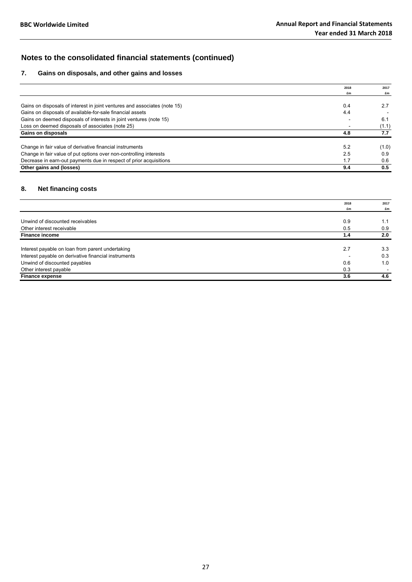## **7. Gains on disposals, and other gains and losses**

|                                                                           | 2018 | 2017  |
|---------------------------------------------------------------------------|------|-------|
|                                                                           | £m   | £m    |
|                                                                           |      |       |
| Gains on disposals of interest in joint ventures and associates (note 15) | 0.4  | 2.7   |
| Gains on disposals of available-for-sale financial assets                 | 4.4  |       |
| Gains on deemed disposals of interests in joint ventures (note 15)        |      | 6.1   |
| Loss on deemed disposals of associates (note 25)                          |      | (1.1) |
| Gains on disposals                                                        | 4.8  | 7.7   |
| Change in fair value of derivative financial instruments                  | 5.2  | (1.0) |
| Change in fair value of put options over non-controlling interests        | 2.5  | 0.9   |
| Decrease in earn-out payments due in respect of prior acquisitions        | 1.7  | 0.6   |
| Other gains and (losses)                                                  | 9.4  | 0.5   |

## **8. Net financing costs**

|                                                         | 2017<br>2018 |
|---------------------------------------------------------|--------------|
|                                                         | £m<br>£m     |
|                                                         |              |
| Unwind of discounted receivables<br>0.9                 | 1.1          |
| Other interest receivable<br>0.5                        | 0.9          |
| <b>Finance income</b><br>1.4                            | 2.0          |
|                                                         |              |
| Interest payable on loan from parent undertaking<br>2.7 | 3.3          |
| Interest payable on derivative financial instruments    | 0.3          |
| Unwind of discounted payables<br>0.6                    | 1.0          |
| 0.3<br>Other interest payable                           |              |
| 3.6<br><b>Finance expense</b>                           | 4.6          |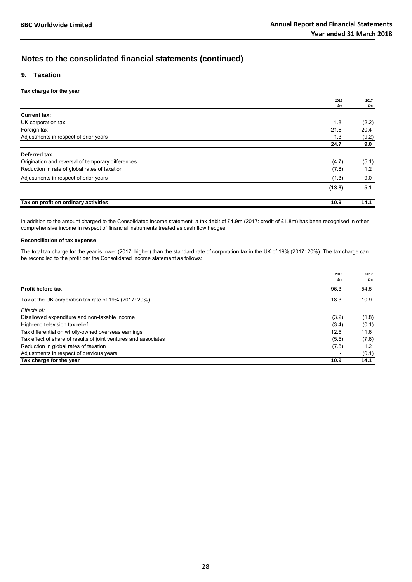### **9. Taxation**

#### **Tax charge for the year**

|                                                   | 2018   | 2017  |
|---------------------------------------------------|--------|-------|
|                                                   | £m     | £m    |
| <b>Current tax:</b>                               |        |       |
| UK corporation tax                                | 1.8    | (2.2) |
| Foreign tax                                       | 21.6   | 20.4  |
| Adjustments in respect of prior years             | 1.3    | (9.2) |
|                                                   | 24.7   | 9.0   |
| Deferred tax:                                     |        |       |
| Origination and reversal of temporary differences | (4.7)  | (5.1) |
| Reduction in rate of global rates of taxation     | (7.8)  | 1.2   |
| Adjustments in respect of prior years             | (1.3)  | 9.0   |
|                                                   | (13.8) | 5.1   |
| Tax on profit on ordinary activities              | 10.9   | 14.1  |

In addition to the amount charged to the Consolidated income statement, a tax debit of £4.9m (2017: credit of £1.8m) has been recognised in other comprehensive income in respect of financial instruments treated as cash flow hedges.

#### **Reconciliation of tax expense**

The total tax charge for the year is lower (2017: higher) than the standard rate of corporation tax in the UK of 19% (2017: 20%). The tax charge can be reconciled to the profit per the Consolidated income statement as follows:

|                                                                 | 2018  | 2017  |
|-----------------------------------------------------------------|-------|-------|
|                                                                 | £m    | £m    |
| <b>Profit before tax</b>                                        | 96.3  | 54.5  |
| Tax at the UK corporation tax rate of 19% (2017: 20%)           | 18.3  | 10.9  |
| Effects of:                                                     |       |       |
| Disallowed expenditure and non-taxable income                   | (3.2) | (1.8) |
| High-end television tax relief                                  | (3.4) | (0.1) |
| Tax differential on wholly-owned overseas earnings              | 12.5  | 11.6  |
| Tax effect of share of results of joint ventures and associates | (5.5) | (7.6) |
| Reduction in global rates of taxation                           | (7.8) | 1.2   |
| Adjustments in respect of previous years                        |       | (0.1) |
| Tax charge for the year                                         | 10.9  | 14.1  |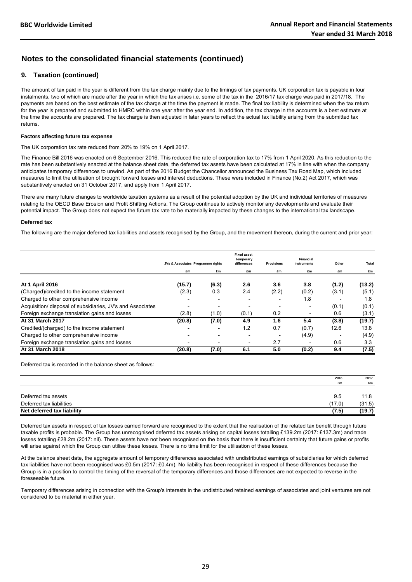## **9. Taxation (continued)**

The amount of tax paid in the year is different from the tax charge mainly due to the timings of tax payments. UK corporation tax is payable in four instalments, two of which are made after the year in which the tax arises i.e. some of the tax in the 2016/17 tax charge was paid in 2017/18. The payments are based on the best estimate of the tax charge at the time the payment is made. The final tax liability is determined when the tax return for the year is prepared and submitted to HMRC within one year after the year end. In addition, the tax charge in the accounts is a best estimate at the time the accounts are prepared. The tax charge is then adjusted in later years to reflect the actual tax liability arising from the submitted tax returns.

#### **Factors affecting future tax expense**

The UK corporation tax rate reduced from 20% to 19% on 1 April 2017.

The Finance Bill 2016 was enacted on 6 September 2016. This reduced the rate of corporation tax to 17% from 1 April 2020. As this reduction to the rate has been substantively enacted at the balance sheet date, the deferred tax assets have been calculated at 17% in line with when the company anticipates temporary differences to unwind. As part of the 2016 Budget the Chancellor announced the Business Tax Road Map, which included measures to limit the utilisation of brought forward losses and interest deductions. These were included in Finance (No.2) Act 2017, which was substantively enacted on 31 October 2017, and apply from 1 April 2017.

There are many future changes to worldwide taxation systems as a result of the potential adoption by the UK and individual territories of measures relating to the OECD Base Erosion and Profit Shifting Actions. The Group continues to actively monitor any developments and evaluate their potential impact. The Group does not expect the future tax rate to be materially impacted by these changes to the international tax landscape.

#### **Deferred tax**

The following are the major deferred tax liabilities and assets recognised by the Group, and the movement thereon, during the current and prior year:

|                                                            | JVs & Associates Programme rights |       | <b>Fixed asset</b><br>temporary<br>differences | <b>Provisions</b> | <b>Financial</b><br>instruments | Other | Total  |
|------------------------------------------------------------|-----------------------------------|-------|------------------------------------------------|-------------------|---------------------------------|-------|--------|
|                                                            | £m                                | £m    | £m                                             | £m                | £m                              | £m    | £m     |
| At 1 April 2016                                            | (15.7)                            | (6.3) | 2.6                                            | 3.6               | 3.8                             | (1.2) | (13.2) |
| (Charged)/credited to the income statement                 | (2.3)                             | 0.3   | 2.4                                            | (2.2)             | (0.2)                           | (3.1) | (5.1)  |
| Charged to other comprehensive income                      |                                   |       |                                                | ۰                 | 1.8                             |       | 1.8    |
| Acquisition/ disposal of subsidiaries, JV's and Associates |                                   |       |                                                |                   | -                               | (0.1) | (0.1)  |
| Foreign exchange translation gains and losses              | (2.8)                             | (1.0) | (0.1)                                          | 0.2               |                                 | 0.6   | (3.1)  |
| At 31 March 2017                                           | (20.8)                            | (7.0) | 4.9                                            | 1.6               | 5.4                             | (3.8) | (19.7) |
| Credited/(charged) to the income statement                 |                                   |       | 1.2                                            | 0.7               | (0.7)                           | 12.6  | 13.8   |
| Charged to other comprehensive income                      |                                   |       |                                                |                   | (4.9)                           |       | (4.9)  |
| Foreign exchange translation gains and losses              |                                   |       |                                                | 2.7               |                                 | 0.6   | 3.3    |
| At 31 March 2018                                           | (20.8)                            | (7.0) | 6.1                                            | 5.0               | (0.2)                           | 9.4   | (7.5)  |

Deferred tax is recorded in the balance sheet as follows:

|                            | 2018   | 2017   |
|----------------------------|--------|--------|
|                            | £m     | £m     |
|                            |        |        |
| Deferred tax assets        | 9.5    | 11.8   |
| Deferred tax liabilities   | (17.0) | (31.5) |
| Net deferred tax liability | (7.5)  | (19.7) |

Deferred tax assets in respect of tax losses carried forward are recognised to the extent that the realisation of the related tax benefit through future taxable profits is probable. The Group has unrecognised deferred tax assets arising on capital losses totalling £139.2m (2017: £137.3m) and trade losses totalling £28.2m (2017: nil). These assets have not been recognised on the basis that there is insufficient certainty that future gains or profits will arise against which the Group can utilise these losses. There is no time limit for the utilisation of these losses.

At the balance sheet date, the aggregate amount of temporary differences associated with undistributed earnings of subsidiaries for which deferred tax liabilities have not been recognised was £0.5m (2017: £0.4m). No liability has been recognised in respect of these differences because the Group is in a position to control the timing of the reversal of the temporary differences and those differences are not expected to reverse in the foreseeable future.

Temporary differences arising in connection with the Group's interests in the undistributed retained earnings of associates and joint ventures are not considered to be material in either year.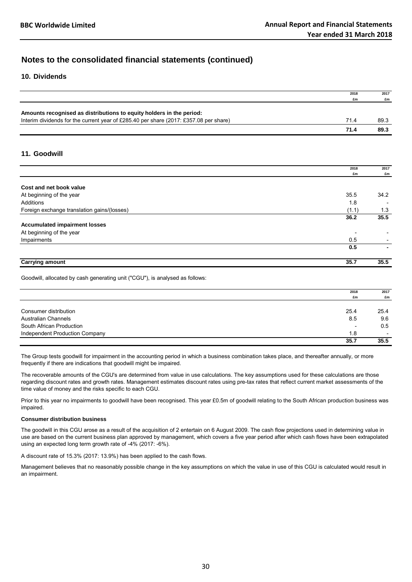**0.5 -**

## **Notes to the consolidated financial statements (continued)**

**10. Dividends**

|                                                                                       | 2018       | 2017       |
|---------------------------------------------------------------------------------------|------------|------------|
|                                                                                       | £m         | £m         |
|                                                                                       |            |            |
| Amounts recognised as distributions to equity holders in the period:                  |            |            |
| Interim dividends for the current year of £285.40 per share (2017: £357.08 per share) | 71.4       | 89.3       |
|                                                                                       | 71.4       | 89.3       |
|                                                                                       |            |            |
| 11. Goodwill                                                                          |            |            |
|                                                                                       |            |            |
|                                                                                       | 2018<br>£m | 2017<br>£m |
|                                                                                       |            |            |
| Cost and net book value                                                               |            |            |
| At beginning of the year                                                              | 35.5       | 34.2       |
| Additions                                                                             | 1.8        |            |
| Foreign exchange translation gains/(losses)                                           | (1.1)      | 1.3        |
|                                                                                       | 36.2       | 35.5       |
| <b>Accumulated impairment losses</b>                                                  |            |            |
| At beginning of the year                                                              |            |            |
| Impairments                                                                           | 0.5        |            |

## **Carrying amount 35.7 35.5**

Goodwill, allocated by cash generating unit ("CGU"), is analysed as follows:

|                                | 2018                     | 2017                     |
|--------------------------------|--------------------------|--------------------------|
|                                | £m                       | £m                       |
|                                |                          |                          |
| Consumer distribution          | 25.4                     | 25.4                     |
| <b>Australian Channels</b>     | 8.5                      | 9.6                      |
| South African Production       | $\overline{\phantom{0}}$ | 0.5                      |
| Independent Production Company | 1.8                      | $\overline{\phantom{0}}$ |
|                                | 35.7                     | 35.5                     |

The Group tests goodwill for impairment in the accounting period in which a business combination takes place, and thereafter annually, or more frequently if there are indications that goodwill might be impaired.

The recoverable amounts of the CGU's are determined from value in use calculations. The key assumptions used for these calculations are those regarding discount rates and growth rates. Management estimates discount rates using pre-tax rates that reflect current market assessments of the time value of money and the risks specific to each CGU.

Prior to this year no impairments to goodwill have been recognised. This year £0.5m of goodwill relating to the South African production business was impaired.

#### **Consumer distribution business**

The goodwill in this CGU arose as a result of the acquisition of 2 entertain on 6 August 2009. The cash flow projections used in determining value in use are based on the current business plan approved by management, which covers a five year period after which cash flows have been extrapolated using an expected long term growth rate of -4% (2017: -6%).

A discount rate of 15.3% (2017: 13.9%) has been applied to the cash flows.

Management believes that no reasonably possible change in the key assumptions on which the value in use of this CGU is calculated would result in an impairment.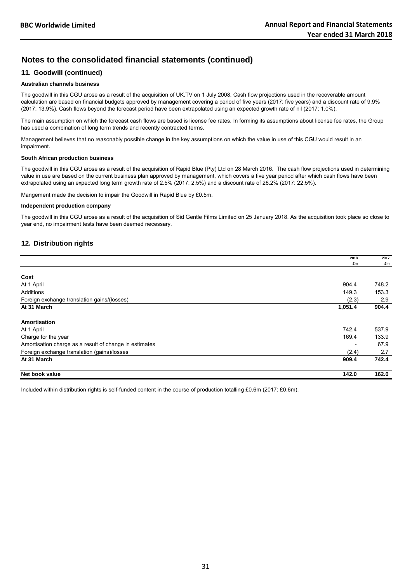## **11. Goodwill (continued)**

### **Australian channels business**

ľ The goodwill in this CGU arose as a result of the acquisition of UK.TV on 1 July 2008. Cash flow projections used in the recoverable amount calculation are based on financial budgets approved by management covering a period of five years (2017: five years) and a discount rate of 9.9% (2017: 13.9%). Cash flows beyond the forecast period have been extrapolated using an expected growth rate of nil (2017: 1.0%).

The main assumption on which the forecast cash flows are based is license fee rates. In forming its assumptions about license fee rates, the Group has used a combination of long term trends and recently contracted terms.

Management believes that no reasonably possible change in the key assumptions on which the value in use of this CGU would result in an impairment.

#### **South African production business**

The goodwill in this CGU arose as a result of the acquisition of Rapid Blue (Pty) Ltd on 28 March 2016. The cash flow projections used in determining value in use are based on the current business plan approved by management, which covers a five year period after which cash flows have been extrapolated using an expected long term growth rate of 2.5% (2017: 2.5%) and a discount rate of 26.2% (2017: 22.5%).

Mangement made the decision to impair the Goodwill in Rapid Blue by £0.5m.

#### **Independent production company**

The goodwill in this CGU arose as a result of the acquisition of Sid Gentle Films Limited on 25 January 2018. As the acquisition took place so close to year end, no impairment tests have been deemed necessary.

## **12. Distribution rights**

|                                                        | 2018                     | 2017  |
|--------------------------------------------------------|--------------------------|-------|
|                                                        | £m                       | £m    |
| Cost                                                   |                          |       |
| At 1 April                                             | 904.4                    | 748.2 |
| Additions                                              | 149.3                    | 153.3 |
| Foreign exchange translation gains/(losses)            | (2.3)                    | 2.9   |
| At 31 March                                            | 1,051.4                  | 904.4 |
| Amortisation                                           |                          |       |
| At 1 April                                             | 742.4                    | 537.9 |
| Charge for the year                                    | 169.4                    | 133.9 |
| Amortisation charge as a result of change in estimates | $\overline{\phantom{0}}$ | 67.9  |
| Foreign exchange translation (gains)/losses            | (2.4)                    | 2.7   |
| At 31 March                                            | 909.4                    | 742.4 |
| Net book value                                         | 142.0                    | 162.0 |

Included within distribution rights is self-funded content in the course of production totalling £0.6m (2017: £0.6m).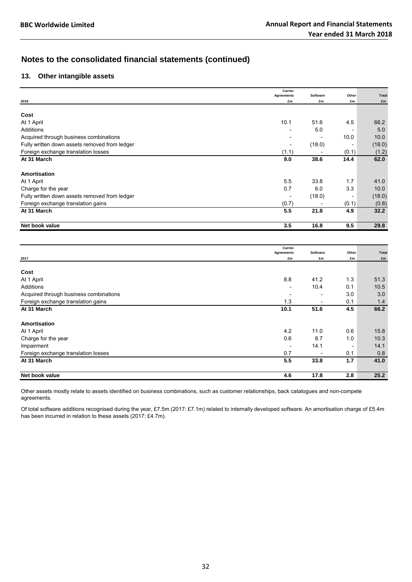## **13. Other intangible assets**

|                                                   | Carrier<br><b>Agreements</b> | <b>Software</b>          | Other                    | Total        |
|---------------------------------------------------|------------------------------|--------------------------|--------------------------|--------------|
| 2018                                              | £m                           | £m                       | £m                       | £m           |
|                                                   |                              |                          |                          |              |
| Cost                                              |                              |                          |                          |              |
| At 1 April                                        | 10.1                         | 51.6                     | 4.5                      | 66.2         |
| Additions                                         | $\overline{a}$               | 5.0                      | $\overline{\phantom{a}}$ | 5.0          |
| Acquired through business combinations            | $\overline{a}$               | $\overline{a}$           | 10.0                     | 10.0         |
| Fully written down assets removed from ledger     | $\overline{\phantom{a}}$     | (18.0)                   | $\overline{\phantom{a}}$ | (18.0)       |
| Foreign exchange translation losses               | (1.1)                        | $\overline{\phantom{a}}$ | (0.1)                    | (1.2)        |
| At 31 March                                       | 9.0                          | 38.6                     | 14.4                     | 62.0         |
| Amortisation                                      |                              |                          |                          |              |
| At 1 April                                        | 5.5                          | 33.8                     | 1.7                      | 41.0         |
| Charge for the year                               | 0.7                          | 6.0                      | 3.3                      | 10.0         |
| Fully written down assets removed from ledger     | $\overline{\phantom{a}}$     | (18.0)                   | $\overline{\phantom{a}}$ | (18.0)       |
| Foreign exchange translation gains                | (0.7)                        |                          | (0.1)                    | (0.8)        |
| At 31 March                                       | 5.5                          | 21.8                     | 4.9                      | 32.2         |
| Net book value                                    | 3.5                          | 16.8                     | 9.5                      | 29.8         |
|                                                   |                              |                          |                          |              |
|                                                   | Carrier                      |                          |                          |              |
|                                                   | Agreements                   | Software                 | Other                    | <b>Total</b> |
| 2017                                              | £m                           | £m                       | £m                       | £m           |
|                                                   |                              |                          |                          |              |
| Cost                                              |                              |                          |                          |              |
| At 1 April                                        | 8.8                          | 41.2                     | 1.3                      | 51.3         |
| Additions                                         | $\overline{\phantom{a}}$     | 10.4                     | 0.1                      | 10.5         |
| Acquired through business combinations            | 1.3                          |                          | 3.0<br>0.1               | 3.0          |
| Foreign exchange translation gains<br>At 31 March | 10.1                         | 51.6                     | 4.5                      | 1.4<br>66.2  |
|                                                   |                              |                          |                          |              |
| Amortisation                                      |                              |                          |                          |              |
| At 1 April                                        | 4.2                          | 11.0                     | 0.6                      | 15.8         |
| Charge for the year                               | 0.6                          | 8.7                      | 1.0                      | 10.3         |
| Impairment                                        | $\overline{\phantom{a}}$     | 14.1                     | $\overline{\phantom{a}}$ | 14.1         |
| Foreign exchange translation losses               | 0.7                          | $\overline{\phantom{a}}$ | 0.1                      | 0.8          |
| At 31 March                                       | 5.5                          | 33.8                     | 1.7                      | 41.0         |
| Net book value                                    | 4.6                          | 17.8                     | 2.8                      | 25.2         |

Other assets mostly relate to assets identified on business combinations, such as customer relationships, back catalogues and non-compete agreements.

Of total software additions recognised during the year, £7.5m (2017: £7.1m) related to internally developed software. An amortisation charge of £5.4m has been incurred in relation to these assets (2017: £4.7m).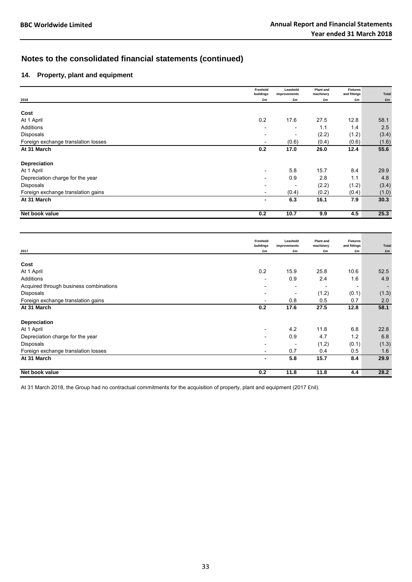## **14. Property, plant and equipment**

|                                     | Freehold<br>buildings    |                          | <b>Plant and</b><br>machinery | <b>Fixtures</b><br>and fittings | <b>Total</b> |  |
|-------------------------------------|--------------------------|--------------------------|-------------------------------|---------------------------------|--------------|--|
| 2018                                | £m                       | improvements<br>£m       | £m                            | £m                              | £m           |  |
|                                     |                          |                          |                               |                                 |              |  |
| Cost                                |                          |                          |                               |                                 |              |  |
| At 1 April                          | 0.2                      | 17.6                     | 27.5                          | 12.8                            | 58.1         |  |
| Additions                           | $\overline{\phantom{a}}$ | $\overline{\phantom{a}}$ | 1.1                           | 1.4                             | 2.5          |  |
| Disposals                           | $\overline{\phantom{a}}$ | $\overline{\phantom{a}}$ | (2.2)                         | (1.2)                           | (3.4)        |  |
| Foreign exchange translation losses | $\overline{\phantom{0}}$ | (0.6)                    | (0.4)                         | (0.6)                           | (1.6)        |  |
| At 31 March                         | 0.2                      | 17.0                     | 26.0                          | 12.4                            | 55.6         |  |
| Depreciation                        |                          |                          |                               |                                 |              |  |
| At 1 April                          | $\overline{\phantom{a}}$ | 5.8                      | 15.7                          | 8.4                             | 29.9         |  |
| Depreciation charge for the year    | $\overline{\phantom{a}}$ | 0.9                      | 2.8                           | 1.1                             | 4.8          |  |
| Disposals                           | $\overline{\phantom{0}}$ | $\overline{\phantom{a}}$ | (2.2)                         | (1.2)                           | (3.4)        |  |
| Foreign exchange translation gains  | $\overline{\phantom{a}}$ | (0.4)                    | (0.2)                         | (0.4)                           | (1.0)        |  |
| At 31 March                         | $\blacksquare$           | 6.3                      | 16.1                          | 7.9                             | 30.3         |  |
| Net book value                      | 0.2                      | 10.7                     | 9.9                           | 4.5                             | 25.3         |  |

|                                        | Freehold<br>buildings    | Leashold<br>improvements | <b>Plant and</b><br>machinery | <b>Fixtures</b><br>and fittings | <b>Total</b> |
|----------------------------------------|--------------------------|--------------------------|-------------------------------|---------------------------------|--------------|
| 2017                                   | £m                       | £m                       | £m                            | £m                              | £m           |
|                                        |                          |                          |                               |                                 |              |
| Cost                                   |                          |                          |                               |                                 |              |
| At 1 April                             | 0.2                      | 15.9                     | 25.8                          | 10.6                            | 52.5         |
| Additions                              | $\overline{\phantom{0}}$ | 0.9                      | 2.4                           | 1.6                             | 4.9          |
| Acquired through business combinations | $\overline{\phantom{a}}$ |                          |                               | $\overline{\phantom{a}}$        |              |
| <b>Disposals</b>                       | $\overline{\phantom{a}}$ | $\overline{\phantom{a}}$ | (1.2)                         | (0.1)                           | (1.3)        |
| Foreign exchange translation gains     |                          | 0.8                      | 0.5                           | 0.7                             | 2.0          |
| At 31 March                            | 0.2                      | 17.6                     | 27.5                          | 12.8                            | 58.1         |
|                                        |                          |                          |                               |                                 |              |
| Depreciation                           |                          |                          |                               |                                 |              |
| At 1 April                             | $\overline{\phantom{0}}$ | 4.2                      | 11.8                          | 6.8                             | 22.8         |
| Depreciation charge for the year       | $\overline{\phantom{a}}$ | 0.9                      | 4.7                           | 1.2                             | 6.8          |
| Disposals                              | $\overline{\phantom{a}}$ | $\overline{\phantom{a}}$ | (1.2)                         | (0.1)                           | (1.3)        |
| Foreign exchange translation losses    | $\overline{\phantom{0}}$ | 0.7                      | 0.4                           | 0.5                             | 1.6          |
| At 31 March                            | $\blacksquare$           | 5.8                      | 15.7                          | 8.4                             | 29.9         |
|                                        |                          |                          |                               |                                 |              |
| Net book value                         | 0.2                      | 11.8                     | 11.8                          | 4.4                             | 28.2         |

At 31 March 2018, the Group had no contractual commitments for the acquisition of property, plant and equipment (2017 £nil).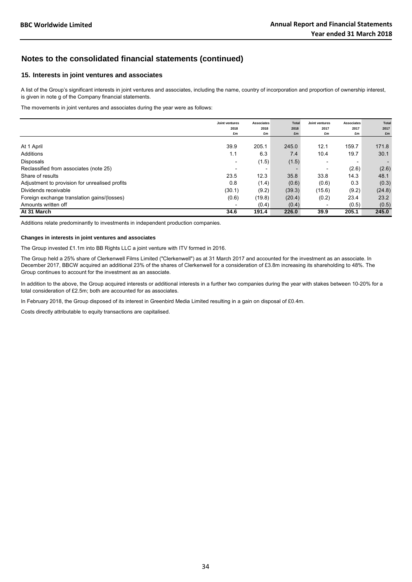### **15. Interests in joint ventures and associates**

A list of the Group's significant interests in joint ventures and associates, including the name, country of incorporation and proportion of ownership interest, is given in note g of the Company financial statements.

The movements in joint ventures and associates during the year were as follows:

|                                                | Joint ventures<br>2018<br>£m | <b>Associates</b><br>2018<br>£m | <b>Total</b><br>2018<br>£m | Joint ventures<br>2017<br>£m | <b>Associates</b><br>2017<br>£m | <b>Total</b><br>2017<br>£m |
|------------------------------------------------|------------------------------|---------------------------------|----------------------------|------------------------------|---------------------------------|----------------------------|
|                                                |                              |                                 |                            |                              |                                 |                            |
| At 1 April                                     | 39.9                         | 205.1                           | 245.0                      | 12.1                         | 159.7                           | 171.8                      |
| Additions                                      | 1.1                          | 6.3                             | 7.4                        | 10.4                         | 19.7                            | 30.1                       |
| <b>Disposals</b>                               | $\overline{\phantom{a}}$     | (1.5)                           | (1.5)                      |                              |                                 |                            |
| Reclassified from associates (note 25)         | $\qquad \qquad$              | $\overline{\phantom{a}}$        |                            |                              | (2.6)                           | (2.6)                      |
| Share of results                               | 23.5                         | 12.3                            | 35.8                       | 33.8                         | 14.3                            | 48.1                       |
| Adjustment to provision for unrealised profits | 0.8                          | (1.4)                           | (0.6)                      | (0.6)                        | 0.3                             | (0.3)                      |
| Dividends receivable                           | (30.1)                       | (9.2)                           | (39.3)                     | (15.6)                       | (9.2)                           | (24.8)                     |
| Foreign exchange translation gains/(losses)    | (0.6)                        | (19.8)                          | (20.4)                     | (0.2)                        | 23.4                            | 23.2                       |
| Amounts written off                            | $\overline{\phantom{a}}$     | (0.4)                           | (0.4)                      |                              | (0.5)                           | (0.5)                      |
| At 31 March                                    | 34.6                         | 191.4                           | 226.0                      | 39.9                         | 205.1                           | 245.0                      |

Additions relate predominantly to investments in independent production companies.

#### **Changes in interests in joint ventures and associates**

The Group invested £1.1m into BB Rights LLC a joint venture with ITV formed in 2016.

The Group held a 25% share of Clerkenwell Films Limited ("Clerkenwell") as at 31 March 2017 and accounted for the investment as an associate. In December 2017, BBCW acquired an additional 23% of the shares of Clerkenwell for a consideration of £3.8m increasing its shareholding to 48%. The Group continues to account for the investment as an associate.

In addition to the above, the Group acquired interests or additional interests in a further two companies during the year with stakes between 10-20% for a total consideration of £2.5m; both are accounted for as associates.

In February 2018, the Group disposed of its interest in Greenbird Media Limited resulting in a gain on disposal of £0.4m.

Costs directly attributable to equity transactions are capitalised.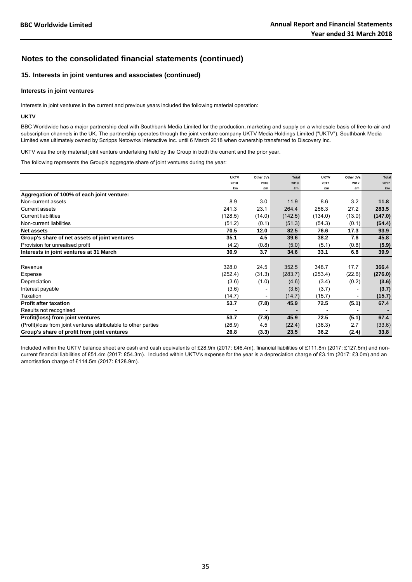### **15. Interests in joint ventures and associates (continued)**

#### **Interests in joint ventures**

Interests in joint ventures in the current and previous years included the following material operation:

#### **UKTV**

BBC Worldwide has a major partnership deal with Southbank Media Limited for the production, marketing and supply on a wholesale basis of free-to-air and subscription channels in the UK. The partnership operates through the joint venture company UKTV Media Holdings Limited ("UKTV"). Southbank Media Limited was ultimately owned by Scripps Netowrks Interactive Inc. until 6 March 2018 when ownership transferred to Discovery Inc.

UKTV was the only material joint venture undertaking held by the Group in both the current and the prior year.

The following represents the Group's aggregate share of joint ventures during the year:

|                                                                 | <b>UKTV</b> | Other JVs | <b>Total</b> | <b>UKTV</b> | Other JVs | <b>Total</b> |
|-----------------------------------------------------------------|-------------|-----------|--------------|-------------|-----------|--------------|
|                                                                 | 2018        | 2018      | 2018         | 2017        | 2017      | 2017         |
|                                                                 | £m          | £m        | £m           | £m          | £m        | £m           |
| Aggregation of 100% of each joint venture:                      |             |           |              |             |           |              |
| Non-current assets                                              | 8.9         | 3.0       | 11.9         | 8.6         | 3.2       | 11.8         |
| Current assets                                                  | 241.3       | 23.1      | 264.4        | 256.3       | 27.2      | 283.5        |
| <b>Current liabilities</b>                                      | (128.5)     | (14.0)    | (142.5)      | (134.0)     | (13.0)    | (147.0)      |
| Non-current liabilities                                         | (51.2)      | (0.1)     | (51.3)       | (54.3)      | (0.1)     | (54.4)       |
| <b>Net assets</b>                                               | 70.5        | 12.0      | 82.5         | 76.6        | 17.3      | 93.9         |
| Group's share of net assets of joint ventures                   | 35.1        | 4.5       | 39.6         | 38.2        | 7.6       | 45.8         |
| Provision for unrealised profit                                 | (4.2)       | (0.8)     | (5.0)        | (5.1)       | (0.8)     | (5.9)        |
| Interests in joint ventures at 31 March                         | 30.9        | 3.7       | 34.6         | 33.1        | 6.8       | 39.9         |
|                                                                 |             |           |              |             |           |              |
| Revenue                                                         | 328.0       | 24.5      | 352.5        | 348.7       | 17.7      | 366.4        |
| Expense                                                         | (252.4)     | (31.3)    | (283.7)      | (253.4)     | (22.6)    | (276.0)      |
| Depreciation                                                    | (3.6)       | (1.0)     | (4.6)        | (3.4)       | (0.2)     | (3.6)        |
| Interest payable                                                | (3.6)       |           | (3.6)        | (3.7)       |           | (3.7)        |
| Taxation                                                        | (14.7)      |           | (14.7)       | (15.7)      |           | (15.7)       |
| <b>Profit after taxation</b>                                    | 53.7        | (7.8)     | 45.9         | 72.5        | (5.1)     | 67.4         |
| Results not recognised                                          |             |           |              |             |           |              |
| Profit/(loss) from joint ventures                               | 53.7        | (7.8)     | 45.9         | 72.5        | (5.1)     | 67.4         |
| (Profit)/loss from joint ventures attributable to other parties | (26.9)      | 4.5       | (22.4)       | (36.3)      | 2.7       | (33.6)       |
| Group's share of profit from joint ventures                     | 26.8        | (3.3)     | 23.5         | 36.2        | (2.4)     | 33.8         |

Included within the UKTV balance sheet are cash and cash equivalents of £28.9m (2017: £46.4m), financial liabilities of £111.8m (2017: £127.5m) and noncurrent financial liabilities of £51.4m (2017: £54.3m). Included within UKTV's expense for the year is a depreciation charge of £3.1m (2017: £3.0m) and an amortisation charge of £114.5m (2017: £128.9m).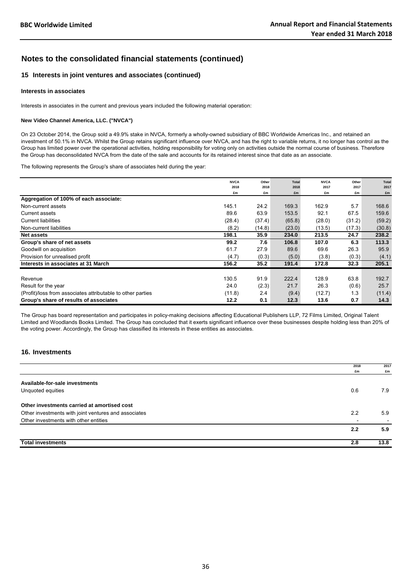### **15 Interests in joint ventures and associates (continued)**

#### **Interests in associates**

Interests in associates in the current and previous years included the following material operation:

### **New Video Channel America, LLC. ("NVCA")**

On 23 October 2014, the Group sold a 49.9% stake in NVCA, formerly a wholly-owned subsidiary of BBC Worldwide Americas Inc., and retained an investment of 50.1% in NVCA. Whilst the Group retains significant influence over NVCA, and has the right to variable returns, it no longer has control as the Group has limited power over the operational activities, holding responsibility for voting only on activities outside the normal course of business. Therefore the Group has deconsolidated NVCA from the date of the sale and accounts for its retained interest since that date as an associate.

The following represents the Group's share of associates held during the year:

|                                                             | <b>NVCA</b><br>2018 | Other<br>2018 | <b>Total</b><br>2018 | <b>NVCA</b><br>2017 | Other<br>2017 | <b>Total</b><br>2017 |
|-------------------------------------------------------------|---------------------|---------------|----------------------|---------------------|---------------|----------------------|
|                                                             | £m                  | £m            | £m                   | £m                  | £m            | £m                   |
| Aggregation of 100% of each associate:                      |                     |               |                      |                     |               |                      |
| Non-current assets                                          | 145.1               | 24.2          | 169.3                | 162.9               | 5.7           | 168.6                |
| Current assets                                              | 89.6                | 63.9          | 153.5                | 92.1                | 67.5          | 159.6                |
| <b>Current liabilities</b>                                  | (28.4)              | (37.4)        | (65.8)               | (28.0)              | (31.2)        | (59.2)               |
| Non-current liabilities                                     | (8.2)               | (14.8)        | (23.0)               | (13.5)              | (17.3)        | (30.8)               |
| <b>Net assets</b>                                           | 198.1               | 35.9          | 234.0                | 213.5               | 24.7          | 238.2                |
| Group's share of net assets                                 | 99.2                | 7.6           | 106.8                | 107.0               | 6.3           | 113.3                |
| Goodwill on acquisition                                     | 61.7                | 27.9          | 89.6                 | 69.6                | 26.3          | 95.9                 |
| Provision for unrealised profit                             | (4.7)               | (0.3)         | (5.0)                | (3.8)               | (0.3)         | (4.1)                |
| Interests in associates at 31 March                         | 156.2               | 35.2          | 191.4                | 172.8               | 32.3          | 205.1                |
|                                                             |                     |               |                      |                     |               |                      |
| Revenue                                                     | 130.5               | 91.9          | 222.4                | 128.9               | 63.8          | 192.7                |
| Result for the year                                         | 24.0                | (2.3)         | 21.7                 | 26.3                | (0.6)         | 25.7                 |
| (Profit)/loss from associates attributable to other parties | (11.8)              | 2.4           | (9.4)                | (12.7)              | 1.3           | (11.4)               |
| Group's share of results of associates                      | 12.2                | 0.1           | 12.3                 | 13.6                | 0.7           | 14.3                 |

The Group has board representation and participates in policy-making decisions affecting Educational Publishers LLP, 72 Films Limited, Original Talent Limited and Woodlands Books Limited. The Group has concluded that it exerts significant influence over these businesses despite holding less than 20% of the voting power. Accordingly, the Group has classified its interests in these entities as associates.

## **16. Investments**

|                                                      | 2018 | 2017 |
|------------------------------------------------------|------|------|
|                                                      | £m   | £m   |
| Available-for-sale investments                       |      |      |
| Unquoted equities                                    | 0.6  | 7.9  |
| Other investments carried at amortised cost          |      |      |
| Other investments with joint ventures and associates | 2.2  | 5.9  |
| Other investments with other entities                |      |      |
|                                                      | 2.2  | 5.9  |
| <b>Total investments</b>                             | 2.8  | 13.8 |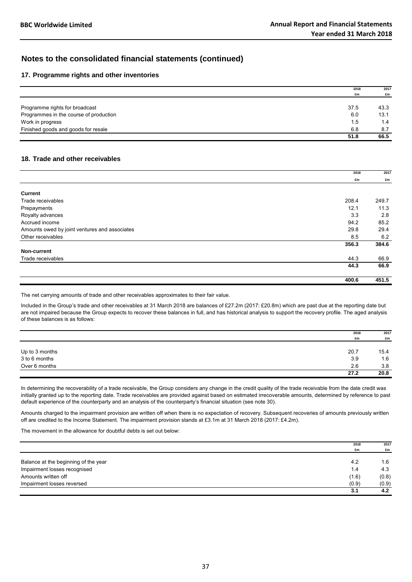### **17. Programme rights and other inventories**

|                                        | 2018 | 2017 |
|----------------------------------------|------|------|
|                                        | £m   | £m   |
|                                        |      |      |
| Programme rights for broadcast         | 37.5 | 43.3 |
| Programmes in the course of production | 6.0  | 13.1 |
| Work in progress                       | 1.5  | 1.4  |
| Finished goods and goods for resale    | 6.8  | 8.7  |
|                                        | 51.8 | 66.5 |

### **18. Trade and other receivables**

|                                               | 2018  | 2017  |
|-----------------------------------------------|-------|-------|
|                                               | £m    | £m    |
|                                               |       |       |
| <b>Current</b>                                |       |       |
| Trade receivables                             | 208.4 | 249.7 |
| Prepayments                                   | 12.1  | 11.3  |
| Royalty advances                              | 3.3   | 2.8   |
| Accrued income                                | 94.2  | 85.2  |
| Amounts owed by joint ventures and associates | 29.8  | 29.4  |
| Other receivables                             | 8.5   | 6.2   |
|                                               | 356.3 | 384.6 |
| Non-current                                   |       |       |
| Trade receivables                             | 44.3  | 66.9  |
|                                               | 44.3  | 66.9  |
|                                               | 400.6 | 451.5 |

The net carrying amounts of trade and other receivables approximates to their fair value.

Included in the Group's trade and other receivables at 31 March 2018 are balances of £27.2m (2017: £20.8m) which are past due at the reporting date but are not impaired because the Group expects to recover these balances in full, and has historical analysis to support the recovery profile. The aged analysis of these balances is as follows:

|                | 2018 | 2017 |
|----------------|------|------|
|                | £m   | £m   |
|                |      |      |
| Up to 3 months | 20.7 | 15.4 |
| 3 to 6 months  | 3.9  | 1.6  |
| Over 6 months  | 2.6  | 3.8  |
|                | 27.2 | 20.8 |

In determining the recoverability of a trade receivable, the Group considers any change in the credit quality of the trade receivable from the date credit was initially granted up to the reporting date. Trade receivables are provided against based on estimated irrecoverable amounts, determined by reference to past default experience of the counterparty and an analysis of the counterparty's financial situation (see note 30).

Amounts charged to the impairment provision are written off when there is no expectation of recovery. Subsequent recoveries of amounts previously written off are credited to the Income Statement. The impairment provision stands at £3.1m at 31 March 2018 (2017: £4.2m).

The movement in the allowance for doubtful debts is set out below:

|                                      | 2018  | 2017  |
|--------------------------------------|-------|-------|
|                                      | £m    | £m    |
|                                      |       |       |
| Balance at the beginning of the year | 4.2   | 1.6   |
| Impairment losses recognised         | 1.4   | 4.3   |
| Amounts written off                  | (1.6) | (0.8) |
| Impairment losses reversed           | (0.9) | (0.9) |
|                                      | 3.1   | 4.2   |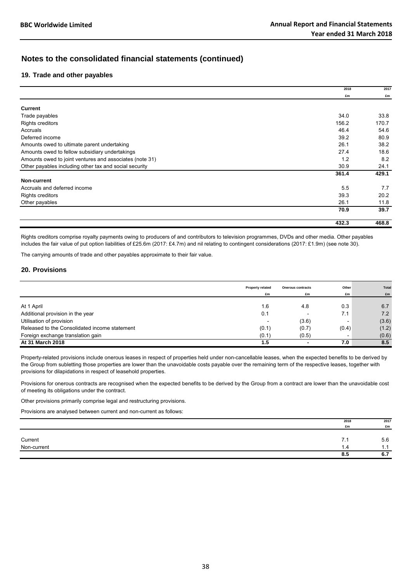### **19. Trade and other payables**

|                                                         | 2018  | 2017  |
|---------------------------------------------------------|-------|-------|
|                                                         | £m    | £m    |
| <b>Current</b>                                          |       |       |
| Trade payables                                          | 34.0  | 33.8  |
| <b>Rights creditors</b>                                 | 156.2 | 170.7 |
| Accruals                                                | 46.4  | 54.6  |
| Deferred income                                         | 39.2  | 80.9  |
| Amounts owed to ultimate parent undertaking             | 26.1  | 38.2  |
| Amounts owed to fellow subsidiary undertakings          | 27.4  | 18.6  |
| Amounts owed to joint ventures and associates (note 31) | 1.2   | 8.2   |
| Other payables including other tax and social security  | 30.9  | 24.1  |
|                                                         | 361.4 | 429.1 |
| <b>Non-current</b>                                      |       |       |
| Accruals and deferred income                            | 5.5   | 7.7   |
| Rights creditors                                        | 39.3  | 20.2  |
| Other payables                                          | 26.1  | 11.8  |
|                                                         | 70.9  | 39.7  |
|                                                         | 432.3 | 468.8 |

Rights creditors comprise royalty payments owing to producers of and contributors to television programmes, DVDs and other media. Other payables includes the fair value of put option liabilities of £25.6m (2017: £4.7m) and nil relating to contingent considerations (2017: £1.9m) (see note 30).

The carrying amounts of trade and other payables approximate to their fair value.

### **20. Provisions**

|                                               | <b>Property related</b> | <b>Onerous contracts</b> | Other                    | <b>Total</b> |
|-----------------------------------------------|-------------------------|--------------------------|--------------------------|--------------|
|                                               | £m                      | £m                       | £m                       | £m           |
|                                               |                         |                          |                          |              |
| At 1 April                                    | 1.6                     | 4.8                      | 0.3                      | 6.7          |
| Additional provision in the year              | 0.1                     |                          | 7.1                      | 7.2          |
| Utilisation of provision                      |                         | (3.6)                    |                          | (3.6)        |
| Released to the Consolidated income statement | (0.1)                   | (0.7)                    | (0.4)                    | (1.2)        |
| Foreign exchange translation gain             | (0.1)                   | (0.5)                    | $\overline{\phantom{0}}$ | (0.6)        |
| At 31 March 2018                              | 1.5                     |                          | 7.0                      | 8.5          |

Property-related provisions include onerous leases in respect of properties held under non-cancellable leases, when the expected benefits to be derived by the Group from subletting those properties are lower than the unavoidable costs payable over the remaining term of the respective leases, together with provisions for dilapidations in respect of leasehold properties.

Provisions for onerous contracts are recognised when the expected benefits to be derived by the Group from a contract are lower than the unavoidable cost of meeting its obligations under the contract.

Other provisions primarily comprise legal and restructuring provisions.

Provisions are analysed between current and non-current as follows:

|             | 2018       | 2017       |
|-------------|------------|------------|
|             | £m         | £m         |
|             |            |            |
| Current     | $\sqrt{1}$ | 5.6        |
| Non-current | $^{\circ}$ | 1.1        |
|             | 8.5        | c 7<br>o., |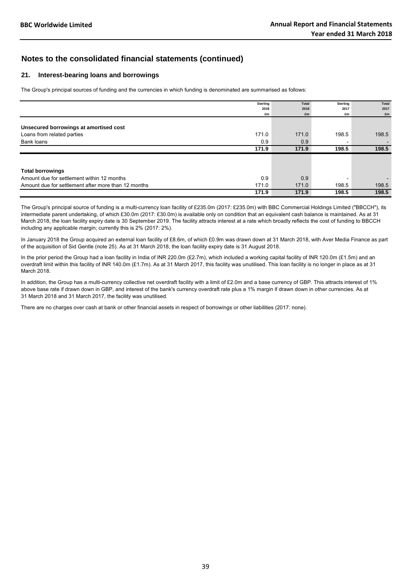### **21. Interest-bearing loans and borrowings**

The Group's principal sources of funding and the currencies in which funding is denominated are summarised as follows:

|                                                     | <b>Sterling</b> | Total | <b>Sterling</b>          | Total |
|-----------------------------------------------------|-----------------|-------|--------------------------|-------|
|                                                     | 2018            | 2018  | 2017                     | 2017  |
|                                                     | £m              | £m    | £m                       | £m    |
|                                                     |                 |       |                          |       |
| Unsecured borrowings at amortised cost              |                 |       |                          |       |
| Loans from related parties                          | 171.0           | 171.0 | 198.5                    | 198.5 |
| Bank loans                                          | 0.9             | 0.9   | $\overline{\phantom{0}}$ |       |
|                                                     | 171.9           | 171.9 | 198.5                    | 198.5 |
|                                                     |                 |       |                          |       |
| <b>Total borrowings</b>                             |                 |       |                          |       |
| Amount due for settlement within 12 months          | 0.9             | 0.9   |                          |       |
| Amount due for settlement after more than 12 months | 171.0           | 171.0 | 198.5                    | 198.5 |
|                                                     | 171.9           | 171.9 | 198.5                    | 198.5 |

The Group's principal source of funding is a multi-currency loan facility of £235.0m (2017: £235.0m) with BBC Commercial Holdings Limited ("BBCCH"), its intermediate parent undertaking, of which £30.0m (2017: £30.0m) is available only on condition that an equivalent cash balance is maintained. As at 31 March 2018, the loan facility expiry date is 30 September 2019. The facility attracts interest at a rate which broadly reflects the cost of funding to BBCCH including any applicable margin; currently this is 2% (2017: 2%).

In January 2018 the Group acquired an external loan facility of £8.6m, of which £0.9m was drawn down at 31 March 2018, with Aver Media Finance as part of the acquisition of Sid Gentle (note 25). As at 31 March 2018, the loan facility expiry date is 31 August 2018.

In the prior period the Group had a loan facility in India of INR 220.0m (£2.7m), which included a working capital facility of INR 120.0m (£1.5m) and an overdraft limit within this facility of INR 140.0m (£1.7m). As at 31 March 2017, this facility was unutilised. This loan facility is no longer in place as at 31 March 2018.

In addition, the Group has a multi-currency collective net overdraft facility with a limit of £2.0m and a base currency of GBP. This attracts interest of 1% above base rate if drawn down in GBP, and interest of the bank's currency overdraft rate plus a 1% margin if drawn down in other currencies. As at 31 March 2018 and 31 March 2017, the facility was unutilised.

There are no charges over cash at bank or other financial assets in respect of borrowings or other liabilities (2017: none).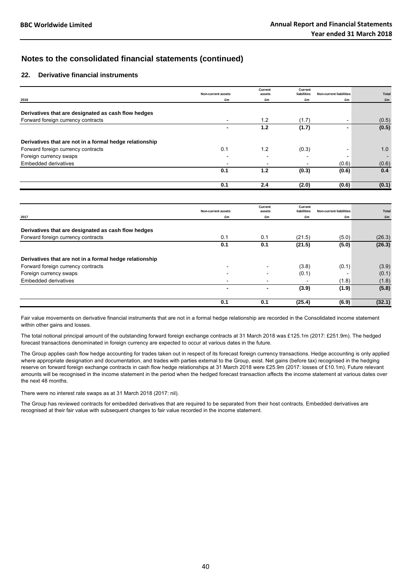### **22. Derivative financial instruments**

|                                                         |                           | Current | Current     |                                |              |
|---------------------------------------------------------|---------------------------|---------|-------------|--------------------------------|--------------|
|                                                         | <b>Non-current assets</b> | assets  | liabilities | <b>Non-current liabilities</b> | <b>Total</b> |
| 2018                                                    | £m                        | £m      | £m          | £m                             | £m           |
| Derivatives that are designated as cash flow hedges     |                           |         |             |                                |              |
| Forward foreign currency contracts                      |                           | 1.2     | (1.7)       |                                | (0.5)        |
|                                                         |                           | 1.2     | (1.7)       |                                | (0.5)        |
| Derivatives that are not in a formal hedge relationship |                           |         |             |                                |              |
| Forward foreign currency contracts                      | 0.1                       | 1.2     | (0.3)       |                                | 1.0          |
| Foreign currency swaps                                  |                           |         |             |                                |              |
| Embedded derivatives                                    |                           |         |             | (0.6)                          | (0.6)        |
|                                                         | 0.1                       | 1.2     | (0.3)       | (0.6)                          | 0.4          |
|                                                         | 0.1                       | 2.4     | (2.0)       | (0.6)                          | (0.1)        |

|                                                         | <b>Non-current assets</b> | Current<br>assets | Current<br>liabilities | <b>Non-current liabilities</b> | <b>Total</b> |
|---------------------------------------------------------|---------------------------|-------------------|------------------------|--------------------------------|--------------|
| 2017                                                    | £m                        | £m                | £m                     | £m                             | £m           |
| Derivatives that are designated as cash flow hedges     |                           |                   |                        |                                |              |
| Forward foreign currency contracts                      | 0.1                       | 0.1               | (21.5)                 | (5.0)                          | (26.3)       |
|                                                         | 0.1                       | 0.1               | (21.5)                 | (5.0)                          | (26.3)       |
| Derivatives that are not in a formal hedge relationship |                           |                   |                        |                                |              |
| Forward foreign currency contracts                      |                           |                   | (3.8)                  | (0.1)                          | (3.9)        |
| Foreign currency swaps                                  |                           |                   | (0.1)                  |                                | (0.1)        |
| Embedded derivatives                                    |                           |                   |                        | (1.8)                          | (1.8)        |
|                                                         |                           |                   | (3.9)                  | (1.9)                          | (5.8)        |
|                                                         | 0.1                       | 0.1               | (25.4)                 | (6.9)                          | (32.1)       |

Fair value movements on derivative financial instruments that are not in a formal hedge relationship are recorded in the Consolidated income statement within other gains and losses.

The total notional principal amount of the outstanding forward foreign exchange contracts at 31 March 2018 was £125.1m (2017: £251.9m). The hedged forecast transactions denominated in foreign currency are expected to occur at various dates in the future.

The Group applies cash flow hedge accounting for trades taken out in respect of its forecast foreign currency transactions. Hedge accounting is only applied where appropriate designation and documentation, and trades with parties external to the Group, exist. Net gains (before tax) recognised in the hedging reserve on forward foreign exchange contracts in cash flow hedge relationships at 31 March 2018 were £25.9m (2017: losses of £10.1m). Future relevant amounts will be recognised in the income statement in the period when the hedged forecast transaction affects the income statement at various dates over the next 48 months.

There were no interest rate swaps as at 31 March 2018 (2017: nil).

The Group has reviewed contracts for embedded derivatives that are required to be separated from their host contracts. Embedded derivatives are recognised at their fair value with subsequent changes to fair value recorded in the income statement.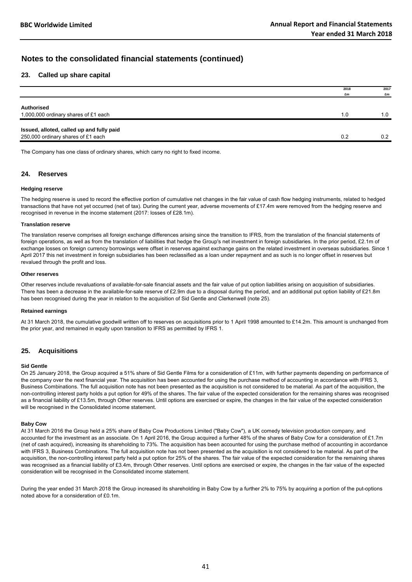### **23. Called up share capital**

| 2018                                        | 2017 |
|---------------------------------------------|------|
| £m                                          | £m   |
|                                             |      |
| <b>Authorised</b>                           |      |
| 1,000,000 ordinary shares of £1 each<br>1.0 | 1.0  |
|                                             |      |
| Issued, alloted, called up and fully paid   |      |
| 250,000 ordinary shares of £1 each<br>0.2   | 0.2  |

The Company has one class of ordinary shares, which carry no right to fixed income.

#### **24. Reserves**

#### **Hedging reserve**

The hedging reserve is used to record the effective portion of cumulative net changes in the fair value of cash flow hedging instruments, related to hedged transactions that have not yet occurred (net of tax). During the current year, adverse movements of £17.4m were removed from the hedging reserve and recognised in revenue in the income statement (2017: losses of £28.1m).

#### **Translation reserve**

The translation reserve comprises all foreign exchange differences arising since the transition to IFRS, from the translation of the financial statements of foreign operations, as well as from the translation of liabilities that hedge the Group's net investment in foreign subsidiaries. In the prior period, £2.1m of exchange losses on foreign currency borrowings were offset in reserves against exchange gains on the related investment in overseas subsidiaries. Since 1 April 2017 this net investment in foreign subsidiaries has been reclassified as a loan under repayment and as such is no longer offset in reserves but revalued through the profit and loss.

#### **Other reserves**

Other reserves include revaluations of available-for-sale financial assets and the fair value of put option liabilities arising on acquisition of subsidiaries. There has been a decrease in the available-for-sale reserve of £2.9m due to a disposal during the period, and an additional put option liability of £21.8m has been recognised during the year in relation to the acquisition of Sid Gentle and Clerkenwell (note 25).

#### **Retained earnings**

At 31 March 2018, the cumulative goodwill written off to reserves on acquisitions prior to 1 April 1998 amounted to £14.2m. This amount is unchanged from the prior year, and remained in equity upon transition to IFRS as permitted by IFRS 1.

#### **25. Acquisitions**

#### **Sid Gentle**

On 25 January 2018, the Group acquired a 51% share of Sid Gentle Films for a consideration of £11m, with further payments depending on performance of the company over the next financial year. The acquisition has been accounted for using the purchase method of accounting in accordance with IFRS 3, Business Combinations. The full acquisition note has not been presented as the acquisition is not considered to be material. As part of the acquisition, the non-controlling interest party holds a put option for 49% of the shares. The fair value of the expected consideration for the remaining shares was recognised as a financial liability of £13.5m, through Other reserves. Until options are exercised or expire, the changes in the fair value of the expected consideration will be recognised in the Consolidated income statement.

#### **Baby Cow**

At 31 March 2016 the Group held a 25% share of Baby Cow Productions Limited ("Baby Cow"), a UK comedy television production company, and accounted for the investment as an associate. On 1 April 2016, the Group acquired a further 48% of the shares of Baby Cow for a consideration of £1.7m (net of cash acquired), increasing its shareholding to 73%. The acquisition has been accounted for using the purchase method of accounting in accordance with IFRS 3, Business Combinations. The full acquisition note has not been presented as the acquisition is not considered to be material. As part of the acquisition, the non-controlling interest party held a put option for 25% of the shares. The fair value of the expected consideration for the remaining shares was recognised as a financial liability of £3.4m, through Other reserves. Until options are exercised or expire, the changes in the fair value of the expected consideration will be recognised in the Consolidated income statement.

During the year ended 31 March 2018 the Group increased its shareholding in Baby Cow by a further 2% to 75% by acquiring a portion of the put-options noted above for a consideration of £0.1m.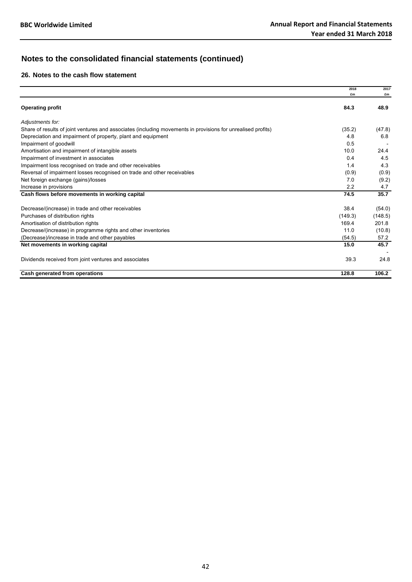## **26. Notes to the cash flow statement**

|                                                                                                              | 2018    | 2017    |
|--------------------------------------------------------------------------------------------------------------|---------|---------|
|                                                                                                              | £m      | £m      |
| <b>Operating profit</b>                                                                                      | 84.3    | 48.9    |
| Adjustments for:                                                                                             |         |         |
| Share of results of joint ventures and associates (including movements in provisions for unrealised profits) | (35.2)  | (47.8)  |
| Depreciation and impairment of property, plant and equipment                                                 | 4.8     | 6.8     |
| Impairment of goodwill                                                                                       | 0.5     |         |
| Amortisation and impairment of intangible assets                                                             | 10.0    | 24.4    |
| Impairment of investment in associates                                                                       | 0.4     | 4.5     |
| Impairment loss recognised on trade and other receivables                                                    | 1.4     | 4.3     |
| Reversal of impairment losses recognised on trade and other receivables                                      | (0.9)   | (0.9)   |
| Net foreign exchange (gains)/losses                                                                          | 7.0     | (9.2)   |
| Increase in provisions                                                                                       | 2.2     | 4.7     |
| Cash flows before movements in working capital                                                               | 74.5    | 35.7    |
| Decrease/(increase) in trade and other receivables                                                           | 38.4    | (54.0)  |
| Purchases of distribution rights                                                                             | (149.3) | (148.5) |
| Amortisation of distribution rights                                                                          | 169.4   | 201.8   |
| Decrease/(increase) in programme rights and other inventories                                                | 11.0    | (10.8)  |
| (Decrease)/increase in trade and other payables                                                              | (54.5)  | 57.2    |
| Net movements in working capital                                                                             | 15.0    | 45.7    |
| Dividends received from joint ventures and associates                                                        | 39.3    | 24.8    |
| Cash generated from operations                                                                               | 128.8   | 106.2   |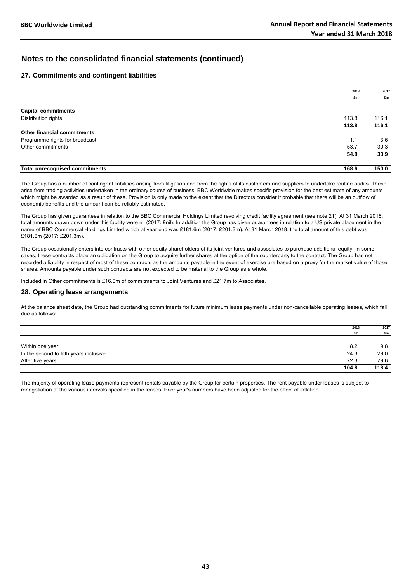### **27. Commitments and contingent liabilities**

|                                       | 2018  | 2017  |
|---------------------------------------|-------|-------|
|                                       | £m    | £m    |
|                                       |       |       |
| <b>Capital commitments</b>            |       |       |
| Distribution rights                   | 113.8 | 116.1 |
|                                       | 113.8 | 116.1 |
| <b>Other financial commitments</b>    |       |       |
| Programme rights for broadcast        | 1.1   | 3.6   |
| Other commitments                     | 53.7  | 30.3  |
|                                       | 54.8  | 33.9  |
| <b>Total unrecognised commitments</b> | 168.6 | 150.0 |

The Group has a number of contingent liabilities arising from litigation and from the rights of its customers and suppliers to undertake routine audits. These arise from trading activities undertaken in the ordinary course of business. BBC Worldwide makes specific provision for the best estimate of any amounts which might be awarded as a result of these. Provision is only made to the extent that the Directors consider it probable that there will be an outflow of economic benefits and the amount can be reliably estimated.

The Group has given guarantees in relation to the BBC Commercial Holdings Limited revolving credit facility agreement (see note 21). At 31 March 2018, total amounts drawn down under this facility were nil (2017: £nil). In addition the Group has given guarantees in relation to a US private placement in the name of BBC Commercial Holdings Limited which at year end was £181.6m (2017: £201.3m). At 31 March 2018, the total amount of this debt was £181.6m (2017: £201.3m).

The Group occasionally enters into contracts with other equity shareholders of its joint ventures and associates to purchase additional equity. In some cases, these contracts place an obligation on the Group to acquire further shares at the option of the counterparty to the contract. The Group has not recorded a liability in respect of most of these contracts as the amounts payable in the event of exercise are based on a proxy for the market value of those shares. Amounts payable under such contracts are not expected to be material to the Group as a whole.

Included in Other commitments is £16.0m of commitments to Joint Ventures and £21.7m to Associates.

#### **28. Operating lease arrangements**

At the balance sheet date, the Group had outstanding commitments for future minimum lease payments under non-cancellable operating leases, which fall due as follows:

|                                        | 2018  | 2017  |
|----------------------------------------|-------|-------|
|                                        | £m    | £m    |
|                                        |       |       |
| Within one year                        | 8.2   | 9.8   |
| In the second to fifth years inclusive | 24.3  | 29.0  |
| After five years                       | 72.3  | 79.6  |
|                                        | 104.8 | 118.4 |

The majority of operating lease payments represent rentals payable by the Group for certain properties. The rent payable under leases is subject to renegotiation at the various intervals specified in the leases. Prior year's numbers have been adjusted for the effect of inflation.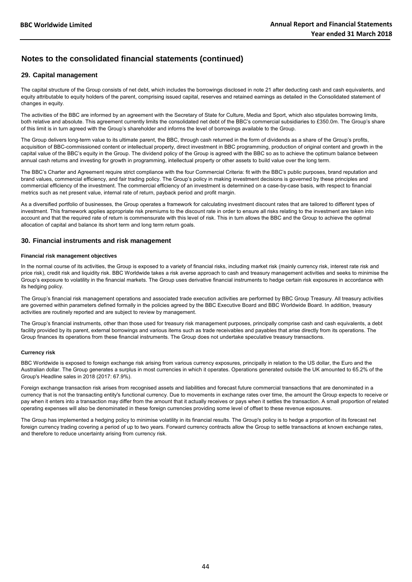### **29. Capital management**

The capital structure of the Group consists of net debt, which includes the borrowings disclosed in note 21 after deducting cash and cash equivalents, and equity attributable to equity holders of the parent, comprising issued capital, reserves and retained earnings as detailed in the Consolidated statement of changes in equity.

The activities of the BBC are informed by an agreement with the Secretary of State for Culture, Media and Sport, which also stipulates borrowing limits, both relative and absolute. This agreement currently limits the consolidated net debt of the BBC's commercial subsidiaries to £350.0m. The Group's share of this limit is in turn agreed with the Group's shareholder and informs the level of borrowings available to the Group.

The Group delivers long-term value to its ultimate parent, the BBC, through cash returned in the form of dividends as a share of the Group's profits, acquisition of BBC-commissioned content or intellectual property, direct investment in BBC programming, production of original content and growth in the capital value of the BBC's equity in the Group. The dividend policy of the Group is agreed with the BBC so as to achieve the optimum balance between annual cash returns and investing for growth in programming, intellectual property or other assets to build value over the long term.

The BBC's Charter and Agreement require strict compliance with the four Commercial Criteria: fit with the BBC's public purposes, brand reputation and brand values, commercial efficiency, and fair trading policy. The Group's policy in making investment decisions is governed by these principles and commercial efficiency of the investment. The commercial efficiency of an investment is determined on a case-by-case basis, with respect to financial metrics such as net present value, internal rate of return, payback period and profit margin.

As a diversified portfolio of businesses, the Group operates a framework for calculating investment discount rates that are tailored to different types of investment. This framework applies appropriate risk premiums to the discount rate in order to ensure all risks relating to the investment are taken into account and that the required rate of return is commensurate with this level of risk. This in turn allows the BBC and the Group to achieve the optimal allocation of capital and balance its short term and long term return goals.

### **30. Financial instruments and risk management**

#### **Financial risk management objectives**

In the normal course of its activities, the Group is exposed to a variety of financial risks, including market risk (mainly currency risk, interest rate risk and price risk), credit risk and liquidity risk. BBC Worldwide takes a risk averse approach to cash and treasury management activities and seeks to minimise the Group's exposure to volatility in the financial markets. The Group uses derivative financial instruments to hedge certain risk exposures in accordance with its hedging policy.

The Group's financial risk management operations and associated trade execution activities are performed by BBC Group Treasury. All treasury activities are governed within parameters defined formally in the policies agreed by the BBC Executive Board and BBC Worldwide Board. In addition, treasury activities are routinely reported and are subject to review by management.

The Group's financial instruments, other than those used for treasury risk management purposes, principally comprise cash and cash equivalents, a debt facility provided by its parent, external borrowings and various items such as trade receivables and payables that arise directly from its operations. The Group finances its operations from these financial instruments. The Group does not undertake speculative treasury transactions.

#### **Currency risk**

BBC Worldwide is exposed to foreign exchange risk arising from various currency exposures, principally in relation to the US dollar, the Euro and the Australian dollar. The Group generates a surplus in most currencies in which it operates. Operations generated outside the UK amounted to 65.2% of the Group's Headline sales in 2018 (2017: 67.9%).

Foreign exchange transaction risk arises from recognised assets and liabilities and forecast future commercial transactions that are denominated in a currency that is not the transacting entity's functional currency. Due to movements in exchange rates over time, the amount the Group expects to receive or pay when it enters into a transaction may differ from the amount that it actually receives or pays when it settles the transaction. A small proportion of related operating expenses will also be denominated in these foreign currencies providing some level of offset to these revenue exposures.

The Group has implemented a hedging policy to minimise volatility in its financial results. The Group's policy is to hedge a proportion of its forecast net foreign currency trading covering a period of up to two years. Forward currency contracts allow the Group to settle transactions at known exchange rates, and therefore to reduce uncertainty arising from currency risk.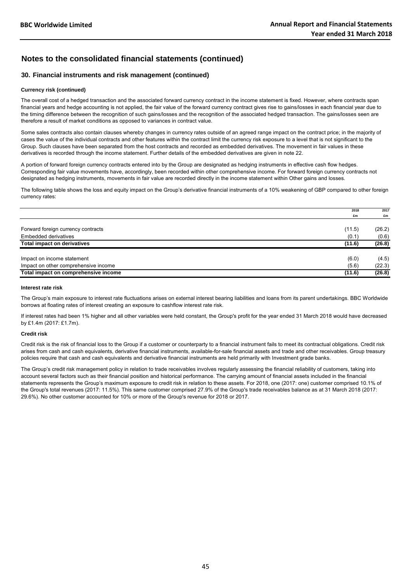### **30. Financial instruments and risk management (continued)**

#### **Currency risk (continued)**

The overall cost of a hedged transaction and the associated forward currency contract in the income statement is fixed. However, where contracts span financial years and hedge accounting is not applied, the fair value of the forward currency contract gives rise to gains/losses in each financial year due to the timing difference between the recognition of such gains/losses and the recognition of the associated hedged transaction. The gains/losses seen are therefore a result of market conditions as opposed to variances in contract value.

Some sales contracts also contain clauses whereby changes in currency rates outside of an agreed range impact on the contract price; in the majority of cases the value of the individual contracts and other features within the contract limit the currency risk exposure to a level that is not significant to the Group. Such clauses have been separated from the host contracts and recorded as embedded derivatives. The movement in fair values in these derivatives is recorded through the income statement. Further details of the embedded derivatives are given in note 22.

A portion of forward foreign currency contracts entered into by the Group are designated as hedging instruments in effective cash flow hedges. Corresponding fair value movements have, accordingly, been recorded within other comprehensive income. For forward foreign currency contracts not designated as hedging instruments, movements in fair value are recorded directly in the income statement within Other gains and losses.

The following table shows the loss and equity impact on the Group's derivative financial instruments of a 10% weakening of GBP compared to other foreign currency rates:

|                                      | 2018   | 2017   |
|--------------------------------------|--------|--------|
|                                      | £m     | £m     |
|                                      |        |        |
| Forward foreign currency contracts   | (11.5) | (26.2) |
| Embedded derivatives                 | (0.1)  | (0.6)  |
| <b>Total impact on derivatives</b>   | (11.6) | (26.8) |
| Impact on income statement           | (6.0)  | (4.5)  |
| Impact on other comprehensive income | (5.6)  | (22.3) |
| Total impact on comprehensive income | (11.6) | (26.8) |

#### **Interest rate risk**

The Group's main exposure to interest rate fluctuations arises on external interest bearing liabilities and loans from its parent undertakings. BBC Worldwide borrows at floating rates of interest creating an exposure to cashflow interest rate risk.

If interest rates had been 1% higher and all other variables were held constant, the Group's profit for the year ended 31 March 2018 would have decreased by £1.4m (2017: £1.7m).

#### **Credit risk**

Credit risk is the risk of financial loss to the Group if a customer or counterparty to a financial instrument fails to meet its contractual obligations. Credit risk arises from cash and cash equivalents, derivative financial instruments, available-for-sale financial assets and trade and other receivables. Group treasury policies require that cash and cash equivalents and derivative financial instruments are held primarily with Investment grade banks.

The Group's credit risk management policy in relation to trade receivables involves regularly assessing the financial reliability of customers, taking into account several factors such as their financial position and historical performance. The carrying amount of financial assets included in the financial statements represents the Group's maximum exposure to credit risk in relation to these assets. For 2018, one (2017: one) customer comprised 10.1% of the Group's total revenues (2017: 11.5%). This same customer comprised 27.9% of the Group's trade receivables balance as at 31 March 2018 (2017: 29.6%). No other customer accounted for 10% or more of the Group's revenue for 2018 or 2017.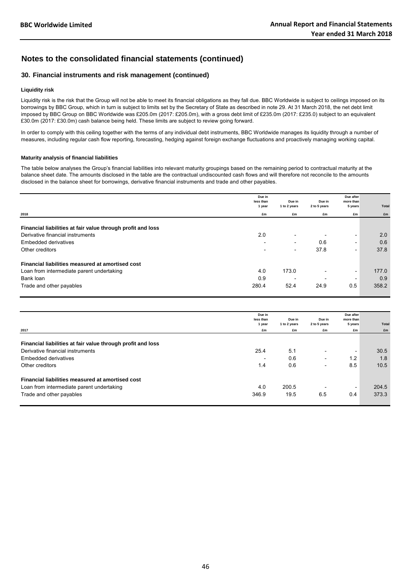## **30. Financial instruments and risk management (continued)**

### **Liquidity risk**

Liquidity risk is the risk that the Group will not be able to meet its financial obligations as they fall due. BBC Worldwide is subject to ceilings imposed on its borrowings by BBC Group, which in turn is subject to limits set by the Secretary of State as described in note 29. At 31 March 2018, the net debt limit imposed by BBC Group on BBC Worldwide was £205.0m (2017: £205.0m), with a gross debt limit of £235.0m (2017: £235.0) subject to an equivalent £30.0m (2017: £30.0m) cash balance being held. These limits are subject to review going forward.

In order to comply with this ceiling together with the terms of any individual debt instruments, BBC Worldwide manages its liquidity through a number of measures, including regular cash flow reporting, forecasting, hedging against foreign exchange fluctuations and proactively managing working capital.

#### **Maturity analysis of financial liabilities**

The table below analyses the Group's financial liabilities into relevant maturity groupings based on the remaining period to contractual maturity at the balance sheet date. The amounts disclosed in the table are the contractual undiscounted cash flows and will therefore not reconcile to the amounts disclosed in the balance sheet for borrowings, derivative financial instruments and trade and other payables.

|                                                             | Due in<br>less than<br>1 year | Due in<br>1 to 2 years   | Due in<br>2 to 5 years   | Due after<br>more than<br>5 years | Total |
|-------------------------------------------------------------|-------------------------------|--------------------------|--------------------------|-----------------------------------|-------|
| 2018                                                        | £m                            | £m                       | £m                       | £m                                | £m    |
| Financial liabilities at fair value through profit and loss |                               |                          |                          |                                   |       |
| Derivative financial instruments                            | 2.0                           | $\overline{\phantom{a}}$ |                          | $\overline{\phantom{0}}$          | 2.0   |
| Embedded derivatives                                        | $\overline{\phantom{0}}$      | $\overline{\phantom{a}}$ | 0.6                      | -                                 | 0.6   |
| Other creditors                                             | $\overline{\phantom{0}}$      | $\overline{\phantom{a}}$ | 37.8                     | -                                 | 37.8  |
| Financial liabilities measured at amortised cost            |                               |                          |                          |                                   |       |
| Loan from intermediate parent undertaking                   | 4.0                           | 173.0                    | $\overline{\phantom{a}}$ | $\overline{\phantom{a}}$          | 177.0 |
| Bank loan                                                   | 0.9                           | $\overline{\phantom{a}}$ |                          | $\overline{\phantom{0}}$          | 0.9   |
| Trade and other payables                                    | 280.4                         | 52.4                     | 24.9                     | 0.5                               | 358.2 |

|                                                             | Due in                   |                        |                          | Due after                |              |
|-------------------------------------------------------------|--------------------------|------------------------|--------------------------|--------------------------|--------------|
|                                                             | less than<br>1 year      | Due in<br>1 to 2 years | Due in<br>2 to 5 years   | more than<br>5 years     | <b>Total</b> |
| 2017                                                        | £m                       | £m                     | £m                       | £m                       | £m           |
| Financial liabilities at fair value through profit and loss |                          |                        |                          |                          |              |
| Derivative financial instruments                            | 25.4                     | 5.1                    | $\overline{\phantom{a}}$ | $\overline{\phantom{0}}$ | 30.5         |
| Embedded derivatives                                        | $\overline{\phantom{0}}$ | 0.6                    | $\overline{\phantom{0}}$ | 1.2                      | 1.8          |
| Other creditors                                             | 1.4                      | 0.6                    | $\overline{\phantom{a}}$ | 8.5                      | 10.5         |
| Financial liabilities measured at amortised cost            |                          |                        |                          |                          |              |
| Loan from intermediate parent undertaking                   | 4.0                      | 200.5                  |                          | $\overline{\phantom{0}}$ | 204.5        |
| Trade and other payables                                    | 346.9                    | 19.5                   | 6.5                      | 0.4                      | 373.3        |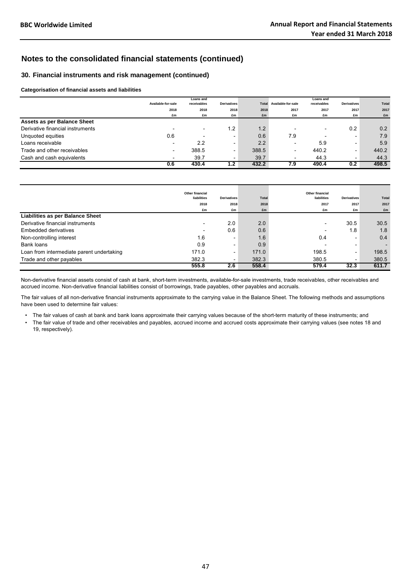## **30. Financial instruments and risk management (continued)**

### **Categorisation of financial assets and liabilities**

|                                  |                          | Loans and                |                          |              |                          | Loans and                |                          |              |
|----------------------------------|--------------------------|--------------------------|--------------------------|--------------|--------------------------|--------------------------|--------------------------|--------------|
|                                  | Available-for-sale       | receivables              | <b>Derivatives</b>       | <b>Total</b> | Available-for-sale       | receivables              | <b>Derivatives</b>       | <b>Total</b> |
|                                  | 2018                     | 2018                     | 2018                     | 2018         | 2017                     | 2017                     | 2017                     | 2017         |
|                                  | £m                       | £m                       | £m                       | £m           | £m                       | £m                       | £m                       | £m           |
| Assets as per Balance Sheet      |                          |                          |                          |              |                          |                          |                          |              |
| Derivative financial instruments |                          | $\overline{\phantom{0}}$ | 1.2                      | 1.2          | $\overline{\phantom{0}}$ | $\overline{\phantom{0}}$ | 0.2                      | 0.2          |
| Unquoted equities                | 0.6                      |                          | $\overline{\phantom{0}}$ | 0.6          | 7.9                      | $\overline{\phantom{0}}$ | $\overline{\phantom{0}}$ | 7.9          |
| Loans receivable                 | $\overline{\phantom{0}}$ | 2.2                      | $\overline{\phantom{0}}$ | 2.2          | $\overline{\phantom{a}}$ | 5.9                      | $\overline{\phantom{0}}$ | 5.9          |
| Trade and other receivables      |                          | 388.5                    | $\overline{\phantom{0}}$ | 388.5        | $\overline{\phantom{a}}$ | 440.2                    | $\overline{\phantom{0}}$ | 440.2        |
| Cash and cash equivalents        | $\overline{\phantom{0}}$ | 39.7                     | $\overline{\phantom{0}}$ | 39.7         | $\overline{\phantom{a}}$ | 44.3                     | $\overline{\phantom{0}}$ | 44.3         |
|                                  | 0.6                      | 430.4                    | 1.2                      | 432.2        | 7.9                      | 490.4                    | 0.2 <sub>0</sub>         | 498.5        |

|                                           | Other financial          |                          |              | Other financial          |                          |              |
|-------------------------------------------|--------------------------|--------------------------|--------------|--------------------------|--------------------------|--------------|
|                                           | liabilities              | <b>Derivatives</b>       | <b>Total</b> | liabilities              | <b>Derivatives</b>       | <b>Total</b> |
|                                           | 2018                     | 2018                     | 2018         | 2017                     | 2017                     | 2017         |
|                                           | £m                       | £m                       | £m           | £m                       | £m                       | £m           |
| <b>Liabilities as per Balance Sheet</b>   |                          |                          |              |                          |                          |              |
| Derivative financial instruments          | $\overline{\phantom{0}}$ | 2.0                      | 2.0          | $\overline{\phantom{0}}$ | 30.5                     | 30.5         |
| Embedded derivatives                      | $\overline{\phantom{a}}$ | 0.6                      | 0.6          |                          | 1.8                      | 1.8          |
| Non-controlling interest                  | 1.6                      | $\overline{\phantom{0}}$ | 1.6          | 0.4                      | $\overline{\phantom{0}}$ | 0.4          |
| Bank loans                                | 0.9                      | $\overline{\phantom{0}}$ | 0.9          |                          | $\overline{\phantom{0}}$ |              |
| Loan from intermediate parent undertaking | 171.0                    | $\overline{\phantom{0}}$ | 171.0        | 198.5                    | $\overline{\phantom{0}}$ | 198.5        |
| Trade and other payables                  | 382.3                    | $\overline{\phantom{a}}$ | 382.3        | 380.5                    | $\overline{\phantom{a}}$ | 380.5        |
|                                           | 555.8                    | 2.6                      | 558.4        | 579.4                    | 32.3                     | 611.7        |

Non-derivative financial assets consist of cash at bank, short-term investments, available-for-sale investments, trade receivables, other receivables and accrued income. Non-derivative financial liabilities consist of borrowings, trade payables, other payables and accruals.

The fair values of all non-derivative financial instruments approximate to the carrying value in the Balance Sheet. The following methods and assumptions have been used to determine fair values:

• The fair values of cash at bank and bank loans approximate their carrying values because of the short-term maturity of these instruments; and

• The fair value of trade and other receivables and payables, accrued income and accrued costs approximate their carrying values (see notes 18 and 19, respectively).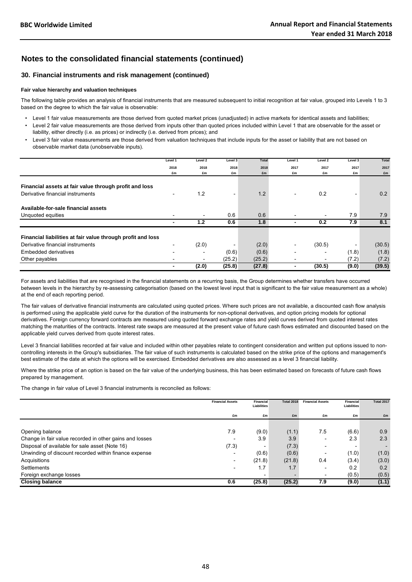### **30. Financial instruments and risk management (continued)**

#### **Fair value hierarchy and valuation techniques**

The following table provides an analysis of financial instruments that are measured subsequent to initial recognition at fair value, grouped into Levels 1 to 3 based on the degree to which the fair value is observable:

- Level 1 fair value measurements are those derived from quoted market prices (unadjusted) in active markets for identical assets and liabilities;
- Level 2 fair value measurements are those derived from inputs other than quoted prices included within Level 1 that are observable for the asset or liability, either directly (i.e. as prices) or indirectly (i.e. derived from prices); and
- Level 3 fair value measurements are those derived from valuation techniques that include inputs for the asset or liability that are not based on observable market data (unobservable inputs).

|                                                             | Level 1                  | Level 2                  | Level 3                  | <b>Total</b> | Level 1                  | Level 2                  | Level 3                  | <b>Total</b> |
|-------------------------------------------------------------|--------------------------|--------------------------|--------------------------|--------------|--------------------------|--------------------------|--------------------------|--------------|
|                                                             | 2018                     | 2018                     | 2018                     | 2018         | 2017                     | 2017                     | 2017                     | 2017         |
|                                                             | £m                       | £m                       | £m                       | £m           | £m                       | £m                       | £m                       | £m           |
|                                                             |                          |                          |                          |              |                          |                          |                          |              |
| Financial assets at fair value through profit and loss      |                          |                          |                          |              |                          |                          |                          |              |
| Derivative financial instruments                            | $\overline{\phantom{a}}$ | 1.2                      | $\overline{\phantom{a}}$ | 1.2          | $\overline{\phantom{a}}$ | 0.2                      | $\overline{\phantom{a}}$ | 0.2          |
|                                                             |                          |                          |                          |              |                          |                          |                          |              |
| Available-for-sale financial assets                         |                          |                          |                          |              |                          |                          |                          |              |
| Unquoted equities                                           |                          | $\overline{\phantom{0}}$ | 0.6                      | 0.6          | $\overline{\phantom{a}}$ |                          | 7.9                      | 7.9          |
|                                                             |                          | 1.2                      | 0.6                      | 1.8          |                          | 0.2                      | 7.9                      | 8.1          |
| Financial liabilities at fair value through profit and loss |                          |                          |                          |              |                          |                          |                          |              |
| Derivative financial instruments                            |                          | (2.0)                    | $\overline{\phantom{a}}$ | (2.0)        |                          | (30.5)                   |                          | (30.5)       |
| Embedded derivatives                                        |                          | $\overline{\phantom{0}}$ | (0.6)                    | (0.6)        |                          |                          | (1.8)                    | (1.8)        |
| Other payables                                              |                          | $\overline{\phantom{0}}$ | (25.2)                   | (25.2)       |                          | $\overline{\phantom{a}}$ | (7.2)                    | (7.2)        |
|                                                             |                          | (2.0)                    | (25.8)                   | (27.8)       |                          | (30.5)                   | (9.0)                    | (39.5)       |

For assets and liabilities that are recognised in the financial statements on a recurring basis, the Group determines whether transfers have occurred between levels in the hierarchy by re-assessing categorisation (based on the lowest level input that is significant to the fair value measurement as a whole) at the end of each reporting period.

The fair values of derivative financial instruments are calculated using quoted prices. Where such prices are not available, a discounted cash flow analysis is performed using the applicable yield curve for the duration of the instruments for non-optional derivatives, and option pricing models for optional derivatives. Foreign currency forward contracts are measured using quoted forward exchange rates and yield curves derived from quoted interest rates matching the maturities of the contracts. Interest rate swaps are measured at the present value of future cash flows estimated and discounted based on the applicable yield curves derived from quote interest rates.

Level 3 financial liabilities recorded at fair value and included within other payables relate to contingent consideration and written put options issued to noncontrolling interests in the Group's subsidiaries. The fair value of such instruments is calculated based on the strike price of the options and management's best estimate of the date at which the options will be exercised. Embedded derivatives are also assessed as a level 3 financial liability.

Where the strike price of an option is based on the fair value of the underlying business, this has been estimated based on forecasts of future cash flows prepared by management.

The change in fair value of Level 3 financial instruments is reconciled as follows:

|                                                         | <b>Financial Assets</b>  | <b>Financial</b><br><b>Liabilities</b> | <b>Total 2018</b> | <b>Financial Assets</b> | <b>Financial</b><br>Liabilities | Total 2017 |
|---------------------------------------------------------|--------------------------|----------------------------------------|-------------------|-------------------------|---------------------------------|------------|
|                                                         | £m                       | £m                                     | £m                | £m                      | £m                              | £m         |
|                                                         |                          |                                        |                   |                         |                                 |            |
| Opening balance                                         | 7.9                      | (9.0)                                  | (1.1)             | 7.5                     | (6.6)                           | 0.9        |
| Change in fair value recorded in other gains and losses |                          | 3.9                                    | 3.9               |                         | 2.3                             | 2.3        |
| Disposal of available for sale asset (Note 16)          | (7.3)                    |                                        | (7.3)             |                         |                                 |            |
| Unwinding of discount recorded within finance expense   | -                        | (0.6)                                  | (0.6)             |                         | (1.0)                           | (1.0)      |
| Acquisitions                                            | $\overline{\phantom{a}}$ | (21.8)                                 | (21.8)            | 0.4                     | (3.4)                           | (3.0)      |
| Settlements                                             |                          | 1.7                                    | 1.7               |                         | 0.2                             | 0.2        |
| Foreign exchange losses                                 |                          | $\overline{\phantom{0}}$               |                   |                         | (0.5)                           | (0.5)      |
| <b>Closing balance</b>                                  | 0.6                      | (25.8)                                 | (25.2)            | 7.9                     | (9.0)                           | (1.1)      |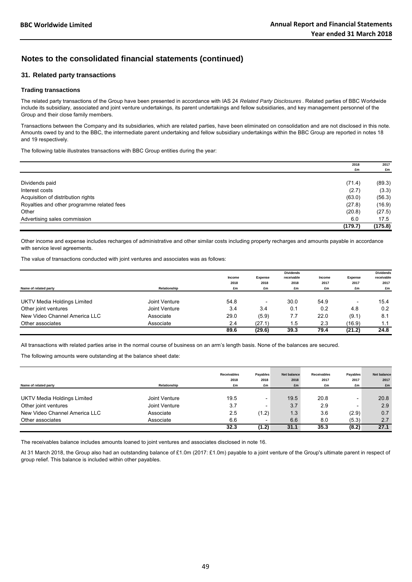### **31. Related party transactions**

#### **Trading transactions**

The related party transactions of the Group have been presented in accordance with IAS 24 *Related Party Disclosures* . Related parties of BBC Worldwide include its subsidiary, associated and joint venture undertakings, its parent undertakings and fellow subsidiaries, and key management personnel of the Group and their close family members.

Transactions between the Company and its subsidiaries, which are related parties, have been eliminated on consolidation and are not disclosed in this note. Amounts owed by and to the BBC, the intermediate parent undertaking and fellow subsidiary undertakings within the BBC Group are reported in notes 18 and 19 respectively.

The following table illustrates transactions with BBC Group entities during the year:

|                                            | 2018    | 2017    |
|--------------------------------------------|---------|---------|
|                                            | £m      | £m      |
|                                            |         |         |
| Dividends paid                             | (71.4)  | (89.3)  |
| Interest costs                             | (2.7)   | (3.3)   |
| Acquisition of distribution rights         | (63.0)  | (56.3)  |
| Royalties and other programme related fees | (27.8)  | (16.9)  |
| Other                                      | (20.8)  | (27.5)  |
| Advertising sales commission               | 6.0     | 17.5    |
|                                            | (179.7) | (175.8) |

Other income and expense includes recharges of administrative and other similar costs including property recharges and amounts payable in accordance with service level agreements.

The value of transactions conducted with joint ventures and associates was as follows:

|                                    |               |        |                          | <b>Dividends</b> |        |         | <b>Dividends</b> |
|------------------------------------|---------------|--------|--------------------------|------------------|--------|---------|------------------|
|                                    |               | Income | Expense                  | receivable       | Income | Expense | receivable       |
|                                    |               | 2018   | 2018                     | 2018             | 2017   | 2017    | 2017             |
| Name of related party              | Relationship  | £m     | £m                       | £m               | £m     | £m      | £m               |
|                                    |               |        |                          |                  |        |         |                  |
| <b>UKTV Media Holdings Limited</b> | Joint Venture | 54.8   | $\overline{\phantom{a}}$ | 30.0             | 54.9   |         | 15.4             |
| Other joint ventures               | Joint Venture | 3.4    | 3.4                      | 0.1              | 0.2    | 4.8     | 0.2              |
| New Video Channel America LLC      | Associate     | 29.0   | (5.9)                    | 7.7              | 22.0   | (9.1)   | 8.1              |
| Other associates                   | Associate     | 2.4    | (27.1)                   | 1.5              | 2.3    | (16.9)  | 1.1              |
|                                    |               | 89.6   | (29.6)                   | 39.3             | 79.4   | (21.2)  | 24.8             |

All transactions with related parties arise in the normal course of business on an arm's length basis. None of the balances are secured.

The following amounts were outstanding at the balance sheet date:

|                                    |               | <b>Receivables</b> | Payables                 | <b>Net balance</b> | <b>Receivables</b> | Payables | <b>Net balance</b> |
|------------------------------------|---------------|--------------------|--------------------------|--------------------|--------------------|----------|--------------------|
|                                    |               | 2018               | 2018                     | 2018               | 2017               | 2017     | 2017               |
| Name of related party              | Relationship  | £m                 | £m                       | £m                 | £m                 | £m       | £m                 |
|                                    |               |                    |                          |                    |                    |          |                    |
| <b>UKTV Media Holdings Limited</b> | Joint Venture | 19.5               | $\overline{\phantom{a}}$ | 19.5               | 20.8               |          | 20.8               |
| Other joint ventures               | Joint Venture | 3.7                |                          | 3.7                | 2.9                |          | 2.9                |
| New Video Channel America LLC      | Associate     | 2.5                | (1.2)                    | 1.3                | 3.6                | (2.9)    | 0.7                |
| Other associates                   | Associate     | 6.6                | $\overline{\phantom{0}}$ | 6.6                | 8.0                | (5.3)    | 2.7                |
|                                    |               | 32.3               | (1.2)                    | 31.1               | 35.3               | (8.2)    | 27.1               |

The receivables balance includes amounts loaned to joint ventures and associates disclosed in note 16.

At 31 March 2018, the Group also had an outstanding balance of £1.0m (2017: £1.0m) payable to a joint venture of the Group's ultimate parent in respect of group relief. This balance is included within other payables.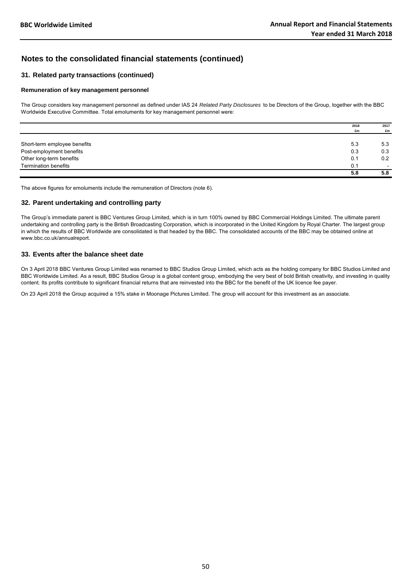## **31. Related party transactions (continued)**

### **Remuneration of key management personnel**

The Group considers key management personnel as defined under IAS 24 *Related Party Disclosures* to be Directors of the Group, together with the BBC Worldwide Executive Committee. Total emoluments for key management personnel were:

|                              | 2018 | 2017                     |
|------------------------------|------|--------------------------|
|                              | £m   | £m                       |
|                              |      |                          |
| Short-term employee benefits | 5.3  | 5.3                      |
| Post-employment benefits     | 0.3  | 0.3                      |
| Other long-term benefits     | 0.1  | 0.2                      |
| <b>Termination benefits</b>  | 0.1  | $\overline{\phantom{0}}$ |
|                              | 5.8  | 5.8                      |

The above figures for emoluments include the remuneration of Directors (note 6).

### **32. Parent undertaking and controlling party**

The Group's immediate parent is BBC Ventures Group Limited, which is in turn 100% owned by BBC Commercial Holdings Limited. The ultimate parent undertaking and controlling party is the British Broadcasting Corporation, which is incorporated in the United Kingdom by Royal Charter. The largest group in which the results of BBC Worldwide are consolidated is that headed by the BBC. The consolidated accounts of the BBC may be obtained online at www.bbc.co.uk/annualreport.

### **33. Events after the balance sheet date**

On 3 April 2018 BBC Ventures Group Limited was renamed to BBC Studios Group Limited, which acts as the holding company for BBC Studios Limited and BBC Worldwide Limited. As a result, BBC Studios Group is a global content group, embodying the very best of bold British creativity, and investing in quality content. Its profits contribute to significant financial returns that are reinvested into the BBC for the benefit of the UK licence fee payer.

On 23 April 2018 the Group acquired a 15% stake in Moonage Pictures Limited. The group will account for this investment as an associate.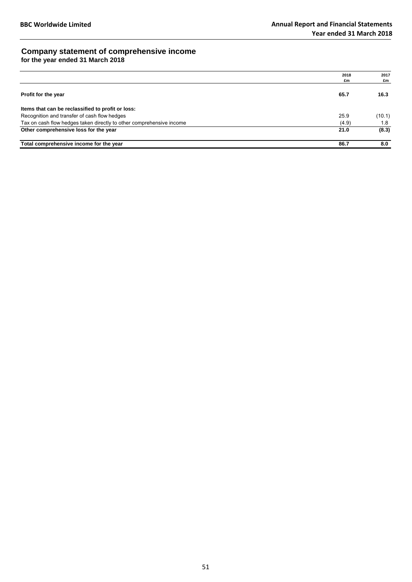## **Company statement of comprehensive income for the year ended 31 March 2018**

|                                                                      | 2018<br>£m | 2017<br>£m |
|----------------------------------------------------------------------|------------|------------|
|                                                                      |            |            |
| Profit for the year                                                  | 65.7       | 16.3       |
| Items that can be reclassified to profit or loss:                    |            |            |
| Recognition and transfer of cash flow hedges                         | 25.9       | (10.1)     |
| Tax on cash flow hedges taken directly to other comprehensive income | (4.9)      | 1.8        |
| Other comprehensive loss for the year                                | 21.0       | (8.3)      |
| Total comprehensive income for the year                              | 86.7       | 8.0        |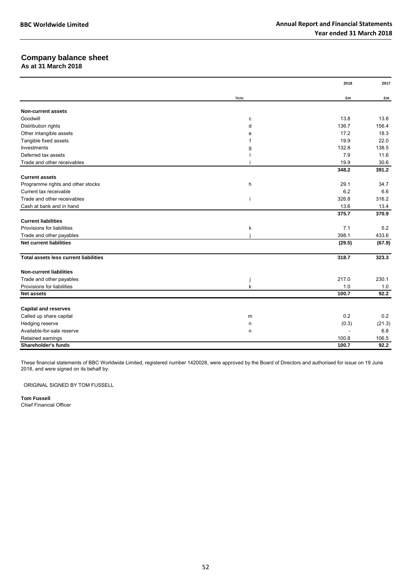## **Company balance sheet**

**As at 31 March 2018**

|                                              |      | 2018   | 2017   |
|----------------------------------------------|------|--------|--------|
|                                              | Note | £m     | £m     |
| <b>Non-current assets</b>                    |      |        |        |
| Goodwill                                     | с    | 13.8   | 13.8   |
| Distribution rights                          | d    | 136.7  | 156.4  |
| Other intangible assets                      | e    | 17.2   | 18.3   |
| Tangible fixed assets                        |      | 19.9   | 22.0   |
| Investments                                  | g    | 132.8  | 138.5  |
| Deferred tax assets                          |      | 7.9    | 11.6   |
| Trade and other receivables                  |      | 19.9   | 30.6   |
|                                              |      | 348.2  | 391.2  |
| <b>Current assets</b>                        |      |        |        |
| Programme rights and other stocks            | h    | 29.1   | 34.7   |
| Current tax receivable                       |      | 6.2    | 6.6    |
| Trade and other receivables                  | Ť    | 326.8  | 316.2  |
| Cash at bank and in hand                     |      | 13.6   | 13.4   |
|                                              |      | 375.7  | 370.9  |
| <b>Current liabilities</b>                   |      |        |        |
| Provisions for liabilities                   | k    | 7.1    | 5.2    |
| Trade and other payables                     |      | 398.1  | 433.6  |
| <b>Net current liabilities</b>               |      | (29.5) | (67.9) |
| <b>Total assets less current liabilities</b> |      | 318.7  | 323.3  |
| <b>Non-current liabilities</b>               |      |        |        |
| Trade and other payables                     |      | 217.0  | 230.1  |
| Provisions for liabilities                   | k    | 1.0    | 1.0    |
| <b>Net assets</b>                            |      | 100.7  | 92.2   |
| <b>Capital and reserves</b>                  |      |        |        |
| Called up share capital                      | m    | 0.2    | 0.2    |
| Hedging reserve                              | n    | (0.3)  | (21.3) |
| Available-for-sale reserve                   | n    |        | 6.8    |
| Retained earnings                            |      | 100.8  | 106.5  |
| <b>Shareholder's funds</b>                   |      | 100.7  | 92.2   |
|                                              |      |        |        |

These financial statements of BBC Worldwide Limited, registered number 1420028, were approved by the Board of Directors and authorised for issue on 19 June 2018, and were signed on its behalf by:

### ORIGINAL SIGNED BY TOM FUSSELL

**Tom Fussell** 

Chief Financial Officer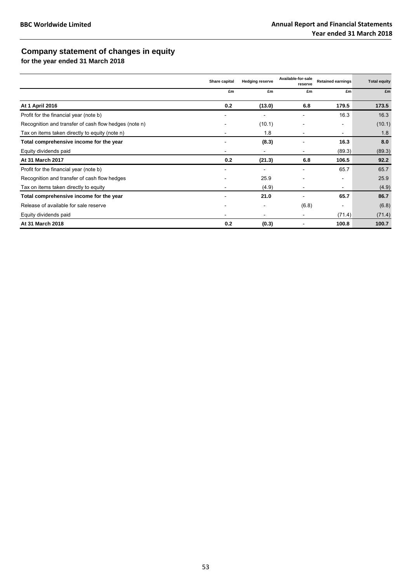## **Company statement of changes in equity**

**for the year ended 31 March 2018**

|                                                       | Share capital            | <b>Hedging reserve</b> | Available-for-sale<br>reserve | <b>Retained earnings</b> | <b>Total equity</b> |
|-------------------------------------------------------|--------------------------|------------------------|-------------------------------|--------------------------|---------------------|
|                                                       | £m                       | £m                     | £m                            | £m                       | £m                  |
| At 1 April 2016                                       | 0.2                      | (13.0)                 | 6.8                           | 179.5                    | 173.5               |
| Profit for the financial year (note b)                |                          |                        |                               | 16.3                     | 16.3                |
| Recognition and transfer of cash flow hedges (note n) | $\overline{\phantom{a}}$ | (10.1)                 |                               | $\overline{\phantom{a}}$ | (10.1)              |
| Tax on items taken directly to equity (note n)        | $\overline{\phantom{a}}$ | 1.8                    | $\overline{\phantom{a}}$      | $\overline{\phantom{0}}$ | 1.8                 |
| Total comprehensive income for the year               |                          | (8.3)                  |                               | 16.3                     | 8.0                 |
| Equity dividends paid                                 |                          |                        |                               | (89.3)                   | (89.3)              |
| At 31 March 2017                                      | 0.2                      | (21.3)                 | 6.8                           | 106.5                    | 92.2                |
| Profit for the financial year (note b)                | $\overline{a}$           |                        | $\overline{a}$                | 65.7                     | 65.7                |
| Recognition and transfer of cash flow hedges          | -                        | 25.9                   |                               | $\overline{\phantom{a}}$ | 25.9                |
| Tax on items taken directly to equity                 |                          | (4.9)                  | $\overline{\phantom{0}}$      | $\overline{\phantom{a}}$ | (4.9)               |
| Total comprehensive income for the year               |                          | 21.0                   |                               | 65.7                     | 86.7                |
| Release of available for sale reserve                 | $\overline{\phantom{a}}$ |                        | (6.8)                         | $\overline{\phantom{a}}$ | (6.8)               |
| Equity dividends paid                                 |                          |                        | $\overline{\phantom{a}}$      | (71.4)                   | (71.4)              |
| At 31 March 2018                                      | 0.2                      | (0.3)                  |                               | 100.8                    | 100.7               |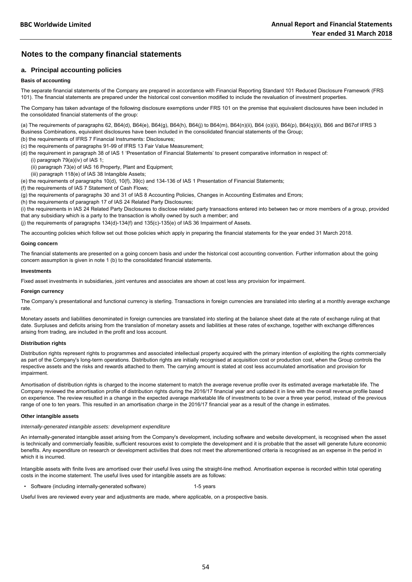## **Notes to the company financial statements**

## **a. Principal accounting policies**

#### **Basis of accounting**

The separate financial statements of the Company are prepared in accordance with Financial Reporting Standard 101 Reduced Disclosure Framework (FRS 101). The financial statements are prepared under the historical cost convention modified to include the revaluation of investment properties.

The Company has taken advantage of the following disclosure exemptions under FRS 101 on the premise that equivalent disclosures have been included in the consolidated financial statements of the group:

(a) The requirements of paragraphs 62, B64(d), B64(e), B64(g), B64(h), B64(j) to B64(m), B64(n)(ii), B64 (o)(ii), B64(p), B64(q)(ii), B66 and B67of IFRS 3 Business Combinations, equivalent disclosures have been included in the consolidated financial statements of the Group;

(b) the requirements of IFRS 7 Financial Instruments: Disclosures;

- (c) the requirements of paragraphs 91-99 of IFRS 13 Fair Value Measurement;
- (d) the requirement in paragraph 38 of IAS 1 'Presentation of Financial Statements' to present comparative information in respect of:
	- (i) paragraph 79(a)(iv) of IAS 1;
	- (ii) paragraph 73(e) of IAS 16 Property, Plant and Equipment;
	- (iii) paragraph 118(e) of IAS 38 Intangible Assets;

(e) the requirements of paragraphs 10(d), 10(f), 39(c) and 134-136 of IAS 1 Presentation of Financial Statements;

(f) the requirements of IAS 7 Statement of Cash Flows;

(g) the requirements of paragraphs 30 and 31 of IAS 8 Accounting Policies, Changes in Accounting Estimates and Errors;

(h) the requirements of paragraph 17 of IAS 24 Related Party Disclosures;

(i) the requirements in IAS 24 Related Party Disclosures to disclose related party transactions entered into between two or more members of a group, provided that any subsidiary which is a party to the transaction is wholly owned by such a member; and

(j) the requirements of paragraphs 134(d)-134(f) and 135(c)-135(e) of IAS 36 Impairment of Assets.

The accounting policies which follow set out those policies which apply in preparing the financial statements for the year ended 31 March 2018.

#### **Going concern**

The financial statements are presented on a going concern basis and under the historical cost accounting convention. Further information about the going concern assumption is given in note 1 (b) to the consolidated financial statements.

#### **Investments**

Fixed asset investments in subsidiaries, joint ventures and associates are shown at cost less any provision for impairment.

#### **Foreign currency**

The Company's presentational and functional currency is sterling. Transactions in foreign currencies are translated into sterling at a monthly average exchange rate.

Monetary assets and liabilities denominated in foreign currencies are translated into sterling at the balance sheet date at the rate of exchange ruling at that date. Surpluses and deficits arising from the translation of monetary assets and liabilities at these rates of exchange, together with exchange differences arising from trading, are included in the profit and loss account.

#### **Distribution rights**

Distribution rights represent rights to programmes and associated intellectual property acquired with the primary intention of exploiting the rights commercially as part of the Company's long-term operations. Distribution rights are initially recognised at acquisition cost or production cost, when the Group controls the respective assets and the risks and rewards attached to them. The carrying amount is stated at cost less accumulated amortisation and provision for impairment.

Amortisation of distribution rights is charged to the income statement to match the average revenue profile over its estimated average marketable life. The Company reviewed the amortisation profile of distribution rights during the 2016/17 financial year and updated it in line with the overall revenue profile based on experience. The review resulted in a change in the expected average marketable life of investments to be over a three year period, instead of the previous range of one to ten years. This resulted in an amortisation charge in the 2016/17 financial year as a result of the change in estimates.

#### **Other intangible assets**

### *Internally-generated intangible assets: development expenditure*

An internally-generated intangible asset arising from the Company's development, including software and website development, is recognised when the asset is technically and commercially feasible, sufficient resources exist to complete the development and it is probable that the asset will generate future economic benefits. Any expenditure on research or development activities that does not meet the aforementioned criteria is recognised as an expense in the period in which it is incurred.

Intangible assets with finite lives are amortised over their useful lives using the straight-line method. Amortisation expense is recorded within total operating costs in the income statement. The useful lives used for intangible assets are as follows:

• Software (including internally-generated software) 1-5 years

Useful lives are reviewed every year and adjustments are made, where applicable, on a prospective basis.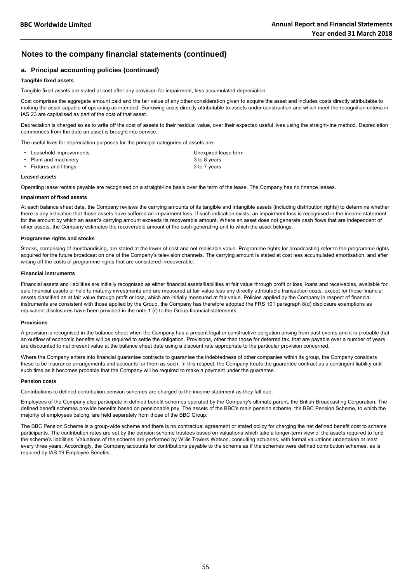### **a. Principal accounting policies (continued)**

#### **Tangible fixed assets**

Tangible fixed assets are stated at cost after any provision for impairment, less accumulated depreciation.

Cost comprises the aggregate amount paid and the fair value of any other consideration given to acquire the asset and includes costs directly attributable to making the asset capable of operating as intended. Borrowing costs directly attributable to assets under construction and which meet the recognition criteria in IAS 23 are capitalised as part of the cost of that asset.

Depreciation is charged so as to write off the cost of assets to their residual value, over their expected useful lives using the straight-line method. Depreciation commences from the date an asset is brought into service.

The useful lives for depreciation purposes for the principal categories of assets are:

| • Leasehold improvements | Unexpired lease term |
|--------------------------|----------------------|
| • Plant and machinery    | 3 to 8 years         |
| • Fixtures and fittings  | 3 to 7 vears         |

#### **Leased assets**

Operating lease rentals payable are recognised on a straight-line basis over the term of the lease. The Company has no finance leases.

#### **Impairment of fixed assets**

At each balance sheet date, the Company reviews the carrying amounts of its tangible and intangible assets (including distribution rights) to determine whether there is any indication that those assets have suffered an impairment loss. If such indication exists, an impairment loss is recognised in the income statement for the amount by which an asset's carrying amount exceeds its recoverable amount. Where an asset does not generate cash flows that are independent of other assets, the Company estimates the recoverable amount of the cash-generating unit to which the asset belongs.

#### **Programme rights and stocks**

Stocks, comprising of merchandising, are stated at the lower of cost and net realisable value. Programme rights for broadcasting refer to the programme rights acquired for the future broadcast on one of the Company's television channels. The carrying amount is stated at cost less accumulated amortisation, and after writing off the costs of programme rights that are considered irrecoverable.

#### **Financial instruments**

Financial assets and liabilities are initially recognised as either financial assets/liabilities at fair value through profit or loss, loans and receivables, available for sale financial assets or held to maturity investments and are measured at fair value less any directly attributable transaction costs, except for those financial assets classified as at fair value through profit or loss, which are initially measured at fair value. Policies applied by the Company in respect of financial instruments are consistent with those applied by the Group, the Company has therefore adopted the FRS 101 paragraph 8(d) disclosure exemptions as equivalent disclosures have been provided in the note 1 (r) to the Group financial statements.

#### **Provisions**

A provision is recognised in the balance sheet when the Company has a present legal or constructive obligation arising from past events and it is probable that an outflow of economic benefits will be required to settle the obligation. Provisions, other than those for deferred tax, that are payable over a number of years are discounted to net present value at the balance sheet date using a discount rate appropriate to the particular provision concerned.

Where the Company enters into financial guarantee contracts to guarantee the indebtedness of other companies within its group, the Company considers these to be insurance arrangements and accounts for them as such. In this respect, the Company treats the guarantee contract as a contingent liability until such time as it becomes probable that the Company will be required to make a payment under the guarantee.

#### **Pension costs**

Contributions to defined contribution pension schemes are charged to the income statement as they fall due.

Employees of the Company also participate in defined benefit schemes operated by the Company's ultimate parent, the British Broadcasting Corporation. The defined benefit schemes provide benefits based on pensionable pay. The assets of the BBC's main pension scheme, the BBC Pension Scheme, to which the majority of employees belong, are held separately from those of the BBC Group.

The BBC Pension Scheme is a group-wide scheme and there is no contractual agreement or stated policy for charging the net defined benefit cost to scheme participants. The contribution rates are set by the pension scheme trustees based on valuations which take a longer-term view of the assets required to fund the scheme's liabilities. Valuations of the scheme are performed by Willis Towers Watson, consulting actuaries, with formal valuations undertaken at least every three years. Accordingly, the Company accounts for contributions payable to the scheme as if the schemes were defined contribution schemes, as is required by IAS 19 Employee Benefits.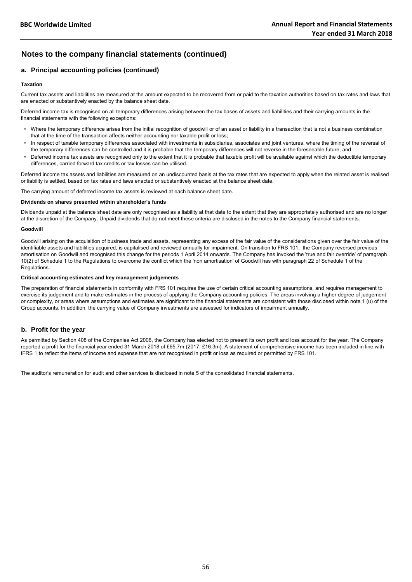## **a. Principal accounting policies (continued)**

#### **Taxation**

Current tax assets and liabilities are measured at the amount expected to be recovered from or paid to the taxation authorities based on tax rates and laws that are enacted or substantively enacted by the balance sheet date.

Deferred income tax is recognised on all temporary differences arising between the tax bases of assets and liabilities and their carrying amounts in the financial statements with the following exceptions:

- Where the temporary difference arises from the initial recognition of goodwill or of an asset or liability in a transaction that is not a business combination that at the time of the transaction affects neither accounting nor taxable profit or loss;
- In respect of taxable temporary differences associated with investments in subsidiaries, associates and joint ventures, where the timing of the reversal of the temporary differences can be controlled and it is probable that the temporary differences will not reverse in the foreseeable future; and
- Deferred income tax assets are recognised only to the extent that it is probable that taxable profit will be available against which the deductible temporary differences, carried forward tax credits or tax losses can be utilised.

Deferred income tax assets and liabilities are measured on an undiscounted basis at the tax rates that are expected to apply when the related asset is realised or liability is settled, based on tax rates and laws enacted or substantively enacted at the balance sheet date.

The carrying amount of deferred income tax assets is reviewed at each balance sheet date.

#### **Dividends on shares presented within shareholder's funds**

Dividends unpaid at the balance sheet date are only recognised as a liability at that date to the extent that they are appropriately authorised and are no longer at the discretion of the Company. Unpaid dividends that do not meet these criteria are disclosed in the notes to the Company financial statements.

#### **Goodwill**

Goodwill arising on the acquisition of business trade and assets, representing any excess of the fair value of the considerations given over the fair value of the identifiable assets and liabilities acquired, is capitalised and reviewed annually for impairment. On transition to FRS 101, the Company reversed previous amortisation on Goodwill and recognised this change for the periods 1 April 2014 onwards. The Company has invoked the 'true and fair override' of paragraph 10(2) of Schedule 1 to the Regulations to overcome the conflict which the 'non amortisation' of Goodwill has with paragraph 22 of Schedule 1 of the Regulations.

#### **Critical accounting estimates and key management judgements**

The preparation of financial statements in conformity with FRS 101 requires the use of certain critical accounting assumptions, and requires management to exercise its judgement and to make estimates in the process of applying the Company accounting policies. The areas involving a higher degree of judgement or complexity, or areas where assumptions and estimates are significant to the financial statements are consistent with those disclosed within note 1 (u) of the Group accounts. In addition, the carrying value of Company investments are assessed for indicators of impairment annually.

### **b. Profit for the year**

As permitted by Section 408 of the Companies Act 2006, the Company has elected not to present its own profit and loss account for the year. The Company reported a profit for the financial year ended 31 March 2018 of £65.7m (2017: £16.3m). A statement of comprehensive income has been included in line with IFRS 1 to reflect the items of income and expense that are not recognised in profit or loss as required or permitted by FRS 101.

The auditor's remuneration for audit and other services is disclosed in note 5 of the consolidated financial statements.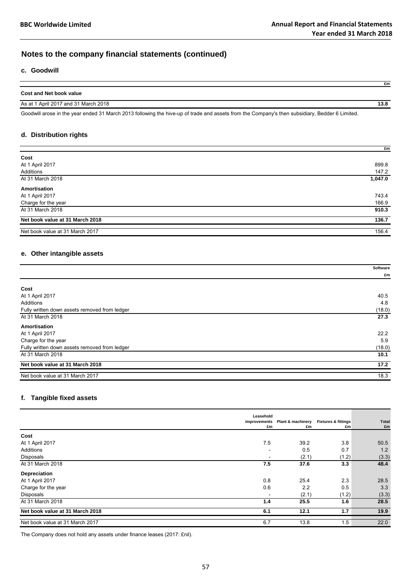**£m**

## **Notes to the company financial statements (continued)**

## **c. Goodwill**

|                                      | $\sim$           |
|--------------------------------------|------------------|
| Cost and Net book value              |                  |
| As at 1 April 2017 and 31 March 2018 | $\sim$<br>. ه. د |

Goodwill arose in the year ended 31 March 2013 following the hive-up of trade and assets from the Company's then subsidiary, Bedder 6 Limited.

## **d. Distribution rights**

|                                 | £m      |
|---------------------------------|---------|
| Cost                            |         |
| At 1 April 2017                 | 899.8   |
| Additions                       | 147.2   |
| At 31 March 2018                | 1,047.0 |
| Amortisation                    |         |
| At 1 April 2017                 | 743.4   |
| Charge for the year             | 166.9   |
| At 31 March 2018                | 910.3   |
| Net book value at 31 March 2018 | 136.7   |
| Net book value at 31 March 2017 | 156.4   |

## **e. Other intangible assets**

|                                               | Software |
|-----------------------------------------------|----------|
|                                               | £m       |
| Cost                                          |          |
| At 1 April 2017                               | 40.5     |
| Additions                                     | 4.8      |
| Fully written down assets removed from ledger | (18.0)   |
| At 31 March 2018                              | 27.3     |
| Amortisation                                  |          |
| At 1 April 2017                               | 22.2     |
| Charge for the year                           | 5.9      |
| Fully written down assets removed from ledger | (18.0)   |
| At 31 March 2018                              | 10.1     |
| Net book value at 31 March 2018               | 17.2     |
| Net book value at 31 March 2017               | 18.3     |

## **f. Tangible fixed assets**

|                                 | Leasehold                |                   |                                |              |
|---------------------------------|--------------------------|-------------------|--------------------------------|--------------|
|                                 | improvements             | Plant & machinery | <b>Fixtures &amp; fittings</b> | <b>Total</b> |
|                                 | £m                       | £m                | £m                             | £m           |
| Cost                            |                          |                   |                                |              |
| At 1 April 2017                 | 7.5                      | 39.2              | 3.8                            | 50.5         |
| Additions                       | $\overline{\phantom{0}}$ | 0.5               | 0.7                            | 1.2          |
| Disposals                       | $\overline{\phantom{a}}$ | (2.1)             | (1.2)                          | (3.3)        |
| At 31 March 2018                | 7.5                      | 37.6              | 3.3                            | 48.4         |
| Depreciation                    |                          |                   |                                |              |
| At 1 April 2017                 | 0.8                      | 25.4              | 2.3                            | 28.5         |
| Charge for the year             | 0.6                      | 2.2               | 0.5                            | 3.3          |
| Disposals                       | $\overline{\phantom{a}}$ | (2.1)             | (1.2)                          | (3.3)        |
| At 31 March 2018                | 1.4                      | 25.5              | 1.6                            | 28.5         |
| Net book value at 31 March 2018 | 6.1                      | 12.1              | 1.7                            | 19.9         |
| Net book value at 31 March 2017 | 6.7                      | 13.8              | 1.5                            | 22.0         |

The Company does not hold any assets under finance leases (2017: £nil).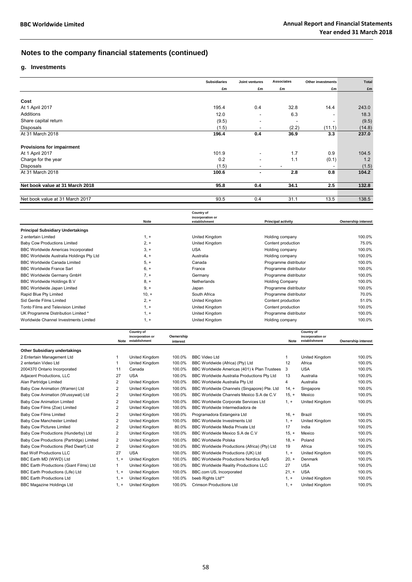## **g. Investments**

|                                  | <b>Subsidiaries</b> | Joint ventures           | <b>Associates</b>        | Other investments        | Total  |
|----------------------------------|---------------------|--------------------------|--------------------------|--------------------------|--------|
|                                  | £m                  | £m                       | £m                       | £m                       | £m     |
|                                  |                     |                          |                          |                          |        |
| Cost                             |                     |                          |                          |                          |        |
| At 1 April 2017                  | 195.4               | 0.4                      | 32.8                     | 14.4                     | 243.0  |
| Additions                        | 12.0                | $\overline{\phantom{a}}$ | 6.3                      | $\overline{\phantom{a}}$ | 18.3   |
| Share capital return             | (9.5)               | $\overline{\phantom{a}}$ | $\overline{\phantom{a}}$ | $\overline{\phantom{a}}$ | (9.5)  |
| Disposals                        | (1.5)               | $\overline{\phantom{0}}$ | (2.2)                    | (11.1)                   | (14.8) |
| At 31 March 2018                 | 196.4               | 0.4                      | 36.9                     | 3.3                      | 237.0  |
| <b>Provisions for impairment</b> |                     |                          |                          |                          |        |
| At 1 April 2017                  | 101.9               | $\overline{\phantom{0}}$ | 1.7                      | 0.9                      | 104.5  |
| Charge for the year              | 0.2                 | $\overline{\phantom{0}}$ | 1.1                      | (0.1)                    | 1.2    |
| Disposals                        | (1.5)               | $\overline{\phantom{a}}$ |                          | $\overline{\phantom{a}}$ | (1.5)  |
| At 31 March 2018                 | 100.6               | $\overline{\phantom{0}}$ | 2.8                      | 0.8                      | 104.2  |
| Net book value at 31 March 2018  | 95.8                | 0.4                      | 34.1                     | 2.5                      | 132.8  |
|                                  |                     |                          |                          |                          |        |
| Net book value at 31 March 2017  | 93.5                | 0.4                      | 31.1                     | 13.5                     | 138.5  |

| incorporation or                                                                         |                           |
|------------------------------------------------------------------------------------------|---------------------------|
| <b>Principal activity</b><br>Note<br>establishment                                       | <b>Ownership interest</b> |
| <b>Principal Subsidiary Undertakings</b>                                                 |                           |
| 2 entertain Limited<br>United Kingdom<br>Holding company<br>$1, +$                       | 100.0%                    |
| $2, +$<br>United Kingdom<br><b>Baby Cow Productions Limited</b><br>Content production    | 75.0%                     |
| $3, +$<br><b>USA</b><br><b>BBC Worldwide Americas Incorporated</b><br>Holding company    | 100.0%                    |
| BBC Worldwide Australia Holdings Pty Ltd<br>$4, +$<br>Australia<br>Holding company       | 100.0%                    |
| $5, +$<br><b>BBC Worldwide Canada Limited</b><br>Canada<br>Programme distributor         | 100.0%                    |
| $6, +$<br><b>BBC Worldwide France Sarl</b><br>France<br>Programme distributor            | 100.0%                    |
| BBC Worldwide Germany GmbH<br>$7, +$<br>Programme distributor<br>Germany                 | 100.0%                    |
| $8, +$<br>BBC Worldwide Holdings B.V<br>Netherlands<br><b>Holding Company</b>            | 100.0%                    |
| $9, +$<br>BBC Worldwide Japan Limited<br>Programme distributor<br>Japan                  | 100.0%                    |
| $10, +$<br>Rapid Blue Pty Limited<br>South Africa<br>Programme distributor               | 70.0%                     |
| Sid Gentle Films Limited<br>$2, +$<br>United Kingdom<br>Content production               | 51.0%                     |
| Tonto Films and Television Limited<br>United Kingdom<br>Content production<br>$1, +$     | 100.0%                    |
| UK Programme Distribution Limited *<br>United Kingdom<br>Programme distributor<br>$1, +$ | 100.0%                    |
| Worldwide Channel Investments Limited<br>United Kingdom<br>Holding company<br>$1, +$     | 100.0%                    |

|                                          |                | Country of<br>incorporation or | Ownership |                                              |         | <b>Country of</b><br>incorporation or |                           |
|------------------------------------------|----------------|--------------------------------|-----------|----------------------------------------------|---------|---------------------------------------|---------------------------|
|                                          |                | Note establishment             | interest  |                                              | Note    | establishment                         | <b>Ownership interest</b> |
| <b>Other Subsidiary undertakings</b>     |                |                                |           |                                              |         |                                       |                           |
| 2 Entertain Management Ltd               |                | United Kingdom                 | 100.0%    | <b>BBC Video Ltd</b>                         |         | United Kingdom                        | 100.0%                    |
| 2 entertain Video Ltd                    |                | United Kingdom                 | 100.0%    | BBC Worldwide (Africa) (Pty) Ltd             | 12      | Africa                                | 100.0%                    |
| 2004370 Ontario Incorporated             | 11             | Canada                         | 100.0%    | BBC Worldwide Americas (401) k Plan Trustees | 3       | <b>USA</b>                            | 100.0%                    |
| Adjacent Productions, LLC                | 27             | <b>USA</b>                     | 100.0%    | BBC Worldwide Australia Productions Pty Ltd  | 13      | Australia                             | 100.0%                    |
| Alan Partridge Limited                   | $\overline{2}$ | United Kingdom                 | 100.0%    | <b>BBC Worldwide Australia Ptv Ltd</b>       | 4       | Australia                             | 100.0%                    |
| Baby Cow Animation (Warren) Ltd          | 2              | United Kingdom                 | 100.0%    | BBC Worldwide Channels (Singapore) Pte. Ltd  | $14, +$ | Singapore                             | 100.0%                    |
| Baby Cow Animation (Wussywat) Ltd        | 2              | United Kingdom                 | 100.0%    | BBC Worldwide Channels Mexico S.A de C.V     | $15, +$ | Mexico                                | 100.0%                    |
| <b>Baby Cow Animation Limited</b>        | 2              | United Kingdom                 | 100.0%    | <b>BBC Worldwide Corporate Services Ltd</b>  | $1, +$  | United Kingdom                        | 100.0%                    |
| Baby Cow Films (Zoe) Limited             | 2              | United Kingdom                 | 100.0%    | BBC Worldwide Intermediadora de              |         |                                       |                           |
| <b>Baby Cow Films Limited</b>            | $\overline{2}$ | United Kingdom                 | 100.0%    | Programadora Estangeira Ltd                  | $16. +$ | <b>Brazil</b>                         | 100.0%                    |
| <b>Baby Cow Manchester Limited</b>       | $\overline{2}$ | United Kingdom                 | 100.0%    | <b>BBC Worldwide Investments Ltd</b>         | $1, +$  | United Kingdom                        | 100.0%                    |
| <b>Baby Cow Pictures Limited</b>         | 2              | United Kingdom                 | 80.0%     | BBC Worldwide Media Private Ltd              | 17      | India                                 | 100.0%                    |
| Baby Cow Productions (Hunderby) Ltd      | 2              | United Kingdom                 | 100.0%    | BBC Worldwide Mexico S.A de C.V              | $15, +$ | Mexico                                | 100.0%                    |
| Baby Cow Productions (Partridge) Limited | $\overline{2}$ | United Kingdom                 | 100.0%    | <b>BBC Worldwide Polska</b>                  | $18. +$ | Poland                                | 100.0%                    |
| Baby Cow Productions (Red Dwarf) Ltd     | 2              | United Kingdom                 | 100.0%    | BBC Worldwide Productions (Africa) (Pty) Ltd | 19      | Africa                                | 100.0%                    |
| <b>Bad Wolf Productions LLC</b>          | 27             | <b>USA</b>                     | 100.0%    | BBC Worldwide Productions (UK) Ltd           | $1, +$  | United Kingdom                        | 100.0%                    |
| BBC Earth MD (WWD) Ltd                   | $1, +$         | United Kingdom                 | 100.0%    | <b>BBC Worldwide Productions Nordics ApS</b> | $20, +$ | Denmark                               | 100.0%                    |
| BBC Earth Productions (Giant Films) Ltd  | 1              | United Kingdom                 | 100.0%    | <b>BBC Worldwide Reality Productions LLC</b> | 27      | <b>USA</b>                            | 100.0%                    |
| BBC Earth Productions (Life) Ltd         | $1, +$         | United Kingdom                 | 100.0%    | BBC.com US, Incorporated                     | $21, +$ | <b>USA</b>                            | 100.0%                    |
| <b>BBC Earth Productions Ltd</b>         | $1, +$         | United Kingdom                 | 100.0%    | beeb Rights Ltd**                            | $1, +$  | United Kingdom                        | 100.0%                    |
| <b>BBC Magazine Holdings Ltd</b>         | $1, +$         | United Kingdom                 | 100.0%    | <b>Crimson Productions Ltd</b>               | $1, +$  | United Kingdom                        | 100.0%                    |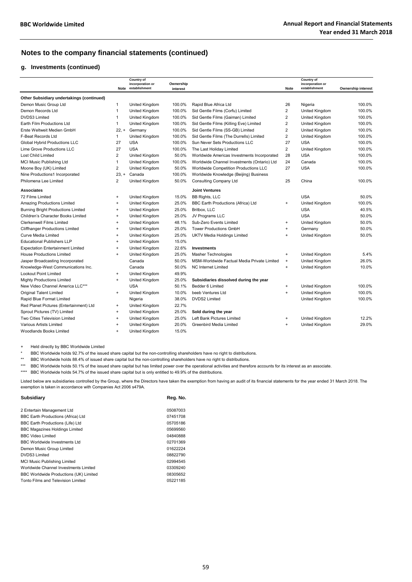## **g. Investments (continued)**

|                                           |                                  | <b>Country of</b><br>incorporation or<br>Note establishment | Ownership<br>interest |                                              | <b>Note</b>                      | <b>Country of</b><br>incorporation or<br>establishment | <b>Ownership interest</b> |
|-------------------------------------------|----------------------------------|-------------------------------------------------------------|-----------------------|----------------------------------------------|----------------------------------|--------------------------------------------------------|---------------------------|
| Other Subsidiary undertakings (continued) |                                  |                                                             |                       |                                              |                                  |                                                        |                           |
| Demon Music Group Ltd                     | 1                                | United Kingdom                                              | 100.0%                | Rapid Blue Africa Ltd                        | 26                               | Nigeria                                                | 100.0%                    |
| Demon Records Ltd                         | $\mathbf{1}$                     | United Kingdom                                              | 100.0%                | Sid Gentle Films (Corfu) Limited             | 2                                | <b>United Kingdom</b>                                  | 100.0%                    |
| <b>DVDS3 Limited</b>                      | 1                                | United Kingdom                                              | 100.0%                | Sid Gentle Films (Gaiman) Limited            | $\overline{2}$                   | United Kingdom                                         | 100.0%                    |
| Earth Film Productions Ltd                | 1                                | United Kingdom                                              | 100.0%                | Sid Gentle Films (Killing Eve) Limited       | $\overline{2}$                   | United Kingdom                                         | 100.0%                    |
| Erste Weltweit Medien GmbH                | $22, +$                          | Germany                                                     | 100.0%                | Sid Gentle Films (SS-GB) Limited             | 2                                | <b>United Kingdom</b>                                  | 100.0%                    |
| F-Beat Records Ltd                        | 1                                | United Kingdom                                              | 100.0%                | Sid Gentle Films (The Durrells) Limited      | 2                                | <b>United Kingdom</b>                                  | 100.0%                    |
| <b>Global Hybrid Productions LLC</b>      | 27                               | <b>USA</b>                                                  | 100.0%                | Sun Never Sets Productions LLC               | 27                               | <b>USA</b>                                             | 100.0%                    |
| Lime Grove Productions LLC                | 27                               | <b>USA</b>                                                  | 100.0%                | The Last Holiday Limited                     | 2                                | United Kingdom                                         | 100.0%                    |
| <b>Lost Child Limited</b>                 | $\overline{\mathbf{c}}$          | United Kingdom                                              | 50.0%                 | Worldwide Americas Investments Incorporated  | 28                               | <b>USA</b>                                             | 100.0%                    |
| <b>MCI Music Publishing Ltd</b>           | $\mathbf{1}$                     | United Kingdom                                              | 100.0%                | Worldwide Channel Investments (Ontario) Ltd  | 24                               | Canada                                                 | 100.0%                    |
| Moone Boy (UK) Limited                    | 2                                | United Kingdom                                              | 50.0%                 | <b>Worldwide Competition Productions LLC</b> | 27                               | <b>USA</b>                                             | 100.0%                    |
| Nine Productions1 Incorporated            | $23. +$                          | Canada                                                      | 100.0%                | Worldwide Knowledge (Beijing) Business       |                                  |                                                        |                           |
| Philomena Lee Limited                     | 2                                | United Kingdom                                              | 50.0%                 | Consulting Company Ltd                       | 25                               | China                                                  | 100.0%                    |
| <b>Associates</b>                         |                                  |                                                             |                       | <b>Joint Ventures</b>                        |                                  |                                                        |                           |
| 72 Films Limited                          | $\ddot{}$                        | United Kingdom                                              | 15.0%                 | <b>BB Rights, LLC</b>                        |                                  | <b>USA</b>                                             | 50.0%                     |
| Amazing Productions Limited               | $\ddot{}$                        | United Kingdom                                              | 25.0%                 | BBC Earth Productions (Africa) Ltd           | $\ddot{}$                        | United Kingdom                                         | 100.0%                    |
| <b>Burning Bright Productions Limited</b> | $\ddot{}$                        | United Kingdom                                              | 25.0%                 | Britbox, LLC                                 |                                  | <b>USA</b>                                             | 40.5%                     |
| Children's Character Books Limited        | $\ddot{}$                        | United Kingdom                                              | 25.0%                 | JV Programs LLC                              |                                  | <b>USA</b>                                             | 50.0%                     |
| <b>Clerkenwell Films Limited</b>          | $\bf{+}$                         | United Kingdom                                              | 48.1%                 | Sub-Zero Events Limited                      | $\ddot{}$                        | United Kingdom                                         | 50.0%                     |
| <b>Cliffhanger Productions Limited</b>    | $\ddot{}$                        | United Kingdom                                              | 25.0%                 | <b>Tower Productions GmbH</b>                | ÷                                | Germany                                                | 50.0%                     |
| <b>Curve Media Limited</b>                | $\ddot{}$                        | United Kingdom                                              | 25.0%                 | <b>UKTV Media Holdings Limited</b>           | $\ddot{}$                        | United Kingdom                                         | 50.0%                     |
| <b>Educational Publishers LLP</b>         | $\ddot{}$                        | United Kingdom                                              | 15.0%                 |                                              |                                  |                                                        |                           |
| <b>Expectation Entertainment Limited</b>  | $\bf{+}$                         | United Kingdom                                              | 22.6%                 | <b>Investments</b>                           |                                  |                                                        |                           |
| <b>House Productions Limited</b>          | $\ddot{}$                        | United Kingdom                                              | 25.0%                 | <b>Masher Technologies</b>                   | $\ddot{}$                        | United Kingdom                                         | 5.4%                      |
| Jasper Broadcasting Incorporated          |                                  | Canada                                                      | 50.0%                 | MSM-Worldwide Factual Media Private Limited  | $\begin{array}{c} + \end{array}$ | United Kingdom                                         | 26.0%                     |
| Knowledge-West Communications Inc.        |                                  | Canada                                                      | 50.0%                 | <b>NC Internet Limited</b>                   | $\ddot{}$                        | <b>United Kingdom</b>                                  | 10.0%                     |
| <b>Lookout Point Limited</b>              | $+$                              | United Kingdom                                              | 49.9%                 |                                              |                                  |                                                        |                           |
| <b>Mighty Productions Limited</b>         | $\ddot{}$                        | United Kingdom                                              | 25.0%                 | Subsidiaries dissolved during the year       |                                  |                                                        |                           |
| New Video Channel America LLC***          |                                  | <b>USA</b>                                                  | 50.1%                 | Bedder 6 Limited                             | $\ddot{}$                        | <b>United Kingdom</b>                                  | 100.0%                    |
| <b>Original Talent Limited</b>            | $\ddot{}$                        | United Kingdom                                              | 10.0%                 | beeb Ventures Ltd                            | $\ddot{}$                        | <b>United Kingdom</b>                                  | 100.0%                    |
| Rapid Blue Format Limited                 |                                  | Nigeria                                                     | 38.0%                 | <b>DVDS2 Limited</b>                         |                                  | United Kingdom                                         | 100.0%                    |
| Red Planet Pictures (Entertainment) Ltd   | $\begin{array}{c} + \end{array}$ | United Kingdom                                              | 22.7%                 |                                              |                                  |                                                        |                           |
| Sprout Pictures (TV) Limited              | $\ddot{}$                        | United Kingdom                                              | 25.0%                 | Sold during the year                         |                                  |                                                        |                           |
| Two Cities Television Limited             | $\ddot{}$                        | United Kingdom                                              | 25.0%                 | Left Bank Pictures Limited                   | $\ddot{}$                        | <b>United Kingdom</b>                                  | 12.2%                     |
| Various Artists Limited                   | $\bf{+}$                         | United Kingdom                                              | 20.0%                 | <b>Greenbird Media Limited</b>               | $\ddot{}$                        | United Kingdom                                         | 29.0%                     |
| Woodlands Books Limited                   | $\ddot{}$                        | United Kingdom                                              | 15.0%                 |                                              |                                  |                                                        |                           |

+ Held directly by BBC Worldwide Limited

\* BBC Worldwide holds 92.7% of the issued share capital but the non-controlling shareholders have no right to distributions.<br>\*\* BBC Worldwide holds 88.4% of issued share capital but the non-controlling shareholders have no

\*\* BBC Worldwide holds 88.4% of issued share capital but the non-controlling shareholders have no right to distributions.<br>\*\*\* BBC Worldwide holds 50.1% of the issued share capital but has limited nower over the operational BBC Worldwide holds 50.1% of the issued share capital but has limited power over the operational activities and therefore accounts for its interest as an associate.

\*\*\*\* BBC Worldwide holds 54.7% of the issued share capital but is only entitled to 49.9% of the distributions.

Listed below are subsidiaries controlled by the Group, where the Directors have taken the exemption from having an audit of its financial statements for the year ended 31 March 2018. The exemption is taken in accordance with Companies Act 2006 s479A.

| <b>Subsidiary</b>                      | Reg. No. |
|----------------------------------------|----------|
|                                        |          |
| 2 Entertain Management Ltd             | 05087003 |
| BBC Earth Productions (Africa) Ltd     | 07451708 |
| BBC Earth Productions (Life) Ltd       | 05705186 |
| <b>BBC Magazines Holdings Limited</b>  | 05699560 |
| <b>BBC Video Limited</b>               | 04840888 |
| <b>BBC Worldwide Investments Ltd</b>   | 02701369 |
| Demon Music Group Limited              | 01622224 |
| DVDS3 Limited                          | 08822790 |
| <b>MCI Music Publishing Limited</b>    | 02994545 |
| Worldwide Channel Investments Limited  | 03309240 |
| BBC Worldwide Productions (UK) Limited | 08305652 |
| Tonto Films and Television Limited     | 05221185 |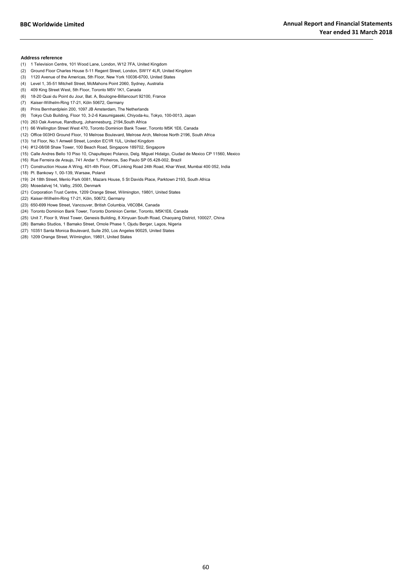#### **Address reference**

- (1) 1 Television Centre, 101 Wood Lane, London, W12 7FA, United Kingdom
- (2) Ground Floor Charles House 5-11 Regent Street, London, SW1Y 4LR, United Kingdom
- (3) 1120 Avenue of the Americas, 5th Floor, New York 10036-6700, United States
- (4) Level 1, 35-51 Mitchell Street, McMahons Point 2060, Sydney, Australia
- (5) 409 King Street West, 5th Floor, Toronto M5V 1K1, Canada
- (6) 18-20 Quai du Point du Jour, Bat. A, Boulogne-Billancourt 92100, France
- (7) Kaiser-Wilhelm-Ring 17-21, Köln 50672, Germany
- (8) Prins Bernhardplein 200, 1097 JB Amsterdam, The Netherlands
- (9) Tokyo Club Building, Floor 10, 3-2-6 Kasumigaseki, Chiyoda-ku, Tokyo, 100-0013, Japan
- (10) 263 Oak Avenue, Randburg, Johannesburg, 2194,South Africa
- (11) 66 Wellington Street West 470, Toronto Dominion Bank Tower, Toronto M5K 1E6, Canada
- (12) Office 003H3 Ground Floor, 10 Melrose Boulevard, Melrose Arch, Melrose North 2196, South Africa
- (13) 1st Floor, No.1 Amwell Street, London EC1R 1UL, United Kingdom
- (14) #12-08/08 Shaw Tower, 100 Beach Road, Singapore 189702, Singapore
- (15) Calle Andres Bello 10 Piso 10, Chapultepec Polanco, Delg. Miguel Hidalgo, Ciudad de Mexico CP 11560, Mexico
- (16) Rue Ferreira de Araujo, 741 Andar 1, Pinheiros, Sao Paulo SP 05.428-002, Brazil
- (17) Construction House A Wing, 401-4th Floor, Off Linking Road 24th Road, Khar West, Mumbai 400 052, India
- (18) Pl. Bankowy 1, 00-139, Warsaw, Poland
- (19) 24 18th Street, Menlo Park 0081, Mazars House, 5 St Davids Place, Parktown 2193, South Africa
- (20) Mosedalvej 14, Valby, 2500, Denmark
- (21) Corporation Trust Centre, 1209 Orange Street, Wilmington, 19801, United States
- (22) Kaiser-Wilhelm-Ring 17-21, Köln, 50672, Germany
- (23) 650-699 Howe Street, Vancouver, British Columbia, V6C0B4, Canada
- (24) Toronto Dominion Bank Tower, Toronto Dominion Center, Toronto, M5K1E6, Canada
- (25) Unit 7, Floor 9, West Tower, Genesis Building, 8 Xinyuan South Road, Chaoyang District, 100027, China
- (26) Bamako Studios, 1 Bamako Street, Omole Phase 1, Ojudu Berger, Lagos, Nigeria
- (27) 10351 Santa Monica Boulevard, Suite 250, Los Angeles 90025, United States
- (28) 1209 Orange Street, Wilmington, 19801, United States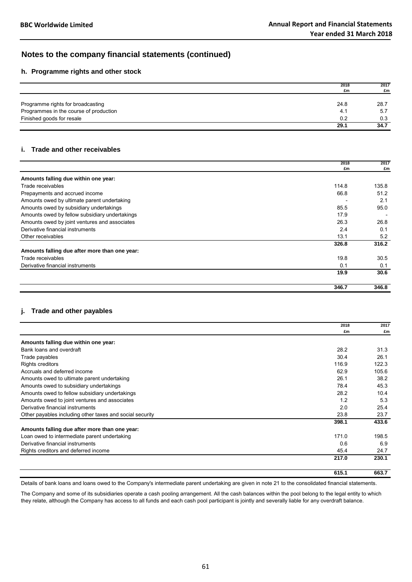## **h. Programme rights and other stock**

|                                        | 2018 | 2017 |
|----------------------------------------|------|------|
|                                        | £m   | £m   |
|                                        |      |      |
| Programme rights for broadcasting      | 24.8 | 28.7 |
| Programmes in the course of production | 4.1  | 5.7  |
| Finished goods for resale              | 0.2  | 0.3  |
|                                        | 29.1 | 34.7 |

### **i. Trade and other receivables**

|                                                | 2018  | 2017  |
|------------------------------------------------|-------|-------|
|                                                | £m    | £m    |
| Amounts falling due within one year:           |       |       |
| Trade receivables                              | 114.8 | 135.8 |
| Prepayments and accrued income                 | 66.8  | 51.2  |
| Amounts owed by ultimate parent undertaking    |       | 2.1   |
| Amounts owed by subsidiary undertakings        | 85.5  | 95.0  |
| Amounts owed by fellow subsidiary undertakings | 17.9  |       |
| Amounts owed by joint ventures and associates  | 26.3  | 26.8  |
| Derivative financial instruments               | 2.4   | 0.1   |
| Other receivables                              | 13.1  | 5.2   |
|                                                | 326.8 | 316.2 |
| Amounts falling due after more than one year:  |       |       |
| Trade receivables                              | 19.8  | 30.5  |
| Derivative financial instruments               | 0.1   | 0.1   |
|                                                | 19.9  | 30.6  |
|                                                | 346.7 | 346.8 |

## **j. Trade and other payables**

|                                                          | 2018  | 2017  |
|----------------------------------------------------------|-------|-------|
|                                                          | £m    | £m    |
| Amounts falling due within one year:                     |       |       |
| Bank loans and overdraft                                 | 28.2  | 31.3  |
| Trade payables                                           | 30.4  | 26.1  |
| Rights creditors                                         | 116.9 | 122.3 |
| Accruals and deferred income                             | 62.9  | 105.6 |
| Amounts owed to ultimate parent undertaking              | 26.1  | 38.2  |
| Amounts owed to subsidiary undertakings                  | 78.4  | 45.3  |
| Amounts owed to fellow subsidiary undertakings           | 28.2  | 10.4  |
| Amounts owed to joint ventures and associates            | 1.2   | 5.3   |
| Derivative financial instruments                         | 2.0   | 25.4  |
| Other payables including other taxes and social security | 23.8  | 23.7  |
|                                                          | 398.1 | 433.6 |
| Amounts falling due after more than one year:            |       |       |
| Loan owed to intermediate parent undertaking             | 171.0 | 198.5 |
| Derivative financial instruments                         | 0.6   | 6.9   |
| Rights creditors and deferred income                     | 45.4  | 24.7  |
|                                                          | 217.0 | 230.1 |
|                                                          | 615.1 | 663.7 |

Details of bank loans and loans owed to the Company's intermediate parent undertaking are given in note 21 to the consolidated financial statements.

The Company and some of its subsidiaries operate a cash pooling arrangement. All the cash balances within the pool belong to the legal entity to which they relate, although the Company has access to all funds and each cash pool participant is jointly and severally liable for any overdraft balance.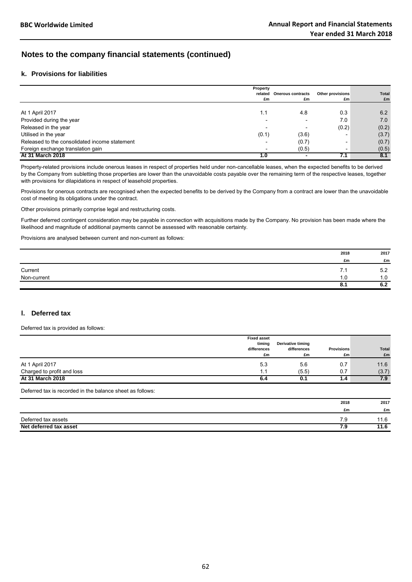## **k. Provisions for liabilities**

|                                               | Property |                          |                          |              |
|-----------------------------------------------|----------|--------------------------|--------------------------|--------------|
|                                               | related  | <b>Onerous contracts</b> | Other provisions         | <b>Total</b> |
|                                               | £m       | £m                       | £m                       | £m           |
|                                               |          |                          |                          |              |
| At 1 April 2017                               | 1.1      | 4.8                      | 0.3                      | 6.2          |
| Provided during the year                      |          |                          | 7.0                      | 7.0          |
| Released in the year                          | -        |                          | (0.2)                    | (0.2)        |
| Utilised in the year                          | (0.1)    | (3.6)                    | $\overline{\phantom{a}}$ | (3.7)        |
| Released to the consolidated income statement |          | (0.7)                    | $\overline{\phantom{0}}$ | (0.7)        |
| Foreign exchange translation gain             |          | (0.5)                    | $\overline{\phantom{0}}$ | (0.5)        |
| <b>At 31 March 2018</b>                       | 1.0      |                          | 7.1                      | 8.1          |

Property-related provisions include onerous leases in respect of properties held under non-cancellable leases, when the expected benefits to be derived by the Company from subletting those properties are lower than the unavoidable costs payable over the remaining term of the respective leases, together with provisions for dilapidations in respect of leasehold properties.

Provisions for onerous contracts are recognised when the expected benefits to be derived by the Company from a contract are lower than the unavoidable cost of meeting its obligations under the contract.

Other provisions primarily comprise legal and restructuring costs.

Further deferred contingent consideration may be payable in connection with acquisitions made by the Company. No provision has been made where the likelihood and magnitude of additional payments cannot be assessed with reasonable certainty.

Provisions are analysed between current and non-current as follows:

|             | 2018            | 2017 |
|-------------|-----------------|------|
|             | £m              | £m   |
| Current     | ٬ ا             | 5.2  |
| Non-current | . .0            | 1.0  |
|             | $\bullet$<br>õ. | 6.2  |

### **l. Deferred tax**

Deferred tax is provided as follows:

|                            | <b>Fixed asset</b><br>timing<br>differences<br>£m | Derivative timing<br>differences<br>£m | <b>Provisions</b><br>£m | <b>Total</b><br>£m |
|----------------------------|---------------------------------------------------|----------------------------------------|-------------------------|--------------------|
| At 1 April 2017            | 5.3                                               | 5.6                                    | 0.7                     | 11.6               |
| Charged to profit and loss |                                                   | (5.5)                                  | 0.7                     | (3.7)              |
| At 31 March 2018           | 6.4                                               | 0.1                                    | 1.4                     | 7.9                |

Deferred tax is recorded in the balance sheet as follows:

|                        | 2018 | 2017 |
|------------------------|------|------|
|                        | £m   | £m   |
| Deferred tax assets    | 7.9  | 11.6 |
| Net deferred tax asset | 7.9  | 11.6 |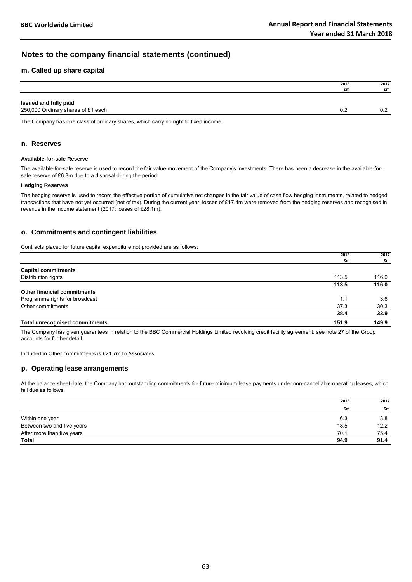### **m. Called up share capital**

| 2018                               | 2017 |
|------------------------------------|------|
| £m                                 | £m   |
|                                    |      |
| Issued and fully paid              |      |
| 250,000 Ordinary shares of £1 each | 0.2  |

The Company has one class of ordinary shares, which carry no right to fixed income.

### **n. Reserves**

#### **Available-for-sale Reserve**

The available-for-sale reserve is used to record the fair value movement of the Company's investments. There has been a decrease in the available-forsale reserve of £6.8m due to a disposal during the period.

#### **Hedging Reserves**

The hedging reserve is used to record the effective portion of cumulative net changes in the fair value of cash flow hedging instruments, related to hedged transactions that have not yet occurred (net of tax). During the current year, losses of £17.4m were removed from the hedging reserves and recognised in revenue in the income statement (2017: losses of £28.1m).

### **o. Commitments and contingent liabilities**

Contracts placed for future capital expenditure not provided are as follows:

|                                       | 2018  | 2017  |
|---------------------------------------|-------|-------|
|                                       | £m    | £m    |
| <b>Capital commitments</b>            |       |       |
| Distribution rights                   | 113.5 | 116.0 |
|                                       | 113.5 | 116.0 |
| <b>Other financial commitments</b>    |       |       |
| Programme rights for broadcast        | 1.1   | 3.6   |
| Other commitments                     | 37.3  | 30.3  |
|                                       | 38.4  | 33.9  |
| <b>Total unrecognised commitments</b> | 151.9 | 149.9 |

The Company has given guarantees in relation to the BBC Commercial Holdings Limited revolving credit facility agreement, see note 27 of the Group accounts for further detail.

Included in Other commitments is £21.7m to Associates.

### **p. Operating lease arrangements**

At the balance sheet date, the Company had outstanding commitments for future minimum lease payments under non-cancellable operating leases, which fall due as follows:

|                            | 2018 | 2017 |  |
|----------------------------|------|------|--|
|                            | £m   | £m   |  |
| Within one year            | 6.3  | 3.8  |  |
| Between two and five years | 18.5 | 12.2 |  |
| After more than five years | 70.1 | 75.4 |  |
| Total                      | 94.9 | 91.4 |  |